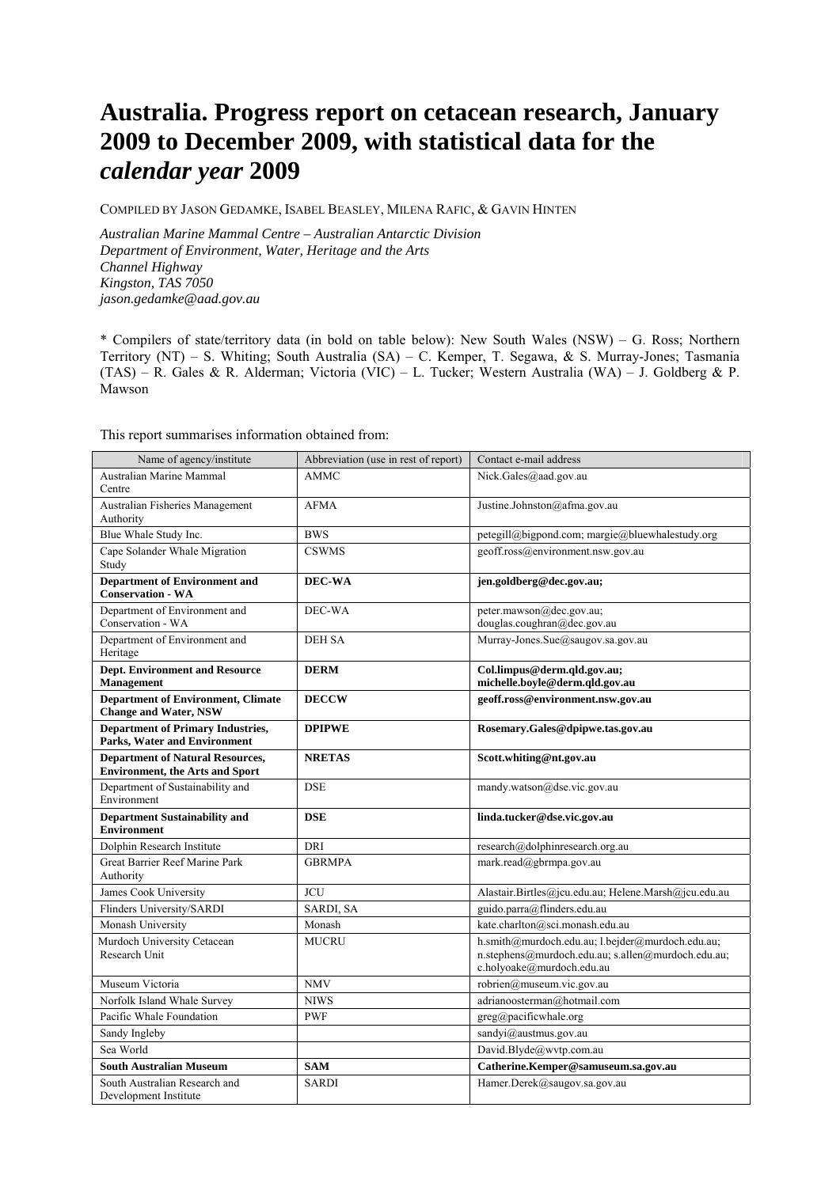# **Australia. Progress report on cetacean research, January 2009 to December 2009, with statistical data for the**  *calendar year* **2009**

COMPILED BY JASON GEDAMKE, ISABEL BEASLEY, MILENA RAFIC, & GAVIN HINTEN

*Australian Marine Mammal Centre – Australian Antarctic Division Department of Environment, Water, Heritage and the Arts Channel Highway Kingston, TAS 7050 jason.gedamke@aad.gov.au* 

\* Compilers of state/territory data (in bold on table below): New South Wales (NSW) – G. Ross; Northern Territory (NT) – S. Whiting; South Australia (SA) – C. Kemper, T. Segawa, & S. Murray-Jones; Tasmania (TAS) – R. Gales & R. Alderman; Victoria (VIC) – L. Tucker; Western Australia (WA) – J. Goldberg & P. Mawson

This report summarises information obtained from:

| Name of agency/institute                                                          | Abbreviation (use in rest of report) | Contact e-mail address                                                                                                              |
|-----------------------------------------------------------------------------------|--------------------------------------|-------------------------------------------------------------------------------------------------------------------------------------|
| Australian Marine Mammal<br>Centre                                                | <b>AMMC</b>                          | Nick.Gales@aad.gov.au                                                                                                               |
| Australian Fisheries Management<br>Authority                                      | <b>AFMA</b>                          | Justine.Johnston@afma.gov.au                                                                                                        |
| Blue Whale Study Inc.                                                             | <b>BWS</b>                           | petegill@bigpond.com; margie@bluewhalestudy.org                                                                                     |
| Cape Solander Whale Migration<br>Study                                            | <b>CSWMS</b>                         | geoff.ross@environment.nsw.gov.au                                                                                                   |
| <b>Department of Environment and</b><br><b>Conservation - WA</b>                  | DEC-WA                               | jen.goldberg@dec.gov.au;                                                                                                            |
| Department of Environment and<br>Conservation - WA                                | DEC-WA                               | peter.mawson@dec.gov.au;<br>douglas.coughran@dec.gov.au                                                                             |
| Department of Environment and<br>Heritage                                         | <b>DEH SA</b>                        | Murray-Jones.Sue@saugov.sa.gov.au                                                                                                   |
| <b>Dept. Environment and Resource</b><br>Management                               | <b>DERM</b>                          | Col.limpus@derm.qld.gov.au;<br>michelle.boyle@derm.qld.gov.au                                                                       |
| <b>Department of Environment, Climate</b><br><b>Change and Water, NSW</b>         | <b>DECCW</b>                         | geoff.ross@environment.nsw.gov.au                                                                                                   |
| <b>Department of Primary Industries,</b><br><b>Parks, Water and Environment</b>   | <b>DPIPWE</b>                        | Rosemary.Gales@dpipwe.tas.gov.au                                                                                                    |
| <b>Department of Natural Resources,</b><br><b>Environment, the Arts and Sport</b> | <b>NRETAS</b>                        | Scott.whiting@nt.gov.au                                                                                                             |
| Department of Sustainability and<br>Environment                                   | <b>DSE</b>                           | mandy.watson@dse.vic.gov.au                                                                                                         |
| <b>Department Sustainability and</b><br><b>Environment</b>                        | <b>DSE</b>                           | linda.tucker@dse.vic.gov.au                                                                                                         |
| Dolphin Research Institute                                                        | DRI                                  | research@dolphinresearch.org.au                                                                                                     |
| Great Barrier Reef Marine Park<br>Authority                                       | <b>GBRMPA</b>                        | mark.read@gbrmpa.gov.au                                                                                                             |
| James Cook University                                                             | <b>JCU</b>                           | Alastair.Birtles@jcu.edu.au; Helene.Marsh@jcu.edu.au                                                                                |
| Flinders University/SARDI                                                         | SARDI, SA                            | guido.parra@flinders.edu.au                                                                                                         |
| Monash University                                                                 | Monash                               | kate.charlton@sci.monash.edu.au                                                                                                     |
| Murdoch University Cetacean<br>Research Unit                                      | MUCRU                                | h.smith@murdoch.edu.au; l.bejder@murdoch.edu.au;<br>n.stephens@murdoch.edu.au; s.allen@murdoch.edu.au;<br>c.holyoake@murdoch.edu.au |
| Museum Victoria                                                                   | <b>NMV</b>                           | robrien@museum.vic.gov.au                                                                                                           |
| Norfolk Island Whale Survey                                                       | <b>NIWS</b>                          | adrianoosterman@hotmail.com                                                                                                         |
| Pacific Whale Foundation                                                          | <b>PWF</b>                           | greg@pacificwhale.org                                                                                                               |
| Sandy Ingleby                                                                     |                                      | sandyi@austmus.gov.au                                                                                                               |
| Sea World                                                                         |                                      | David.Blyde@wvtp.com.au                                                                                                             |
| <b>South Australian Museum</b>                                                    | <b>SAM</b>                           | Catherine.Kemper@samuseum.sa.gov.au                                                                                                 |
| South Australian Research and<br>Development Institute                            | <b>SARDI</b>                         | Hamer.Derek@saugov.sa.gov.au                                                                                                        |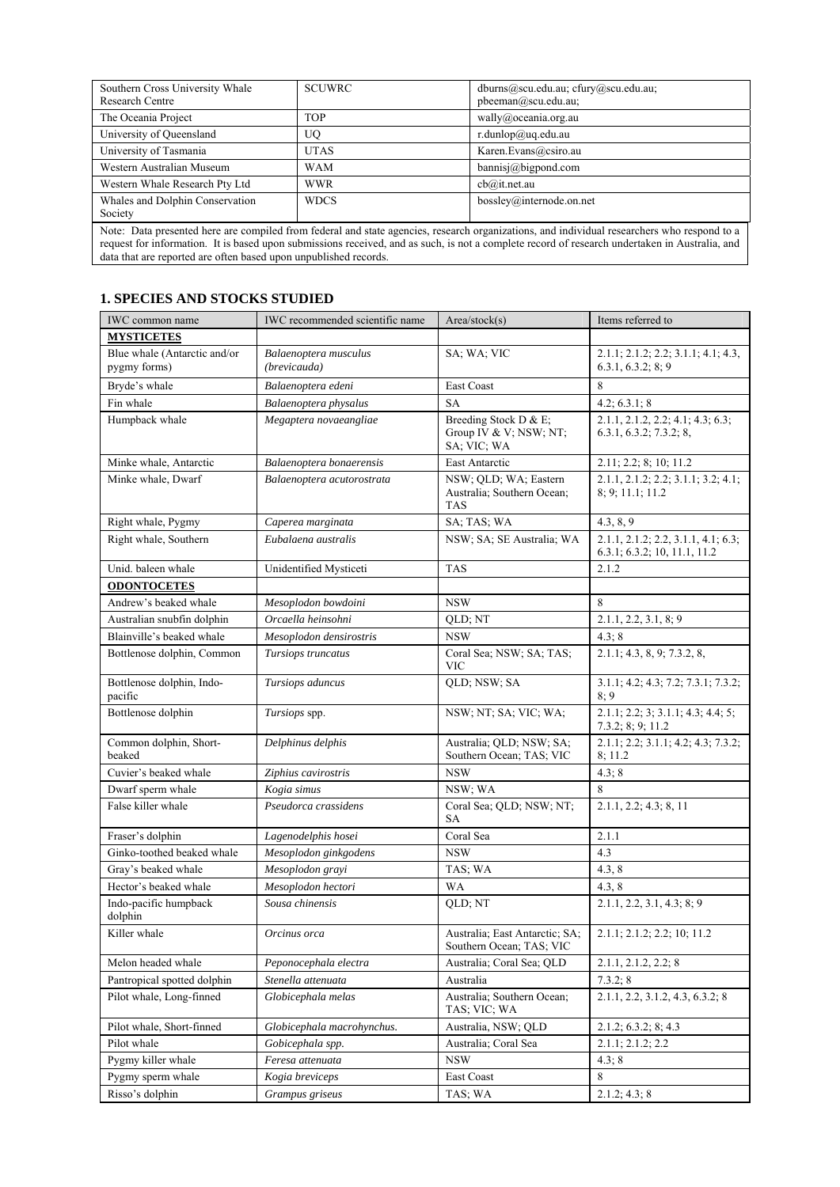| Southern Cross University Whale<br>Research Centre                                                                                                                                                                                                                                            | <b>SCUWRC</b> | dburns@scu.edu.au; cfury@scu.edu.au;<br>pbeeman@scu.edu.au; |  |  |
|-----------------------------------------------------------------------------------------------------------------------------------------------------------------------------------------------------------------------------------------------------------------------------------------------|---------------|-------------------------------------------------------------|--|--|
| The Oceania Project                                                                                                                                                                                                                                                                           | <b>TOP</b>    | wally@oceania.org.au                                        |  |  |
| University of Oueensland                                                                                                                                                                                                                                                                      | UQ            | r.dunlop@uq.edu.au                                          |  |  |
| University of Tasmania                                                                                                                                                                                                                                                                        | <b>UTAS</b>   | Karen.Evans@csiro.au                                        |  |  |
| Western Australian Museum                                                                                                                                                                                                                                                                     | <b>WAM</b>    | bannis@bigpond.com                                          |  |  |
| Western Whale Research Pty Ltd                                                                                                                                                                                                                                                                | <b>WWR</b>    | cb@it.net.au                                                |  |  |
| Whales and Dolphin Conservation<br>Society                                                                                                                                                                                                                                                    | <b>WDCS</b>   | bossley@internode.on.net                                    |  |  |
| Note: Data presented here are compiled from federal and state agencies, research organizations, and individual researchers who respond to a<br>request for information. It is based upon submissions received, and as such, is not a complete record of research undertaken in Australia, and |               |                                                             |  |  |

data that are reported are often based upon unpublished records.

### **1. SPECIES AND STOCKS STUDIED**

| IWC common name                              | IWC recommended scientific name       | Area/stock(s)                                                     | Items referred to                                                   |
|----------------------------------------------|---------------------------------------|-------------------------------------------------------------------|---------------------------------------------------------------------|
| <b>MYSTICETES</b>                            |                                       |                                                                   |                                                                     |
| Blue whale (Antarctic and/or<br>pygmy forms) | Balaenoptera musculus<br>(brevicauda) | SA; WA; VIC                                                       | 2.1.1; 2.1.2; 2.2; 3.1.1; 4.1; 4.3,<br>6.3.1, 6.3.2; 8; 9           |
| Bryde's whale                                | Balaenoptera edeni                    | East Coast                                                        | 8                                                                   |
| Fin whale                                    | Balaenoptera physalus                 | <b>SA</b>                                                         | 4.2; 6.3.1; 8                                                       |
| Humpback whale                               | Megaptera novaeangliae                | Breeding Stock D & E;<br>Group IV & V; NSW; NT;<br>SA; VIC; WA    | 2.1.1, 2.1.2, 2.2; 4.1; 4.3; 6.3;<br>6.3.1, 6.3.2; 7.3.2; 8,        |
| Minke whale, Antarctic                       | Balaenoptera bonaerensis              | East Antarctic                                                    | 2.11; 2.2; 8; 10; 11.2                                              |
| Minke whale, Dwarf                           | Balaenoptera acutorostrata            | NSW; OLD; WA; Eastern<br>Australia; Southern Ocean;<br><b>TAS</b> | 2.1.1, 2.1.2; 2.2; 3.1.1; 3.2; 4.1;<br>8; 9; 11.1; 11.2             |
| Right whale, Pygmy                           | Caperea marginata                     | SA; TAS; WA                                                       | 4.3, 8, 9                                                           |
| Right whale, Southern                        | Eubalaena australis                   | NSW; SA; SE Australia; WA                                         | 2.1.1, 2.1.2; 2.2, 3.1.1, 4.1; 6.3;<br>6.3.1; 6.3.2; 10, 11.1, 11.2 |
| Unid. baleen whale                           | Unidentified Mysticeti                | <b>TAS</b>                                                        | 2.1.2                                                               |
| <b>ODONTOCETES</b>                           |                                       |                                                                   |                                                                     |
| Andrew's beaked whale                        | Mesoplodon bowdoini                   | <b>NSW</b>                                                        | 8                                                                   |
| Australian snubfin dolphin                   | Orcaella heinsohni                    | QLD; NT                                                           | 2.1.1, 2.2, 3.1, 8; 9                                               |
| Blainville's beaked whale                    | Mesoplodon densirostris               | <b>NSW</b>                                                        | 4.3; 8                                                              |
| Bottlenose dolphin, Common                   | Tursiops truncatus                    | Coral Sea; NSW; SA; TAS;<br><b>VIC</b>                            | 2.1.1; 4.3, 8, 9; 7.3.2, 8,                                         |
| Bottlenose dolphin, Indo-<br>pacific         | Tursiops aduncus                      | QLD; NSW; SA                                                      | 3.1.1; 4.2; 4.3; 7.2; 7.3.1; 7.3.2;<br>8;9                          |
| Bottlenose dolphin                           | Tursiops spp.                         | NSW; NT; SA; VIC; WA;                                             | 2.1.1; 2.2; 3; 3.1.1; 4.3; 4.4; 5;<br>7.3.2; 8; 9; 11.2             |
| Common dolphin, Short-<br>beaked             | Delphinus delphis                     | Australia; QLD; NSW; SA;<br>Southern Ocean; TAS; VIC              | 2.1.1; 2.2; 3.1.1; 4.2; 4.3; 7.3.2;<br>8; 11.2                      |
| Cuvier's beaked whale                        | Ziphius cavirostris                   | <b>NSW</b>                                                        | 4.3; 8                                                              |
| Dwarf sperm whale                            | Kogia simus                           | NSW; WA                                                           | 8                                                                   |
| False killer whale                           | Pseudorca crassidens                  | Coral Sea; QLD; NSW; NT;<br><b>SA</b>                             | 2.1.1, 2.2; 4.3; 8, 11                                              |
| Fraser's dolphin                             | Lagenodelphis hosei                   | Coral Sea                                                         | 2.1.1                                                               |
| Ginko-toothed beaked whale                   | Mesoplodon ginkgodens                 | <b>NSW</b>                                                        | 4.3                                                                 |
| Gray's beaked whale                          | Mesoplodon grayi                      | TAS; WA                                                           | 4.3, 8                                                              |
| Hector's beaked whale                        | Mesoplodon hectori                    | WA                                                                | 4.3, 8                                                              |
| Indo-pacific humpback<br>dolphin             | Sousa chinensis                       | QLD; NT                                                           | 2.1.1, 2.2, 3.1, 4.3; 8; 9                                          |
| Killer whale                                 | Orcinus orca                          | Australia; East Antarctic; SA;<br>Southern Ocean; TAS; VIC        | 2.1.1; 2.1.2; 2.2; 10; 11.2                                         |
| Melon headed whale                           | Peponocephala electra                 | Australia; Coral Sea; QLD                                         | 2.1.1, 2.1.2, 2.2; 8                                                |
| Pantropical spotted dolphin                  | Stenella attenuata                    | Australia                                                         | 7.3.2; 8                                                            |
| Pilot whale, Long-finned                     | Globicephala melas                    | Australia; Southern Ocean;<br>TAS; VIC; WA                        | 2.1.1, 2.2, 3.1.2, 4.3, 6.3.2; 8                                    |
| Pilot whale, Short-finned                    | Globicephala macrohynchus.            | Australia, NSW; QLD                                               | 2.1.2; 6.3.2; 8; 4.3                                                |
| Pilot whale                                  | Gobicephala spp.                      | Australia; Coral Sea                                              | 2.1.1; 2.1.2; 2.2                                                   |
| Pygmy killer whale                           | Feresa attenuata                      | <b>NSW</b>                                                        | 4.3; 8                                                              |
| Pygmy sperm whale                            | Kogia breviceps                       | East Coast                                                        | 8                                                                   |
| Risso's dolphin                              | Grampus griseus                       | TAS; WA                                                           | 2.1.2; 4.3; 8                                                       |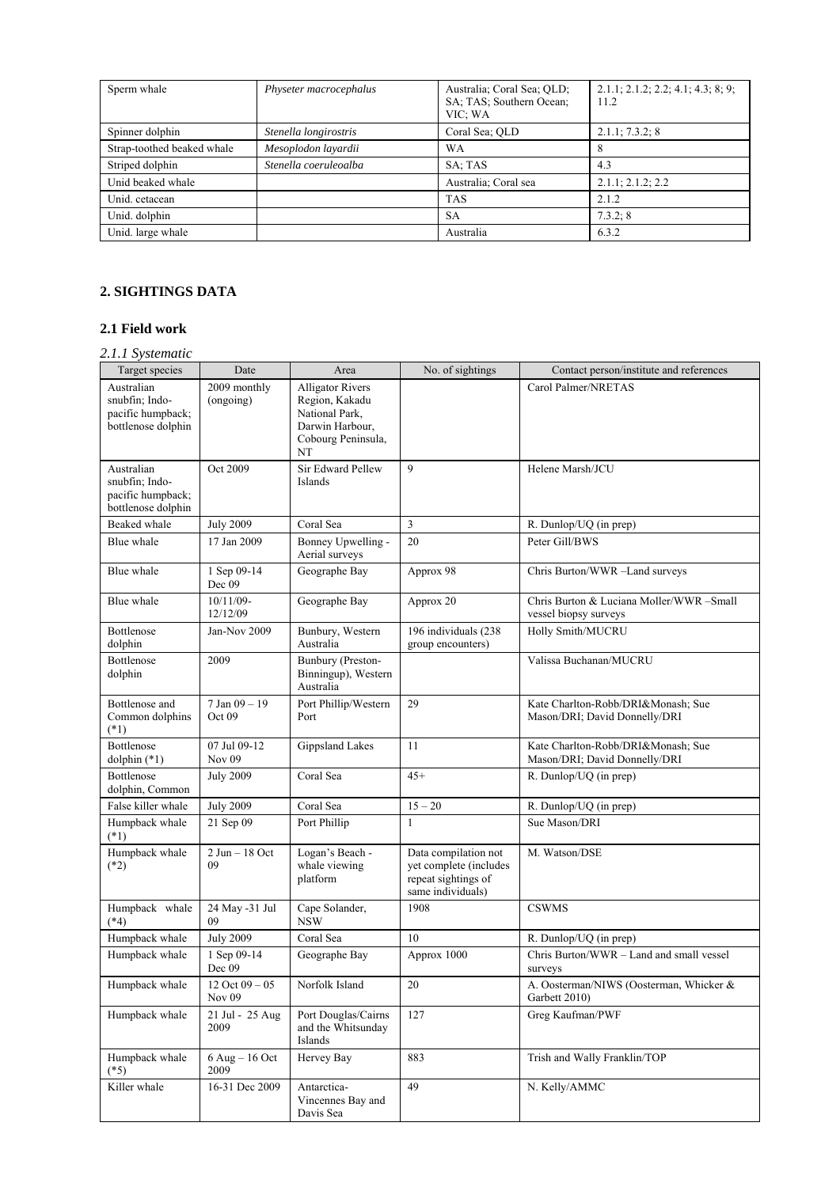| Sperm whale                | Physeter macrocephalus | Australia: Coral Sea: OLD:<br>SA; TAS; Southern Ocean;<br>VIC: WA | $2.1.1$ ; $2.1.2$ ; $2.2$ ; $4.1$ ; $4.3$ ; $8$ ; $9$ ;<br>11.2 |
|----------------------------|------------------------|-------------------------------------------------------------------|-----------------------------------------------------------------|
| Spinner dolphin            | Stenella longirostris  | Coral Sea; OLD                                                    | 2.1.1; 7.3.2; 8                                                 |
| Strap-toothed beaked whale | Mesoplodon layardii    | WA                                                                | 8                                                               |
| Striped dolphin            | Stenella coeruleoalba  | SA: TAS                                                           | 4.3                                                             |
| Unid beaked whale          |                        | Australia; Coral sea                                              | 2.1.1; 2.1.2; 2.2                                               |
| Unid. cetacean             |                        | <b>TAS</b>                                                        | 2.1.2                                                           |
| Unid. dolphin              |                        | <b>SA</b>                                                         | 7.3.2; 8                                                        |
| Unid. large whale          |                        | Australia                                                         | 6.3.2                                                           |

# **2. SIGHTINGS DATA**

## **2.1 Field work**

# *2.1.1 Systematic*

| Target species                                                          | Date                         | Area                                                                                                       | No. of sightings                                                                           | Contact person/institute and references                            |
|-------------------------------------------------------------------------|------------------------------|------------------------------------------------------------------------------------------------------------|--------------------------------------------------------------------------------------------|--------------------------------------------------------------------|
| Australian<br>snubfin; Indo-<br>pacific humpback;<br>bottlenose dolphin | 2009 monthly<br>(ongoing)    | <b>Alligator Rivers</b><br>Region, Kakadu<br>National Park,<br>Darwin Harbour,<br>Cobourg Peninsula,<br>NT |                                                                                            | Carol Palmer/NRETAS                                                |
| Australian<br>snubfin; Indo-<br>pacific humpback;<br>bottlenose dolphin | Oct 2009                     | Sir Edward Pellew<br>Islands                                                                               | 9                                                                                          | Helene Marsh/JCU                                                   |
| Beaked whale                                                            | <b>July 2009</b>             | Coral Sea                                                                                                  | 3                                                                                          | R. Dunlop/UQ (in prep)                                             |
| Blue whale                                                              | 17 Jan 2009                  | Bonney Upwelling -<br>Aerial surveys                                                                       | 20                                                                                         | Peter Gill/BWS                                                     |
| Blue whale                                                              | 1 Sep 09-14<br>Dec 09        | Geographe Bay                                                                                              | Approx 98                                                                                  | Chris Burton/WWR-Land surveys                                      |
| Blue whale                                                              | 10/11/09-<br>12/12/09        | Geographe Bay                                                                                              | Approx 20                                                                                  | Chris Burton & Luciana Moller/WWR-Small<br>vessel biopsy surveys   |
| Bottlenose<br>dolphin                                                   | Jan-Nov 2009                 | Bunbury, Western<br>Australia                                                                              | 196 individuals (238<br>group encounters)                                                  | Holly Smith/MUCRU                                                  |
| Bottlenose<br>dolphin                                                   | 2009                         | <b>Bunbury (Preston-</b><br>Binningup), Western<br>Australia                                               |                                                                                            | Valissa Buchanan/MUCRU                                             |
| Bottlenose and<br>Common dolphins<br>$(*1)$                             | $7$ Jan $09 - 19$<br>Oct 09  | Port Phillip/Western<br>Port                                                                               | 29                                                                                         | Kate Charlton-Robb/DRI&Monash Sue<br>Mason/DRI; David Donnelly/DRI |
| Bottlenose<br>dolphin $(*1)$                                            | 07 Jul 09-12<br>Nov 09       | <b>Gippsland Lakes</b>                                                                                     | 11                                                                                         | Kate Charlton-Robb/DRI&Monash Sue<br>Mason/DRI; David Donnelly/DRI |
| Bottlenose<br>dolphin, Common                                           | <b>July 2009</b>             | Coral Sea                                                                                                  | $45+$                                                                                      | R. Dunlop/UQ (in prep)                                             |
| False killer whale                                                      | <b>July 2009</b>             | Coral Sea                                                                                                  | $15 - 20$                                                                                  | R. Dunlop/UQ (in prep)                                             |
| Humpback whale<br>$(*1)$                                                | 21 Sep 09                    | Port Phillip                                                                                               | 1                                                                                          | Sue Mason/DRI                                                      |
| Humpback whale<br>$(*2)$                                                | $2$ Jun $-18$ Oct<br>09      | Logan's Beach -<br>whale viewing<br>platform                                                               | Data compilation not<br>yet complete (includes<br>repeat sightings of<br>same individuals) | M. Watson/DSE                                                      |
| Humpback whale<br>$(*4)$                                                | 24 May -31 Jul<br>09         | Cape Solander,<br><b>NSW</b>                                                                               | 1908                                                                                       | <b>CSWMS</b>                                                       |
| Humpback whale                                                          | <b>July 2009</b>             | Coral Sea                                                                                                  | 10                                                                                         | R. Dunlop/UQ (in prep)                                             |
| Humpback whale                                                          | 1 Sep 09-14<br>Dec 09        | Geographe Bay                                                                                              | Approx 1000                                                                                | Chris Burton/WWR - Land and small vessel<br>surveys                |
| Humpback whale                                                          | $12$ Oct $09 - 05$<br>Nov 09 | Norfolk Island                                                                                             | 20                                                                                         | A. Oosterman/NIWS (Oosterman, Whicker &<br>Garbett 2010)           |
| Humpback whale                                                          | 21 Jul - 25 Aug<br>2009      | Port Douglas/Cairns<br>and the Whitsunday<br>Islands                                                       | 127                                                                                        | Greg Kaufman/PWF                                                   |
| Humpback whale<br>$(*5)$                                                | $6$ Aug $-16$ Oct<br>2009    | Hervey Bay                                                                                                 | 883                                                                                        | Trish and Wally Franklin/TOP                                       |
| Killer whale                                                            | 16-31 Dec 2009               | Antarctica-<br>Vincennes Bay and<br>Davis Sea                                                              | 49                                                                                         | N. Kelly/AMMC                                                      |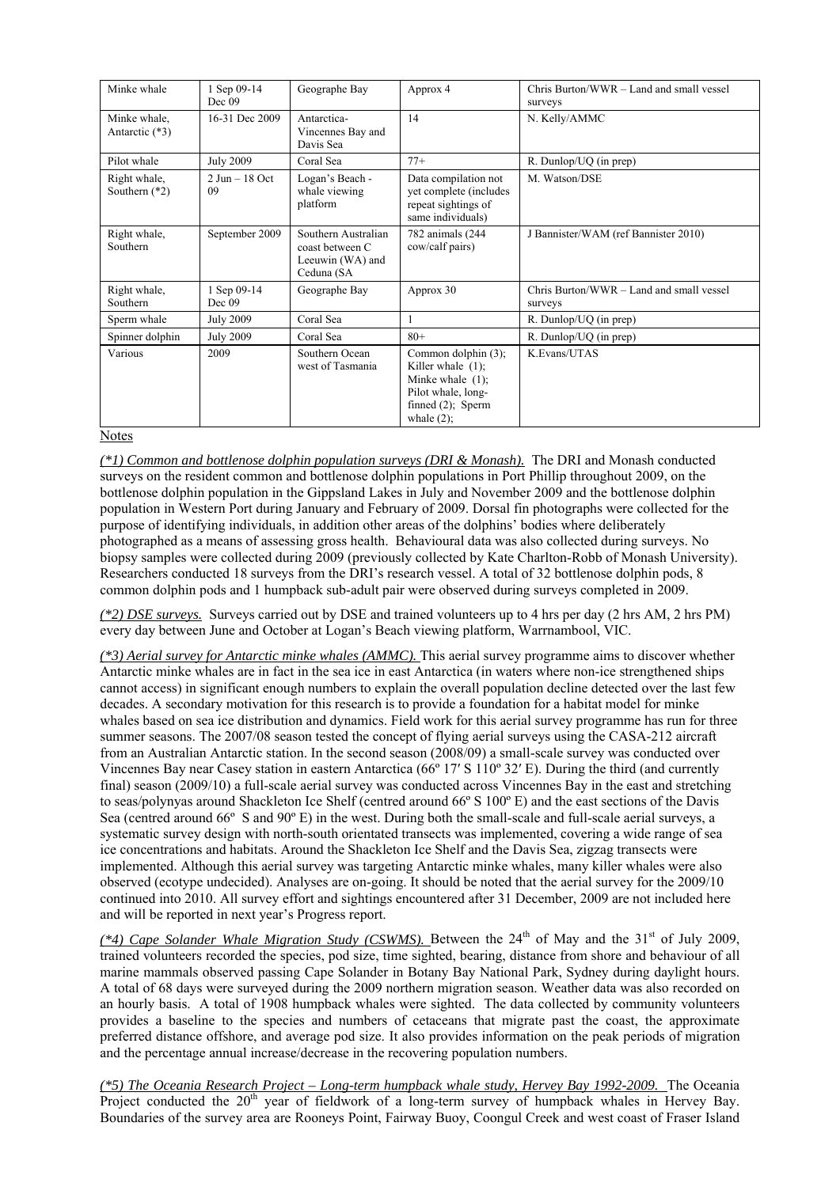| Minke whale                     | 1 Sep 09-14<br>Dec 09   | Geographe Bay                                                            | Approx 4                                                                                                                          | Chris Burton/WWR $-$ Land and small vessel<br>surveys |
|---------------------------------|-------------------------|--------------------------------------------------------------------------|-----------------------------------------------------------------------------------------------------------------------------------|-------------------------------------------------------|
| Minke whale.<br>Antarctic (*3)  | 16-31 Dec 2009          | Antarctica-<br>Vincennes Bay and<br>Davis Sea                            | 14                                                                                                                                | N. Kelly/AMMC                                         |
| Pilot whale                     | <b>July 2009</b>        | Coral Sea                                                                | $77+$                                                                                                                             | R. Dunlop/UQ (in prep)                                |
| Right whale,<br>Southern $(*2)$ | $2$ Jun $-18$ Oct<br>09 | Logan's Beach -<br>whale viewing<br>platform                             | Data compilation not<br>yet complete (includes<br>repeat sightings of<br>same individuals)                                        | M. Watson/DSE                                         |
| Right whale,<br>Southern        | September 2009          | Southern Australian<br>coast between C<br>Leeuwin (WA) and<br>Ceduna (SA | 782 animals (244)<br>cow/calf pairs)                                                                                              | J Bannister/WAM (ref Bannister 2010)                  |
| Right whale,<br>Southern        | 1 Sep 09-14<br>Dec 09   | Geographe Bay                                                            | Approx 30                                                                                                                         | Chris Burton/WWR - Land and small vessel<br>surveys   |
| Sperm whale                     | <b>July 2009</b>        | Coral Sea                                                                |                                                                                                                                   | R. Dunlop/UQ (in prep)                                |
| Spinner dolphin                 | <b>July 2009</b>        | Coral Sea                                                                | $80+$                                                                                                                             | R. Dunlop/UQ (in prep)                                |
| Various                         | 2009                    | Southern Ocean<br>west of Tasmania                                       | Common dolphin (3);<br>Killer whale $(1)$ ;<br>Minke whale $(1)$ ;<br>Pilot whale, long-<br>finned $(2)$ ; Sperm<br>whale $(2)$ ; | K.Evans/UTAS                                          |

#### Notes

*(\*1) Common and bottlenose dolphin population surveys (DRI & Monash).* The DRI and Monash conducted surveys on the resident common and bottlenose dolphin populations in Port Phillip throughout 2009, on the bottlenose dolphin population in the Gippsland Lakes in July and November 2009 and the bottlenose dolphin population in Western Port during January and February of 2009. Dorsal fin photographs were collected for the purpose of identifying individuals, in addition other areas of the dolphins' bodies where deliberately photographed as a means of assessing gross health. Behavioural data was also collected during surveys. No biopsy samples were collected during 2009 (previously collected by Kate Charlton-Robb of Monash University). Researchers conducted 18 surveys from the DRI's research vessel. A total of 32 bottlenose dolphin pods, 8 common dolphin pods and 1 humpback sub-adult pair were observed during surveys completed in 2009.

*(\*2) DSE surveys.* Surveys carried out by DSE and trained volunteers up to 4 hrs per day (2 hrs AM, 2 hrs PM) every day between June and October at Logan's Beach viewing platform, Warrnambool, VIC.

*(\*3) Aerial survey for Antarctic minke whales (AMMC).* This aerial survey programme aims to discover whether Antarctic minke whales are in fact in the sea ice in east Antarctica (in waters where non-ice strengthened ships cannot access) in significant enough numbers to explain the overall population decline detected over the last few decades. A secondary motivation for this research is to provide a foundation for a habitat model for minke whales based on sea ice distribution and dynamics. Field work for this aerial survey programme has run for three summer seasons. The 2007/08 season tested the concept of flying aerial surveys using the CASA-212 aircraft from an Australian Antarctic station. In the second season (2008/09) a small-scale survey was conducted over Vincennes Bay near Casey station in eastern Antarctica (66º 17′ S 110º 32′ E). During the third (and currently final) season (2009/10) a full-scale aerial survey was conducted across Vincennes Bay in the east and stretching to seas/polynyas around Shackleton Ice Shelf (centred around 66º S 100º E) and the east sections of the Davis Sea (centred around 66º S and 90º E) in the west. During both the small-scale and full-scale aerial surveys, a systematic survey design with north-south orientated transects was implemented, covering a wide range of sea ice concentrations and habitats. Around the Shackleton Ice Shelf and the Davis Sea, zigzag transects were implemented. Although this aerial survey was targeting Antarctic minke whales, many killer whales were also observed (ecotype undecided). Analyses are on-going. It should be noted that the aerial survey for the 2009/10 continued into 2010. All survey effort and sightings encountered after 31 December, 2009 are not included here and will be reported in next year's Progress report.

(\*4) Cape Solander Whale Migration Study (CSWMS). Between the 24<sup>th</sup> of May and the 31<sup>st</sup> of July 2009, trained volunteers recorded the species, pod size, time sighted, bearing, distance from shore and behaviour of all marine mammals observed passing Cape Solander in Botany Bay National Park, Sydney during daylight hours. A total of 68 days were surveyed during the 2009 northern migration season. Weather data was also recorded on an hourly basis. A total of 1908 humpback whales were sighted. The data collected by community volunteers provides a baseline to the species and numbers of cetaceans that migrate past the coast, the approximate preferred distance offshore, and average pod size. It also provides information on the peak periods of migration and the percentage annual increase/decrease in the recovering population numbers.

*(\*5) The Oceania Research Project – Long-term humpback whale study, Hervey Bay 1992-2009.* The Oceania Project conducted the 20<sup>th</sup> year of fieldwork of a long-term survey of humpback whales in Hervey Bay. Boundaries of the survey area are Rooneys Point, Fairway Buoy, Coongul Creek and west coast of Fraser Island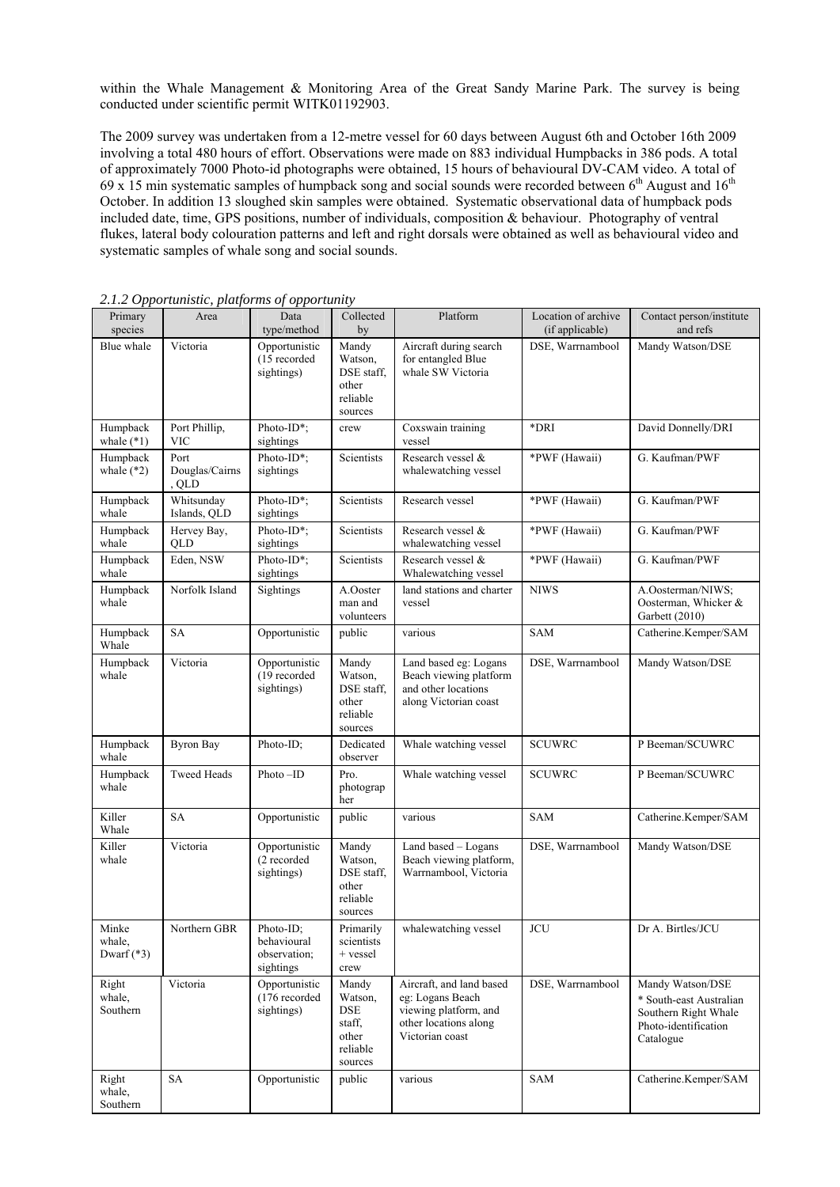within the Whale Management & Monitoring Area of the Great Sandy Marine Park. The survey is being conducted under scientific permit WITK01192903.

The 2009 survey was undertaken from a 12-metre vessel for 60 days between August 6th and October 16th 2009 involving a total 480 hours of effort. Observations were made on 883 individual Humpbacks in 386 pods. A total of approximately 7000 Photo-id photographs were obtained, 15 hours of behavioural DV-CAM video. A total of 69 x 15 min systematic samples of humpback song and social sounds were recorded between  $6<sup>th</sup>$  August and  $16<sup>th</sup>$ October. In addition 13 sloughed skin samples were obtained. Systematic observational data of humpback pods included date, time, GPS positions, number of individuals, composition & behaviour. Photography of ventral flukes, lateral body colouration patterns and left and right dorsals were obtained as well as behavioural video and systematic samples of whale song and social sounds.

| Primary<br>species              | Area                            | Data<br>type/method                                   | Collected<br>by                                                   | Platform                                                                                                          | Location of archive<br>(if applicable) | Contact person/institute<br>and refs                                                                     |
|---------------------------------|---------------------------------|-------------------------------------------------------|-------------------------------------------------------------------|-------------------------------------------------------------------------------------------------------------------|----------------------------------------|----------------------------------------------------------------------------------------------------------|
| Blue whale                      | Victoria                        | Opportunistic<br>(15 recorded<br>sightings)           | Mandy<br>Watson,<br>DSE staff.<br>other<br>reliable<br>sources    | Aircraft during search<br>for entangled Blue<br>whale SW Victoria                                                 | DSE, Warrnambool                       | Mandy Watson/DSE                                                                                         |
| Humpback<br>whale $(*1)$        | Port Phillip,<br>VIC            | Photo-ID*;<br>sightings                               | crew                                                              | Coxswain training<br>vessel                                                                                       | *DRI                                   | David Donnelly/DRI                                                                                       |
| Humpback<br>whale $(*2)$        | Port<br>Douglas/Cairns<br>, QLD | Photo-ID*;<br>sightings                               | Scientists                                                        | Research vessel &<br>whalewatching vessel                                                                         | *PWF (Hawaii)                          | G. Kaufman/PWF                                                                                           |
| Humpback<br>whale               | Whitsunday<br>Islands, QLD      | Photo-ID*:<br>sightings                               | Scientists                                                        | Research vessel                                                                                                   | *PWF (Hawaii)                          | G. Kaufman/PWF                                                                                           |
| Humpback<br>whale               | Hervey Bay,<br>QLD              | Photo-ID*;<br>sightings                               | Scientists                                                        | Research vessel &<br>whalewatching vessel                                                                         | *PWF (Hawaii)                          | G. Kaufman/PWF                                                                                           |
| Humpback<br>whale               | Eden, NSW                       | Photo-ID*;<br>sightings                               | Scientists                                                        | Research vessel &<br>Whalewatching vessel                                                                         | *PWF (Hawaii)                          | G. Kaufman/PWF                                                                                           |
| Humpback<br>whale               | Norfolk Island                  | Sightings                                             | A.Ooster<br>man and<br>volunteers                                 | land stations and charter<br>vessel                                                                               | <b>NIWS</b>                            | A.Oosterman/NIWS;<br>Oosterman, Whicker &<br>Garbett (2010)                                              |
| Humpback<br>Whale               | <b>SA</b>                       | Opportunistic                                         | public                                                            | various                                                                                                           | <b>SAM</b>                             | Catherine.Kemper/SAM                                                                                     |
| Humpback<br>whale               | Victoria                        | Opportunistic<br>(19 recorded<br>sightings)           | Mandy<br>Watson,<br>DSE staff.<br>other<br>reliable<br>sources    | Land based eg: Logans<br>Beach viewing platform<br>and other locations<br>along Victorian coast                   | DSE, Warrnambool                       | Mandy Watson/DSE                                                                                         |
| Humpback<br>whale               | <b>Byron Bay</b>                | Photo-ID;                                             | Dedicated<br>observer                                             | Whale watching vessel                                                                                             | <b>SCUWRC</b>                          | P Beeman/SCUWRC                                                                                          |
| Humpback<br>whale               | <b>Tweed Heads</b>              | Photo-ID                                              | Pro.<br>photograp<br>her                                          | Whale watching vessel                                                                                             | <b>SCUWRC</b>                          | P Beeman/SCUWRC                                                                                          |
| Killer<br>Whale                 | <b>SA</b>                       | Opportunistic                                         | public                                                            | various                                                                                                           | <b>SAM</b>                             | Catherine.Kemper/SAM                                                                                     |
| Killer<br>whale                 | Victoria                        | Opportunistic<br>(2 recorded<br>sightings)            | Mandy<br>Watson,<br>DSE staff.<br>other<br>reliable<br>sources    | Land based - Logans<br>Beach viewing platform,<br>Warrnambool, Victoria                                           | DSE, Warrnambool                       | Mandy Watson/DSE                                                                                         |
| Minke<br>whale,<br>Dwarf $(*3)$ | Northern GBR                    | Photo-ID;<br>behavioural<br>observation;<br>sightings | Primarily<br>scientists<br>+ vessel<br>crew                       | whalewatching vessel                                                                                              | <b>JCU</b>                             | Dr A. Birtles/JCU                                                                                        |
| Right<br>whale,<br>Southern     | Victoria                        | Opportunistic<br>(176 recorded<br>sightings)          | Mandy<br>Watson,<br>DSE<br>staff,<br>other<br>reliable<br>sources | Aircraft, and land based<br>eg: Logans Beach<br>viewing platform, and<br>other locations along<br>Victorian coast | DSE, Warrnambool                       | Mandy Watson/DSE<br>* South-east Australian<br>Southern Right Whale<br>Photo-identification<br>Catalogue |
| Right<br>whale,<br>Southern     | <b>SA</b>                       | Opportunistic                                         | public                                                            | various                                                                                                           | <b>SAM</b>                             | Catherine.Kemper/SAM                                                                                     |

*2.1.2 Opportunistic, platforms of opportunity*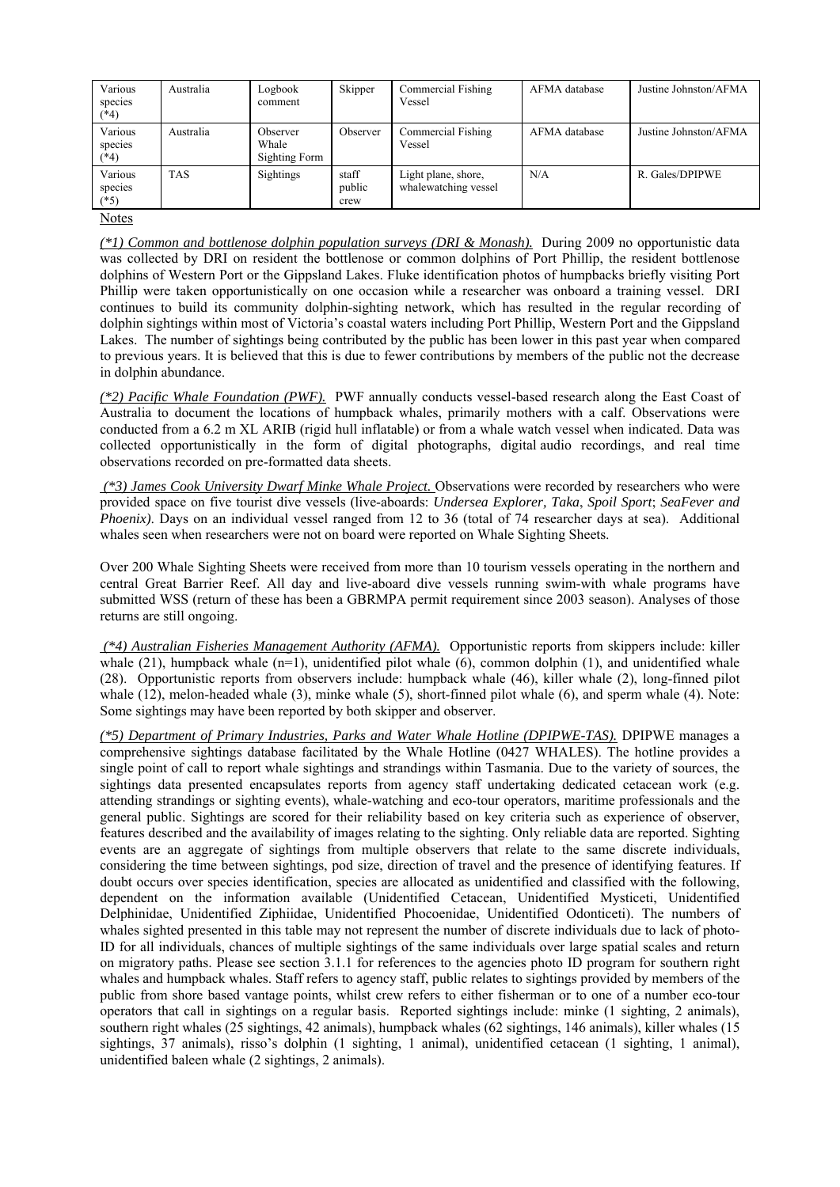| Various<br>species<br>$(*4)$ | Australia  | Logbook<br>comment                        | Skipper                 | Commercial Fishing<br>Vessel                | AFMA database | Justine Johnston/AFMA |
|------------------------------|------------|-------------------------------------------|-------------------------|---------------------------------------------|---------------|-----------------------|
| Various<br>species<br>$(*4)$ | Australia  | Observer<br>Whale<br><b>Sighting Form</b> | Observer                | Commercial Fishing<br>Vessel                | AFMA database | Justine Johnston/AFMA |
| Various<br>species<br>$(*5)$ | <b>TAS</b> | Sightings                                 | staff<br>public<br>crew | Light plane, shore,<br>whalewatching vessel | N/A           | R. Gales/DPIPWE       |
| $N \alpha$                   |            |                                           |                         |                                             |               |                       |

## Notes

*(\*1) Common and bottlenose dolphin population surveys (DRI & Monash).* During 2009 no opportunistic data was collected by DRI on resident the bottlenose or common dolphins of Port Phillip, the resident bottlenose dolphins of Western Port or the Gippsland Lakes. Fluke identification photos of humpbacks briefly visiting Port Phillip were taken opportunistically on one occasion while a researcher was onboard a training vessel. DRI continues to build its community dolphin-sighting network, which has resulted in the regular recording of dolphin sightings within most of Victoria's coastal waters including Port Phillip, Western Port and the Gippsland Lakes. The number of sightings being contributed by the public has been lower in this past year when compared to previous years. It is believed that this is due to fewer contributions by members of the public not the decrease in dolphin abundance.

*(\*2) Pacific Whale Foundation (PWF).* PWF annually conducts vessel-based research along the East Coast of Australia to document the locations of humpback whales, primarily mothers with a calf. Observations were conducted from a 6.2 m XL ARIB (rigid hull inflatable) or from a whale watch vessel when indicated. Data was collected opportunistically in the form of digital photographs, digital audio recordings, and real time observations recorded on pre-formatted data sheets.

 *(\*3) James Cook University Dwarf Minke Whale Project.* Observations were recorded by researchers who were provided space on five tourist dive vessels (live-aboards: *Undersea Explorer, Taka*, *Spoil Sport*; *SeaFever and Phoenix*). Days on an individual vessel ranged from 12 to 36 (total of 74 researcher days at sea). Additional whales seen when researchers were not on board were reported on Whale Sighting Sheets.

Over 200 Whale Sighting Sheets were received from more than 10 tourism vessels operating in the northern and central Great Barrier Reef. All day and live-aboard dive vessels running swim-with whale programs have submitted WSS (return of these has been a GBRMPA permit requirement since 2003 season). Analyses of those returns are still ongoing.

 *(\*4) Australian Fisheries Management Authority (AFMA).* Opportunistic reports from skippers include: killer whale (21), humpback whale  $(n=1)$ , unidentified pilot whale  $(6)$ , common dolphin (1), and unidentified whale (28). Opportunistic reports from observers include: humpback whale (46), killer whale (2), long-finned pilot whale (12), melon-headed whale (3), minke whale (5), short-finned pilot whale (6), and sperm whale (4). Note: Some sightings may have been reported by both skipper and observer.

*(\*5) Department of Primary Industries, Parks and Water Whale Hotline (DPIPWE-TAS).* DPIPWE manages a comprehensive sightings database facilitated by the Whale Hotline (0427 WHALES). The hotline provides a single point of call to report whale sightings and strandings within Tasmania. Due to the variety of sources, the sightings data presented encapsulates reports from agency staff undertaking dedicated cetacean work (e.g. attending strandings or sighting events), whale-watching and eco-tour operators, maritime professionals and the general public. Sightings are scored for their reliability based on key criteria such as experience of observer, features described and the availability of images relating to the sighting. Only reliable data are reported. Sighting events are an aggregate of sightings from multiple observers that relate to the same discrete individuals, considering the time between sightings, pod size, direction of travel and the presence of identifying features. If doubt occurs over species identification, species are allocated as unidentified and classified with the following, dependent on the information available (Unidentified Cetacean, Unidentified Mysticeti, Unidentified Delphinidae, Unidentified Ziphiidae, Unidentified Phocoenidae, Unidentified Odonticeti). The numbers of whales sighted presented in this table may not represent the number of discrete individuals due to lack of photo-ID for all individuals, chances of multiple sightings of the same individuals over large spatial scales and return on migratory paths. Please see section 3.1.1 for references to the agencies photo ID program for southern right whales and humpback whales. Staff refers to agency staff, public relates to sightings provided by members of the public from shore based vantage points, whilst crew refers to either fisherman or to one of a number eco-tour operators that call in sightings on a regular basis. Reported sightings include: minke (1 sighting, 2 animals), southern right whales (25 sightings, 42 animals), humpback whales (62 sightings, 146 animals), killer whales (15 sightings, 37 animals), risso's dolphin (1 sighting, 1 animal), unidentified cetacean (1 sighting, 1 animal), unidentified baleen whale (2 sightings, 2 animals).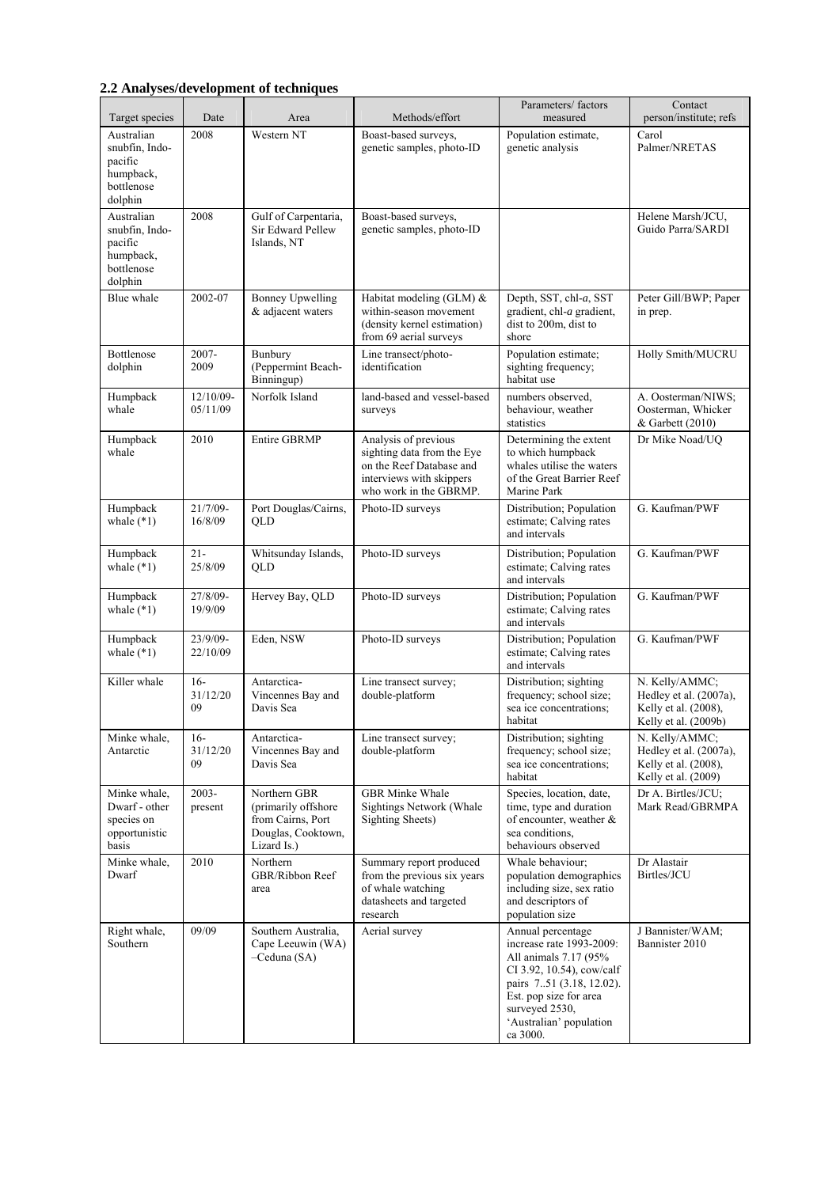# **2.2 Analyses/development of techniques**

| Target species                                                                | Date                    | Area                                                                                           | Methods/effort                                                                                                                       | Parameters/factors<br>measured                                                                                                                                                                                     | Contact<br>person/institute; refs                                                        |
|-------------------------------------------------------------------------------|-------------------------|------------------------------------------------------------------------------------------------|--------------------------------------------------------------------------------------------------------------------------------------|--------------------------------------------------------------------------------------------------------------------------------------------------------------------------------------------------------------------|------------------------------------------------------------------------------------------|
| Australian<br>snubfin, Indo-<br>pacific<br>humpback,<br>bottlenose<br>dolphin | 2008                    | Western NT                                                                                     | Boast-based surveys,<br>genetic samples, photo-ID                                                                                    | Population estimate,<br>genetic analysis                                                                                                                                                                           | Carol<br>Palmer/NRETAS                                                                   |
| Australian<br>snubfin, Indo-<br>pacific<br>humpback,<br>bottlenose<br>dolphin | 2008                    | Gulf of Carpentaria,<br>Sir Edward Pellew<br>Islands, NT                                       | Boast-based surveys,<br>genetic samples, photo-ID                                                                                    |                                                                                                                                                                                                                    | Helene Marsh/JCU,<br>Guido Parra/SARDI                                                   |
| Blue whale                                                                    | 2002-07                 | <b>Bonney Upwelling</b><br>& adjacent waters                                                   | Habitat modeling (GLM) $&$<br>within-season movement<br>(density kernel estimation)<br>from 69 aerial surveys                        | Depth, SST, chl-a, SST<br>gradient, chl-a gradient,<br>dist to 200m, dist to<br>shore                                                                                                                              | Peter Gill/BWP; Paper<br>in prep.                                                        |
| Bottlenose<br>dolphin                                                         | 2007-<br>2009           | Bunbury<br>(Peppermint Beach-<br>Binningup)                                                    | Line transect/photo-<br>identification                                                                                               | Population estimate;<br>sighting frequency;<br>habitat use                                                                                                                                                         | Holly Smith/MUCRU                                                                        |
| Humpback<br>whale                                                             | 12/10/09-<br>05/11/09   | Norfolk Island                                                                                 | land-based and vessel-based<br>surveys                                                                                               | numbers observed.<br>behaviour, weather<br>statistics                                                                                                                                                              | A. Oosterman/NIWS;<br>Oosterman, Whicker<br>& Garbett (2010)                             |
| Humpback<br>whale                                                             | 2010                    | <b>Entire GBRMP</b>                                                                            | Analysis of previous<br>sighting data from the Eye<br>on the Reef Database and<br>interviews with skippers<br>who work in the GBRMP. | Determining the extent<br>to which humpback<br>whales utilise the waters<br>of the Great Barrier Reef<br>Marine Park                                                                                               | Dr Mike Noad/UQ                                                                          |
| Humpback<br>whale $(*1)$                                                      | 21/7/09-<br>16/8/09     | Port Douglas/Cairns,<br>QLD                                                                    | Photo-ID surveys                                                                                                                     | Distribution; Population<br>estimate; Calving rates<br>and intervals                                                                                                                                               | G. Kaufman/PWF                                                                           |
| Humpback<br>whale $(*1)$                                                      | $21 -$<br>25/8/09       | Whitsunday Islands,<br>QLD                                                                     | Photo-ID surveys                                                                                                                     | Distribution; Population<br>estimate; Calving rates<br>and intervals                                                                                                                                               | G. Kaufman/PWF                                                                           |
| Humpback<br>whale $(*1)$                                                      | 27/8/09-<br>19/9/09     | Hervey Bay, QLD                                                                                | Photo-ID surveys                                                                                                                     | Distribution; Population<br>estimate; Calving rates<br>and intervals                                                                                                                                               | G. Kaufman/PWF                                                                           |
| Humpback<br>whale $(*1)$                                                      | $23/9/09-$<br>22/10/09  | Eden, NSW                                                                                      | Photo-ID surveys                                                                                                                     | Distribution; Population<br>estimate; Calving rates<br>and intervals                                                                                                                                               | G. Kaufman/PWF                                                                           |
| Killer whale                                                                  | $16-$<br>31/12/20<br>09 | Antarctica-<br>Vincennes Bay and<br>Davis Sea                                                  | Line transect survey;<br>double-platform                                                                                             | Distribution; sighting<br>frequency; school size;<br>sea ice concentrations;<br>habitat                                                                                                                            | N. Kelly/AMMC;<br>Hedley et al. (2007a),<br>Kelly et al. (2008),<br>Kelly et al. (2009b) |
| Minke whale,<br>Antarctic                                                     | $16-$<br>31/12/20<br>09 | Antarctica-<br>Vincennes Bay and<br>Davis Sea                                                  | Line transect survey;<br>double-platform                                                                                             | Distribution; sighting<br>frequency; school size;<br>sea ice concentrations;<br>habitat                                                                                                                            | N. Kelly/AMMC;<br>Hedley et al. (2007a),<br>Kelly et al. (2008),<br>Kelly et al. (2009)  |
| Minke whale,<br>Dwarf - other<br>species on<br>opportunistic<br>basis         | 2003-<br>present        | Northern GBR<br>(primarily offshore)<br>from Cairns, Port<br>Douglas, Cooktown,<br>Lizard Is.) | <b>GBR</b> Minke Whale<br>Sightings Network (Whale<br><b>Sighting Sheets)</b>                                                        | Species, location, date,<br>time, type and duration<br>of encounter, weather &<br>sea conditions,<br>behaviours observed                                                                                           | Dr A. Birtles/JCU;<br>Mark Read/GBRMPA                                                   |
| Minke whale,<br>Dwarf                                                         | 2010                    | Northern<br><b>GBR/Ribbon Reef</b><br>area                                                     | Summary report produced<br>from the previous six years<br>of whale watching<br>datasheets and targeted<br>research                   | Whale behaviour;<br>population demographics<br>including size, sex ratio<br>and descriptors of<br>population size                                                                                                  | Dr Alastair<br>Birtles/JCU                                                               |
| Right whale,<br>Southern                                                      | 09/09                   | Southern Australia,<br>Cape Leeuwin (WA)<br>$-Ceduna(SA)$                                      | Aerial survey                                                                                                                        | Annual percentage<br>increase rate 1993-2009:<br>All animals 7.17 (95%<br>CI 3.92, 10.54), cow/calf<br>pairs 751 (3.18, 12.02).<br>Est. pop size for area<br>surveyed 2530,<br>'Australian' population<br>ca 3000. | J Bannister/WAM;<br>Bannister 2010                                                       |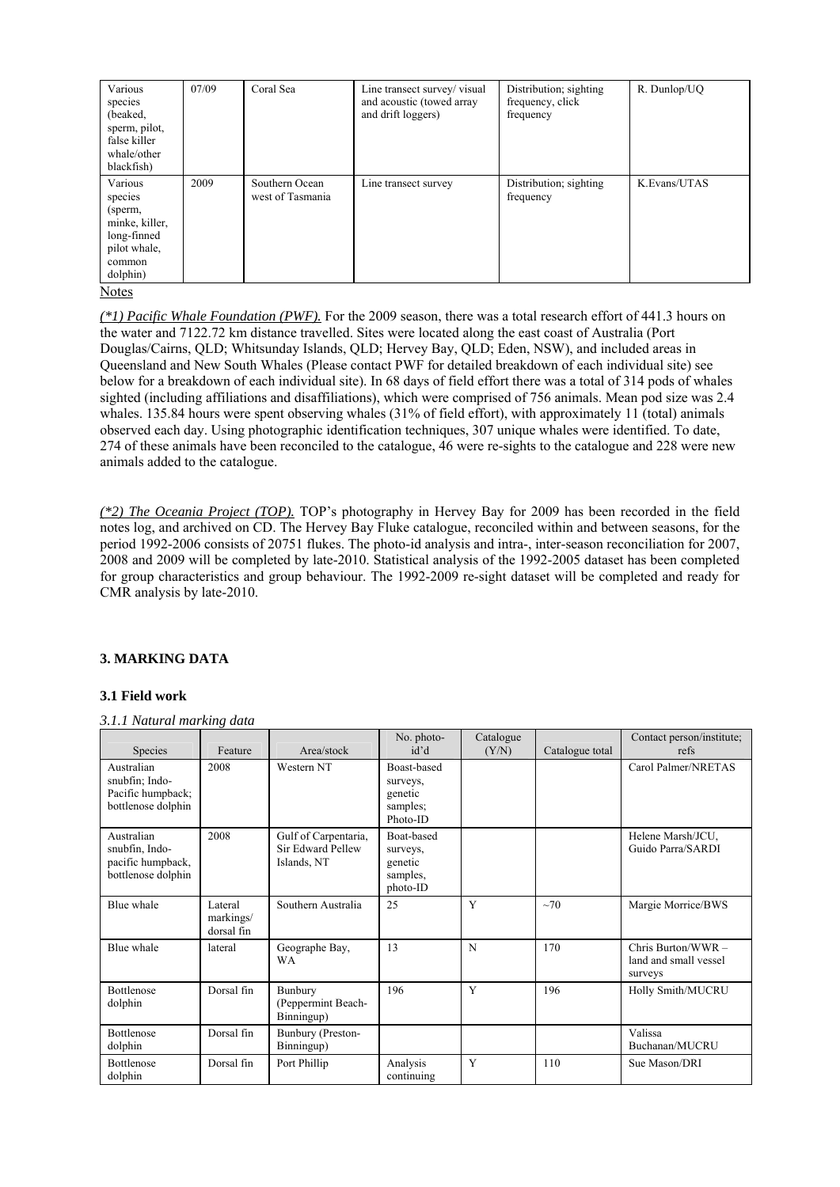| Various<br>species<br>(beaked,<br>sperm, pilot,<br>false killer<br>whale/other<br>blackfish)         | 07/09 | Coral Sea                          | Line transect survey/visual<br>and acoustic (towed array<br>and drift loggers) | Distribution; sighting<br>frequency, click<br>frequency | R. Dunlop/UQ |
|------------------------------------------------------------------------------------------------------|-------|------------------------------------|--------------------------------------------------------------------------------|---------------------------------------------------------|--------------|
| Various<br>species<br>(sperm,<br>minke, killer,<br>long-finned<br>pilot whale,<br>common<br>dolphin) | 2009  | Southern Ocean<br>west of Tasmania | Line transect survey                                                           | Distribution; sighting<br>frequency                     | K.Evans/UTAS |

Notes

*(\*1) Pacific Whale Foundation (PWF).* For the 2009 season, there was a total research effort of 441.3 hours on the water and 7122.72 km distance travelled. Sites were located along the east coast of Australia (Port Douglas/Cairns, QLD; Whitsunday Islands, QLD; Hervey Bay, QLD; Eden, NSW), and included areas in Queensland and New South Whales (Please contact PWF for detailed breakdown of each individual site) see below for a breakdown of each individual site). In 68 days of field effort there was a total of 314 pods of whales sighted (including affiliations and disaffiliations), which were comprised of 756 animals. Mean pod size was 2.4 whales. 135.84 hours were spent observing whales (31% of field effort), with approximately 11 (total) animals observed each day. Using photographic identification techniques, 307 unique whales were identified. To date, 274 of these animals have been reconciled to the catalogue, 46 were re-sights to the catalogue and 228 were new animals added to the catalogue.

*(\*2) The Oceania Project (TOP).* TOP's photography in Hervey Bay for 2009 has been recorded in the field notes log, and archived on CD. The Hervey Bay Fluke catalogue, reconciled within and between seasons, for the period 1992-2006 consists of 20751 flukes. The photo-id analysis and intra-, inter-season reconciliation for 2007, 2008 and 2009 will be completed by late-2010. Statistical analysis of the 1992-2005 dataset has been completed for group characteristics and group behaviour. The 1992-2009 re-sight dataset will be completed and ready for CMR analysis by late-2010.

# **3. MARKING DATA**

# **3.1 Field work**

# *3.1.1 Natural marking data*

|                                                                                    | Feature                            | Area/stock                                               | No. photo-<br>id'd                                         | Catalogue |                 | Contact person/institute;<br>refs                     |
|------------------------------------------------------------------------------------|------------------------------------|----------------------------------------------------------|------------------------------------------------------------|-----------|-----------------|-------------------------------------------------------|
| Species<br>Australian<br>snubfin; Indo-<br>Pacific humpback;<br>bottlenose dolphin | 2008                               | Western NT                                               | Boast-based<br>surveys.<br>genetic<br>samples;<br>Photo-ID | (Y/N)     | Catalogue total | Carol Palmer/NRETAS                                   |
| Australian<br>snubfin, Indo-<br>pacific humpback,<br>bottlenose dolphin            | 2008                               | Gulf of Carpentaria,<br>Sir Edward Pellew<br>Islands, NT | Boat-based<br>surveys,<br>genetic<br>samples,<br>photo-ID  |           |                 | Helene Marsh/JCU,<br>Guido Parra/SARDI                |
| Blue whale                                                                         | Lateral<br>markings/<br>dorsal fin | Southern Australia                                       | 25                                                         | Y         | ~10             | Margie Morrice/BWS                                    |
| Blue whale                                                                         | lateral                            | Geographe Bay,<br><b>WA</b>                              | 13                                                         | N         | 170             | Chris Burton/WWR-<br>land and small vessel<br>surveys |
| <b>Bottlenose</b><br>dolphin                                                       | Dorsal fin                         | Bunbury<br>(Peppermint Beach-<br>Binningup)              | 196                                                        | Y         | 196             | Holly Smith/MUCRU                                     |
| <b>Bottlenose</b><br>dolphin                                                       | Dorsal fin                         | Bunbury (Preston-<br>Binningup)                          |                                                            |           |                 | Valissa<br>Buchanan/MUCRU                             |
| <b>Bottlenose</b><br>dolphin                                                       | Dorsal fin                         | Port Phillip                                             | Analysis<br>continuing                                     | Y         | 110             | Sue Mason/DRI                                         |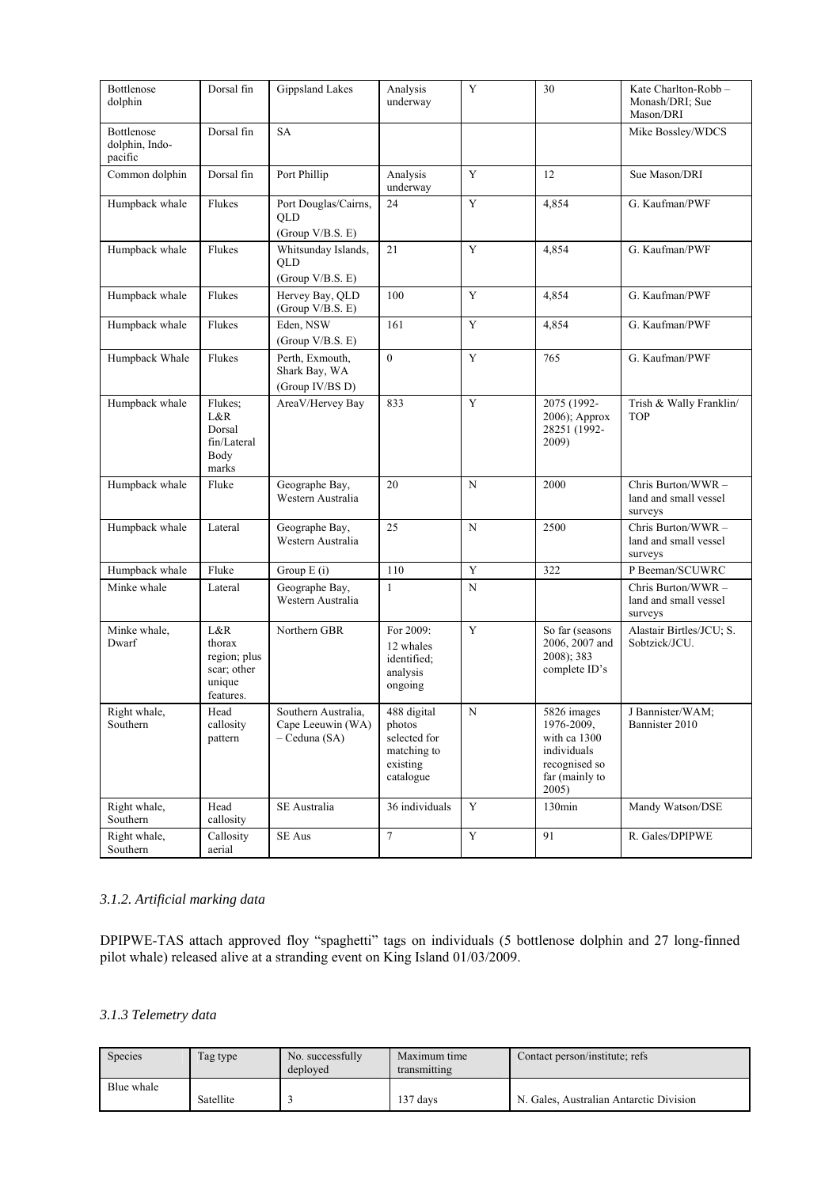| Bottlenose<br>dolphin                   | Dorsal fin                                                          | Gippsland Lakes                                           | Analysis<br>underway                                                          | Y           | 30                                                                                                   | Kate Charlton-Robb-<br>Monash/DRI; Sue<br>Mason/DRI   |
|-----------------------------------------|---------------------------------------------------------------------|-----------------------------------------------------------|-------------------------------------------------------------------------------|-------------|------------------------------------------------------------------------------------------------------|-------------------------------------------------------|
| Bottlenose<br>dolphin, Indo-<br>pacific | Dorsal fin                                                          | <b>SA</b>                                                 |                                                                               |             |                                                                                                      | Mike Bossley/WDCS                                     |
| Common dolphin                          | Dorsal fin                                                          | Port Phillip                                              | Analysis<br>underway                                                          | Y           | 12                                                                                                   | Sue Mason/DRI                                         |
| Humpback whale                          | Flukes                                                              | Port Douglas/Cairns,<br>QLD<br>(Group V/B.S. E)           | 24                                                                            | Y           | 4,854                                                                                                | G. Kaufman/PWF                                        |
| Humpback whale                          | Flukes                                                              | Whitsunday Islands,<br>QLD<br>(Group V/B.S. E)            | 21                                                                            | Y           | 4,854                                                                                                | G. Kaufman/PWF                                        |
| Humpback whale                          | Flukes                                                              | Hervey Bay, QLD<br>(Group V/B.S. E)                       | 100                                                                           | Y           | 4,854                                                                                                | G. Kaufman/PWF                                        |
| Humpback whale                          | Flukes                                                              | Eden, NSW<br>(Group $V/B.S. E$ )                          | 161                                                                           | Y           | 4,854                                                                                                | G. Kaufman/PWF                                        |
| Humpback Whale                          | Flukes                                                              | Perth, Exmouth,<br>Shark Bay, WA<br>(Group IV/BS D)       | $\theta$                                                                      | Y           | 765                                                                                                  | G. Kaufman/PWF                                        |
| Humpback whale                          | Flukes;<br>L&R<br>Dorsal<br>fin/Lateral<br>Body<br>marks            | AreaV/Hervey Bay                                          | 833                                                                           | Y           | 2075 (1992-<br>$2006$ ; Approx<br>28251 (1992-<br>2009)                                              | Trish & Wally Franklin/<br><b>TOP</b>                 |
| Humpback whale                          | Fluke                                                               | Geographe Bay,<br>Western Australia                       | 20                                                                            | N           | 2000                                                                                                 | Chris Burton/WWR-<br>land and small vessel<br>surveys |
| Humpback whale                          | Lateral                                                             | Geographe Bay,<br>Western Australia                       | 25                                                                            | N           | 2500                                                                                                 | Chris Burton/WWR-<br>land and small vessel<br>surveys |
| Humpback whale                          | Fluke                                                               | Group $E(i)$                                              | 110                                                                           | $\mathbf Y$ | 322                                                                                                  | P Beeman/SCUWRC                                       |
| Minke whale                             | Lateral                                                             | Geographe Bay,<br>Western Australia                       | $\mathbf{1}$                                                                  | N           |                                                                                                      | Chris Burton/WWR-<br>land and small vessel<br>surveys |
| Minke whale,<br>Dwarf                   | L&R<br>thorax<br>region; plus<br>scar; other<br>unique<br>features. | Northern GBR                                              | For 2009:<br>12 whales<br>identified;<br>analysis<br>ongoing                  | Y           | So far (seasons<br>2006, 2007 and<br>2008); 383<br>complete ID's                                     | Alastair Birtles/JCU; S.<br>Sobtzick/JCU.             |
| Right whale,<br>Southern                | Head<br>callosity<br>pattern                                        | Southern Australia,<br>Cape Leeuwin (WA)<br>- Ceduna (SA) | 488 digital<br>photos<br>selected for<br>matching to<br>existing<br>catalogue | N           | 5826 images<br>1976-2009.<br>with ca 1300<br>individuals<br>recognised so<br>far (mainly to<br>2005) | J Bannister/WAM;<br>Bannister 2010                    |
| Right whale,<br>Southern                | Head<br>callosity                                                   | SE Australia                                              | 36 individuals                                                                | $\mathbf Y$ | 130min                                                                                               | Mandy Watson/DSE                                      |
| Right whale,<br>Southern                | Callosity<br>aerial                                                 | SE Aus                                                    | $\overline{7}$                                                                | $\mathbf Y$ | 91                                                                                                   | R. Gales/DPIPWE                                       |

# *3.1.2. Artificial marking data*

DPIPWE-TAS attach approved floy "spaghetti" tags on individuals (5 bottlenose dolphin and 27 long-finned pilot whale) released alive at a stranding event on King Island 01/03/2009.

## *3.1.3 Telemetry data*

| Species    | Tag type  | No. successfully<br>deployed | Maximum time<br>transmitting | Contact person/institute; refs          |
|------------|-----------|------------------------------|------------------------------|-----------------------------------------|
| Blue whale | Satellite |                              | 137 days                     | N. Gales, Australian Antarctic Division |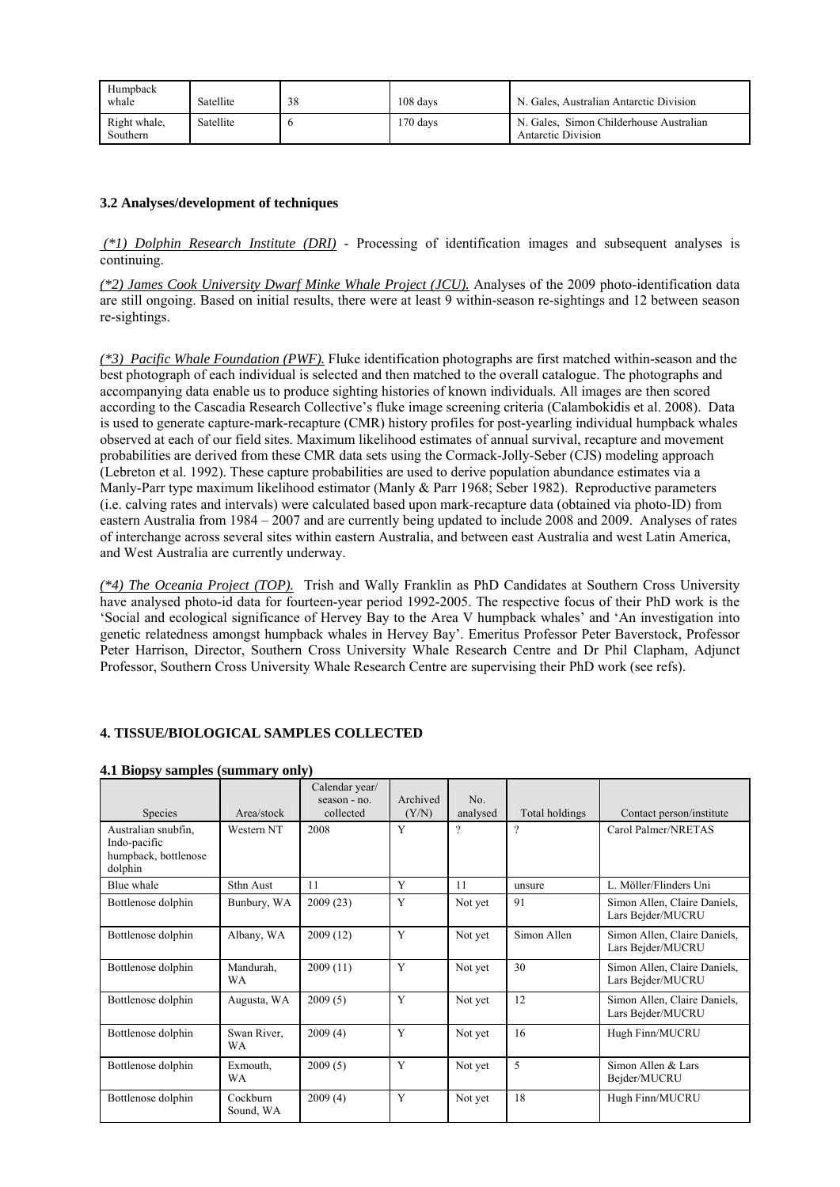| Humpback<br>whale        | Satellite | 38 | 108 days | N. Gales, Australian Antarctic Division                              |
|--------------------------|-----------|----|----------|----------------------------------------------------------------------|
| Right whale,<br>Southern | Satellite |    | 170 davs | N. Gales. Simon Childerhouse Australian<br><b>Antarctic Division</b> |

## **3.2 Analyses/development of techniques**

 *(\*1) Dolphin Research Institute (DRI)* - Processing of identification images and subsequent analyses is continuing.

*(\*2) James Cook University Dwarf Minke Whale Project (JCU).* Analyses of the 2009 photo-identification data are still ongoing. Based on initial results, there were at least 9 within-season re-sightings and 12 between season re-sightings.

*(\*3) Pacific Whale Foundation (PWF).* Fluke identification photographs are first matched within-season and the best photograph of each individual is selected and then matched to the overall catalogue. The photographs and accompanying data enable us to produce sighting histories of known individuals. All images are then scored according to the Cascadia Research Collective's fluke image screening criteria (Calambokidis et al. 2008). Data is used to generate capture-mark-recapture (CMR) history profiles for post-yearling individual humpback whales observed at each of our field sites. Maximum likelihood estimates of annual survival, recapture and movement probabilities are derived from these CMR data sets using the Cormack-Jolly-Seber (CJS) modeling approach (Lebreton et al. 1992). These capture probabilities are used to derive population abundance estimates via a Manly-Parr type maximum likelihood estimator (Manly & Parr 1968; Seber 1982). Reproductive parameters (i.e. calving rates and intervals) were calculated based upon mark-recapture data (obtained via photo-ID) from eastern Australia from 1984 – 2007 and are currently being updated to include 2008 and 2009. Analyses of rates of interchange across several sites within eastern Australia, and between east Australia and west Latin America, and West Australia are currently underway.

*(\*4) The Oceania Project (TOP).*Trish and Wally Franklin as PhD Candidates at Southern Cross University have analysed photo-id data for fourteen-year period 1992-2005. The respective focus of their PhD work is the 'Social and ecological significance of Hervey Bay to the Area V humpback whales' and 'An investigation into genetic relatedness amongst humpback whales in Hervey Bay'. Emeritus Professor Peter Baverstock, Professor Peter Harrison, Director, Southern Cross University Whale Research Centre and Dr Phil Clapham, Adjunct Professor, Southern Cross University Whale Research Centre are supervising their PhD work (see refs).

# **4. TISSUE/BIOLOGICAL SAMPLES COLLECTED**

| <b>Species</b>                                                         | Area/stock               | Calendar year/<br>season - no.<br>collected | Archived<br>(Y/N) | No.<br>analysed | Total holdings | Contact person/institute                          |
|------------------------------------------------------------------------|--------------------------|---------------------------------------------|-------------------|-----------------|----------------|---------------------------------------------------|
| Australian snubfin,<br>Indo-pacific<br>humpback, bottlenose<br>dolphin | Western NT               | 2008                                        | Y                 | ?               | ?              | Carol Palmer/NRETAS                               |
| Blue whale                                                             | Sthn Aust                | 11                                          | Y                 | 11              | unsure         | L. Möller/Flinders Uni                            |
| Bottlenose dolphin                                                     | Bunbury, WA              | 2009(23)                                    | Y                 | Not yet         | 91             | Simon Allen, Claire Daniels,<br>Lars Bejder/MUCRU |
| Bottlenose dolphin                                                     | Albany, WA               | 2009(12)                                    | Y                 | Not yet         | Simon Allen    | Simon Allen, Claire Daniels,<br>Lars Bejder/MUCRU |
| Bottlenose dolphin                                                     | Mandurah,<br><b>WA</b>   | 2009(11)                                    | Y                 | Not yet         | 30             | Simon Allen, Claire Daniels,<br>Lars Bejder/MUCRU |
| Bottlenose dolphin                                                     | Augusta, WA              | 2009(5)                                     | Y                 | Not yet         | 12             | Simon Allen, Claire Daniels,<br>Lars Bejder/MUCRU |
| Bottlenose dolphin                                                     | Swan River,<br><b>WA</b> | 2009(4)                                     | Y                 | Not yet         | 16             | Hugh Finn/MUCRU                                   |
| Bottlenose dolphin                                                     | Exmouth,<br><b>WA</b>    | 2009(5)                                     | Y                 | Not yet         | 5              | Simon Allen & Lars<br>Bejder/MUCRU                |
| Bottlenose dolphin                                                     | Cockburn<br>Sound, WA    | 2009(4)                                     | Y                 | Not yet         | 18             | Hugh Finn/MUCRU                                   |

#### **4.1 Biopsy samples (summary only)**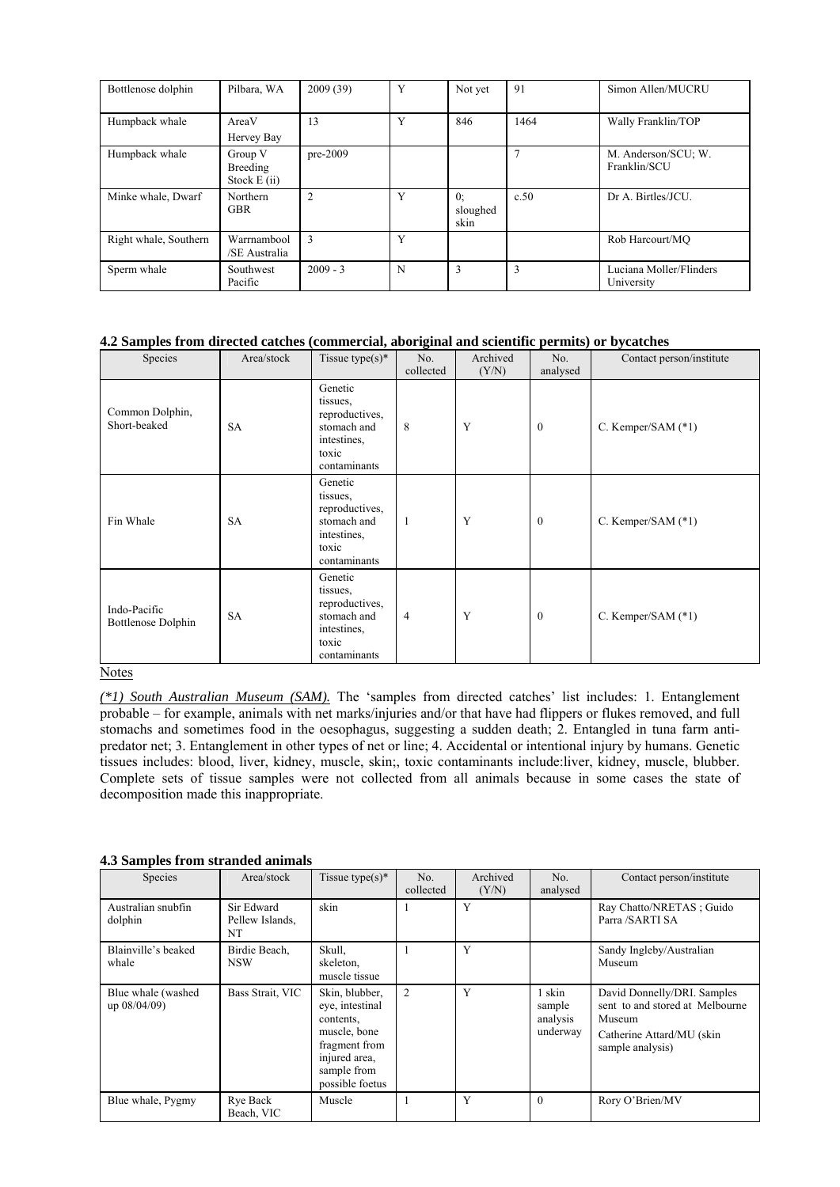| Bottlenose dolphin    | Pilbara, WA                         | 2009(39)   | Y<br>Not yet |                        | 91   | Simon Allen/MUCRU                     |
|-----------------------|-------------------------------------|------------|--------------|------------------------|------|---------------------------------------|
| Humpback whale        | AreaV<br>Hervey Bay                 | 13         | Y            | 846                    | 1464 | Wally Franklin/TOP                    |
| Humpback whale        | Group V<br>Breeding<br>Stock $E(i)$ | pre-2009   |              |                        |      | M. Anderson/SCU; W.<br>Franklin/SCU   |
| Minke whale, Dwarf    | Northern<br><b>GBR</b>              | 2          | Y            | 0:<br>sloughed<br>skin | c.50 | Dr A. Birtles/JCU.                    |
| Right whale, Southern | Warrnambool<br>/SE Australia        | 3          | Y            |                        |      | Rob Harcourt/MO                       |
| Sperm whale           | Southwest<br>Pacific                | $2009 - 3$ | N            | 3                      | 3    | Luciana Moller/Flinders<br>University |

## **4.2 Samples from directed catches (commercial, aboriginal and scientific permits) or bycatches**

| Species                                   | Area/stock | Tissue type $(s)^*$                                                                          | No.<br>collected | Archived<br>(Y/N) | No.<br>analysed | Contact person/institute |
|-------------------------------------------|------------|----------------------------------------------------------------------------------------------|------------------|-------------------|-----------------|--------------------------|
| Common Dolphin,<br>Short-beaked           | <b>SA</b>  | Genetic<br>tissues,<br>reproductives,<br>stomach and<br>intestines,<br>toxic<br>contaminants | 8                | Y                 | $\mathbf{0}$    | C. Kemper/SAM $(*1)$     |
| Fin Whale                                 | <b>SA</b>  | Genetic<br>tissues,<br>reproductives,<br>stomach and<br>intestines,<br>toxic<br>contaminants | 1                | Y                 | $\mathbf{0}$    | C. Kemper/SAM $(*1)$     |
| Indo-Pacific<br><b>Bottlenose Dolphin</b> | SA         | Genetic<br>tissues,<br>reproductives,<br>stomach and<br>intestines,<br>toxic<br>contaminants | $\overline{4}$   | Y                 | $\mathbf{0}$    | C. Kemper/SAM $(*1)$     |

### Notes

*(\*1) South Australian Museum (SAM).* The 'samples from directed catches' list includes: 1. Entanglement probable – for example, animals with net marks/injuries and/or that have had flippers or flukes removed, and full stomachs and sometimes food in the oesophagus, suggesting a sudden death; 2. Entangled in tuna farm antipredator net; 3. Entanglement in other types of net or line; 4. Accidental or intentional injury by humans. Genetic tissues includes: blood, liver, kidney, muscle, skin;, toxic contaminants include:liver, kidney, muscle, blubber. Complete sets of tissue samples were not collected from all animals because in some cases the state of decomposition made this inappropriate.

### **4.3 Samples from stranded animals**

| Species                              | Area/stock                          | Tissue type(s) $*$                                                                                                                 | No.<br>collected | Archived<br>(Y/N) | No.<br>analysed                          | Contact person/institute                                                                                                  |
|--------------------------------------|-------------------------------------|------------------------------------------------------------------------------------------------------------------------------------|------------------|-------------------|------------------------------------------|---------------------------------------------------------------------------------------------------------------------------|
| Australian snubfin<br>dolphin        | Sir Edward<br>Pellew Islands.<br>NT | skin                                                                                                                               |                  | Y                 |                                          | Ray Chatto/NRETAS; Guido<br>Parra /SARTI SA                                                                               |
| Blainville's beaked<br>whale         | Birdie Beach,<br><b>NSW</b>         | Skull,<br>skeleton,<br>muscle tissue                                                                                               |                  | Y                 |                                          | Sandy Ingleby/Australian<br>Museum                                                                                        |
| Blue whale (washed<br>$up\ 08/04/09$ | Bass Strait, VIC                    | Skin, blubber,<br>eye, intestinal<br>contents.<br>muscle, bone<br>fragment from<br>injured area,<br>sample from<br>possible foetus | 2                | Y                 | l skin<br>sample<br>analysis<br>underway | David Donnelly/DRI. Samples<br>sent to and stored at Melbourne<br>Museum<br>Catherine Attard/MU (skin<br>sample analysis) |
| Blue whale, Pygmy                    | Rye Back<br>Beach, VIC              | Muscle                                                                                                                             |                  | Y                 | $\theta$                                 | Rory O'Brien/MV                                                                                                           |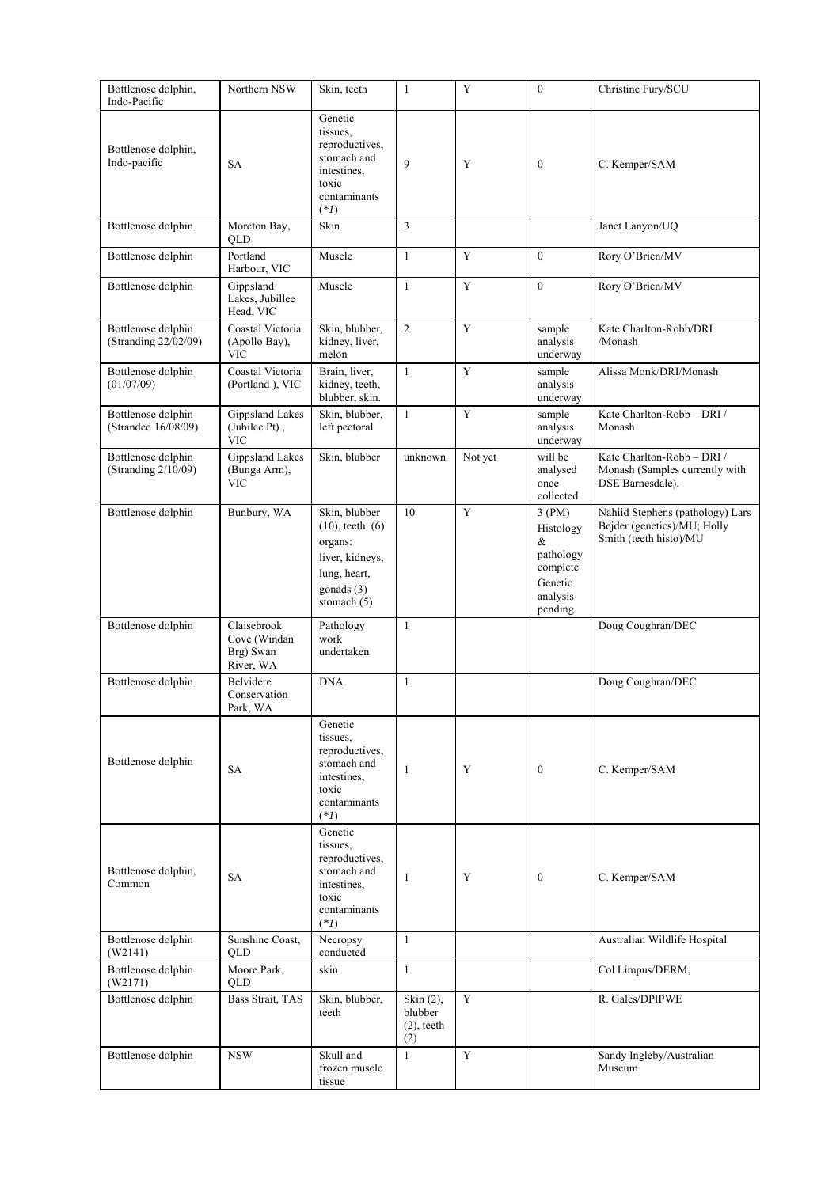| Bottlenose dolphin,<br>Indo-Pacific        | Northern NSW                                          | Skin, teeth                                                                                                      | 1                                            | Y       | $\mathbf{0}$                                                                        | Christine Fury/SCU                                                                        |
|--------------------------------------------|-------------------------------------------------------|------------------------------------------------------------------------------------------------------------------|----------------------------------------------|---------|-------------------------------------------------------------------------------------|-------------------------------------------------------------------------------------------|
| Bottlenose dolphin,<br>Indo-pacific        | <b>SA</b>                                             | Genetic<br>tissues,<br>reproductives,<br>stomach and<br>intestines,<br>toxic<br>contaminants<br>$(*1)$           | 9                                            | Y       | $\mathbf{0}$                                                                        | C. Kemper/SAM                                                                             |
| Bottlenose dolphin                         | Moreton Bay,<br>QLD                                   | Skin                                                                                                             | 3                                            |         |                                                                                     | Janet Lanyon/UQ                                                                           |
| Bottlenose dolphin                         | Portland<br>Harbour, VIC                              | Muscle                                                                                                           | 1                                            | Y       | $\mathbf{0}$                                                                        | Rory O'Brien/MV                                                                           |
| Bottlenose dolphin                         | Gippsland<br>Lakes, Jubillee<br>Head, VIC             | Muscle                                                                                                           | $\mathbf{1}$                                 | Y       | $\mathbf{0}$                                                                        | Rory O'Brien/MV                                                                           |
| Bottlenose dolphin<br>(Stranding 22/02/09) | Coastal Victoria<br>(Apollo Bay),<br><b>VIC</b>       | Skin, blubber,<br>kidney, liver,<br>melon                                                                        | $\overline{c}$                               | Y       | sample<br>analysis<br>underway                                                      | Kate Charlton-Robb/DRI<br>/Monash                                                         |
| Bottlenose dolphin<br>(01/07/09)           | Coastal Victoria<br>(Portland), VIC                   | Brain, liver,<br>kidney, teeth,<br>blubber, skin.                                                                | $\mathbf{1}$                                 | Y       | sample<br>analysis<br>underway                                                      | Alissa Monk/DRI/Monash                                                                    |
| Bottlenose dolphin<br>(Stranded 16/08/09)  | <b>Gippsland Lakes</b><br>(Jubilee Pt),<br><b>VIC</b> | Skin, blubber,<br>left pectoral                                                                                  | $\mathbf{1}$                                 | Y       | sample<br>analysis<br>underway                                                      | Kate Charlton-Robb - DRI /<br>Monash                                                      |
| Bottlenose dolphin<br>(Stranding 2/10/09)  | Gippsland Lakes<br>(Bunga Arm),<br><b>VIC</b>         | Skin, blubber                                                                                                    | unknown                                      | Not yet | will be<br>analysed<br>once<br>collected                                            | Kate Charlton-Robb - DRI /<br>Monash (Samples currently with<br>DSE Barnesdale).          |
| Bottlenose dolphin                         | Bunbury, WA                                           | Skin, blubber<br>$(10)$ , teeth $(6)$<br>organs:<br>liver, kidneys,<br>lung, heart,<br>gonads (3)<br>stomach (5) | 10                                           | Y       | 3 (PM)<br>Histology<br>&<br>pathology<br>complete<br>Genetic<br>analysis<br>pending | Nahiid Stephens (pathology) Lars<br>Bejder (genetics)/MU; Holly<br>Smith (teeth histo)/MU |
| Bottlenose dolphin                         | Claisebrook<br>Cove (Windan<br>Brg) Swan<br>River, WA | Pathology<br>work<br>undertaken                                                                                  | $\mathbf{1}$                                 |         |                                                                                     | Doug Coughran/DEC                                                                         |
| Bottlenose dolphin                         | Belvidere<br>Conservation<br>Park, WA                 | <b>DNA</b>                                                                                                       | 1                                            |         |                                                                                     | Doug Coughran/DEC                                                                         |
| Bottlenose dolphin                         | SA                                                    | Genetic<br>tissues.<br>reproductives.<br>stomach and<br>intestines,<br>toxic<br>contaminants<br>$(*1)$           | 1                                            | Y       | $\mathbf{0}$                                                                        | C. Kemper/SAM                                                                             |
| Bottlenose dolphin,<br>Common              | SA                                                    | Genetic<br>tissues.<br>reproductives,<br>stomach and<br>intestines,<br>toxic<br>contaminants<br>$(*I)$           | 1                                            | Y       | $\mathbf{0}$                                                                        | C. Kemper/SAM                                                                             |
| Bottlenose dolphin<br>(W2141)              | Sunshine Coast,<br>QLD                                | Necropsy<br>conducted                                                                                            | $\mathbf{1}$                                 |         |                                                                                     | Australian Wildlife Hospital                                                              |
| Bottlenose dolphin<br>(W2171)              | Moore Park,<br>QLD                                    | skin                                                                                                             | 1                                            |         |                                                                                     | Col Limpus/DERM,                                                                          |
| Bottlenose dolphin                         | Bass Strait, TAS                                      | Skin, blubber,<br>teeth                                                                                          | Skin (2),<br>blubber<br>$(2)$ , teeth<br>(2) | Y       |                                                                                     | R. Gales/DPIPWE                                                                           |
| Bottlenose dolphin                         | <b>NSW</b>                                            | Skull and<br>frozen muscle<br>tissue                                                                             | $\mathbf{1}$                                 | Y       |                                                                                     | Sandy Ingleby/Australian<br>Museum                                                        |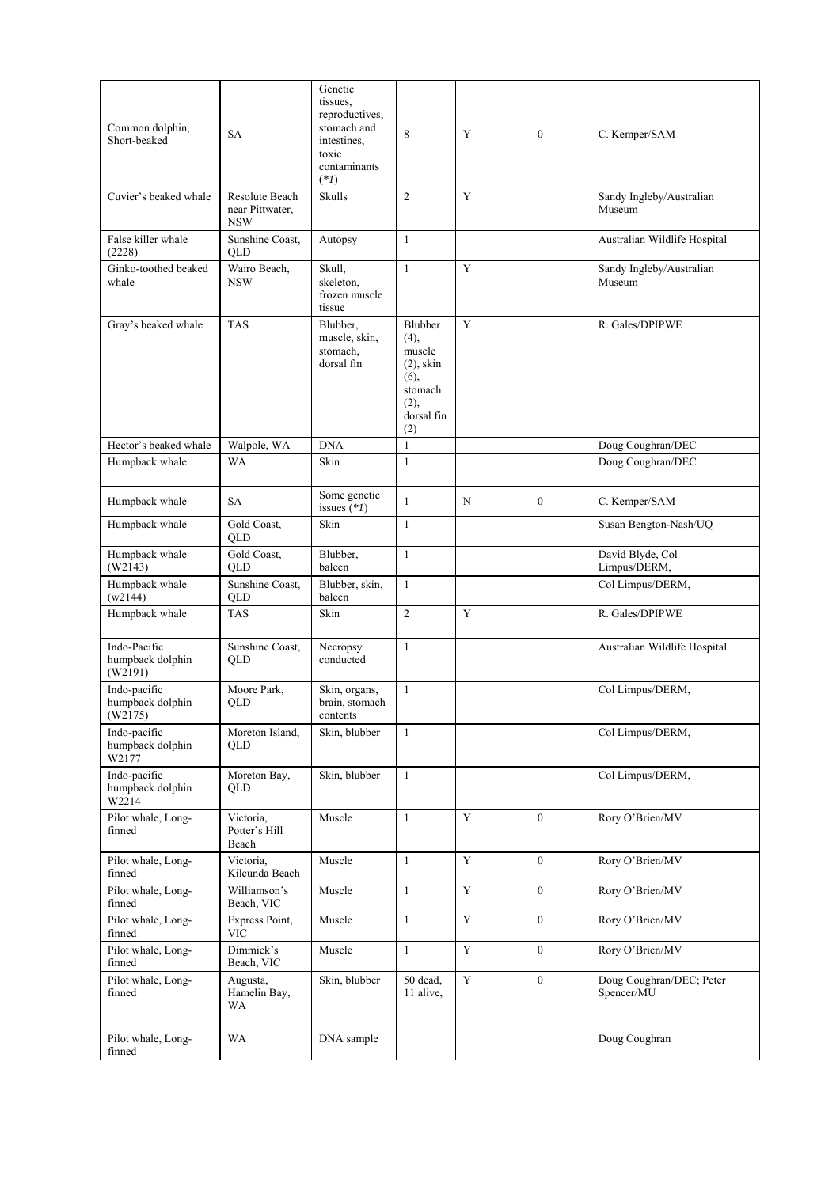| Common dolphin,<br>Short-beaked             | <b>SA</b>                                       | Genetic<br>tissues,<br>reproductives,<br>stomach and<br>intestines,<br>toxic<br>contaminants<br>$(*1)$ | 8                                                                                         | Y | $\mathbf{0}$     | C. Kemper/SAM                          |
|---------------------------------------------|-------------------------------------------------|--------------------------------------------------------------------------------------------------------|-------------------------------------------------------------------------------------------|---|------------------|----------------------------------------|
| Cuvier's beaked whale                       | Resolute Beach<br>near Pittwater,<br><b>NSW</b> | Skulls                                                                                                 | $\overline{c}$                                                                            | Y |                  | Sandy Ingleby/Australian<br>Museum     |
| False killer whale<br>(2228)                | Sunshine Coast,<br>QLD                          | Autopsy                                                                                                | $\mathbf{1}$                                                                              |   |                  | Australian Wildlife Hospital           |
| Ginko-toothed beaked<br>whale               | Wairo Beach,<br><b>NSW</b>                      | Skull.<br>skeleton,<br>frozen muscle<br>tissue                                                         | $\mathbf{1}$                                                                              | Y |                  | Sandy Ingleby/Australian<br>Museum     |
| Gray's beaked whale                         | <b>TAS</b>                                      | Blubber,<br>muscle, skin,<br>stomach.<br>dorsal fin                                                    | Blubber<br>(4),<br>muscle<br>$(2)$ , skin<br>(6),<br>stomach<br>(2),<br>dorsal fin<br>(2) | Y |                  | R. Gales/DPIPWE                        |
| Hector's beaked whale                       | Walpole, WA                                     | <b>DNA</b>                                                                                             | $\mathbf{1}$                                                                              |   |                  | Doug Coughran/DEC                      |
| Humpback whale                              | <b>WA</b>                                       | Skin                                                                                                   | $\mathbf{1}$                                                                              |   |                  | Doug Coughran/DEC                      |
| Humpback whale                              | <b>SA</b>                                       | Some genetic<br>issues $(*I)$                                                                          | $\mathbf{1}$                                                                              | N | $\mathbf{0}$     | C. Kemper/SAM                          |
| Humpback whale                              | Gold Coast,<br><b>OLD</b>                       | Skin                                                                                                   | $\mathbf{1}$                                                                              |   |                  | Susan Bengton-Nash/UQ                  |
| Humpback whale<br>(W2143)                   | Gold Coast,<br>QLD                              | Blubber,<br>baleen                                                                                     | $\mathbf{1}$                                                                              |   |                  | David Blyde, Col<br>Limpus/DERM,       |
| Humpback whale<br>(w2144)                   | Sunshine Coast,<br>QLD                          | Blubber, skin,<br>baleen                                                                               | $\mathbf{1}$                                                                              |   |                  | Col Limpus/DERM,                       |
| Humpback whale                              | <b>TAS</b>                                      | Skin                                                                                                   | $\overline{c}$                                                                            | Y |                  | R. Gales/DPIPWE                        |
| Indo-Pacific<br>humpback dolphin<br>(W2191) | Sunshine Coast,<br>QLD                          | Necropsy<br>conducted                                                                                  | $\mathbf{1}$                                                                              |   |                  | Australian Wildlife Hospital           |
| Indo-pacific<br>humpback dolphin<br>(W2175) | Moore Park,<br>QLD                              | Skin, organs,<br>brain, stomach<br>contents                                                            | $\mathbf{1}$                                                                              |   |                  | Col Limpus/DERM,                       |
| Indo-pacific<br>humpback dolphin<br>W2177   | Moreton Island,<br>QLD                          | Skin, blubber                                                                                          | $\mathbf{1}$                                                                              |   |                  | Col Limpus/DERM,                       |
| Indo-pacific<br>humpback dolphin<br>W2214   | Moreton Bay,<br>QLD                             | Skin, blubber                                                                                          | $\mathbf{1}$                                                                              |   |                  | Col Limpus/DERM,                       |
| Pilot whale, Long-<br>finned                | Victoria,<br>Potter's Hill<br>Beach             | Muscle                                                                                                 | $\mathbf{1}$                                                                              | Y | $\mathbf{0}$     | Rory O'Brien/MV                        |
| Pilot whale, Long-<br>finned                | Victoria,<br>Kilcunda Beach                     | Muscle                                                                                                 | $\mathbf{1}$                                                                              | Y | $\mathbf{0}$     | Rory O'Brien/MV                        |
| Pilot whale, Long-<br>finned                | Williamson's<br>Beach, VIC                      | Muscle                                                                                                 | $\mathbf{1}$                                                                              | Y | $\overline{0}$   | Rory O'Brien/MV                        |
| Pilot whale, Long-<br>finned                | Express Point,<br><b>VIC</b>                    | Muscle                                                                                                 | $\mathbf{1}$                                                                              | Y | $\overline{0}$   | Rory O'Brien/MV                        |
| Pilot whale, Long-<br>finned                | Dimmick's<br>Beach, VIC                         | Muscle                                                                                                 | $\mathbf{1}$                                                                              | Y | $\boldsymbol{0}$ | Rory O'Brien/MV                        |
| Pilot whale, Long-<br>finned                | Augusta,<br>Hamelin Bay,<br>WA                  | Skin, blubber                                                                                          | 50 dead,<br>11 alive,                                                                     | Y | $\mathbf{0}$     | Doug Coughran/DEC; Peter<br>Spencer/MU |
| Pilot whale, Long-<br>finned                | <b>WA</b>                                       | DNA sample                                                                                             |                                                                                           |   |                  | Doug Coughran                          |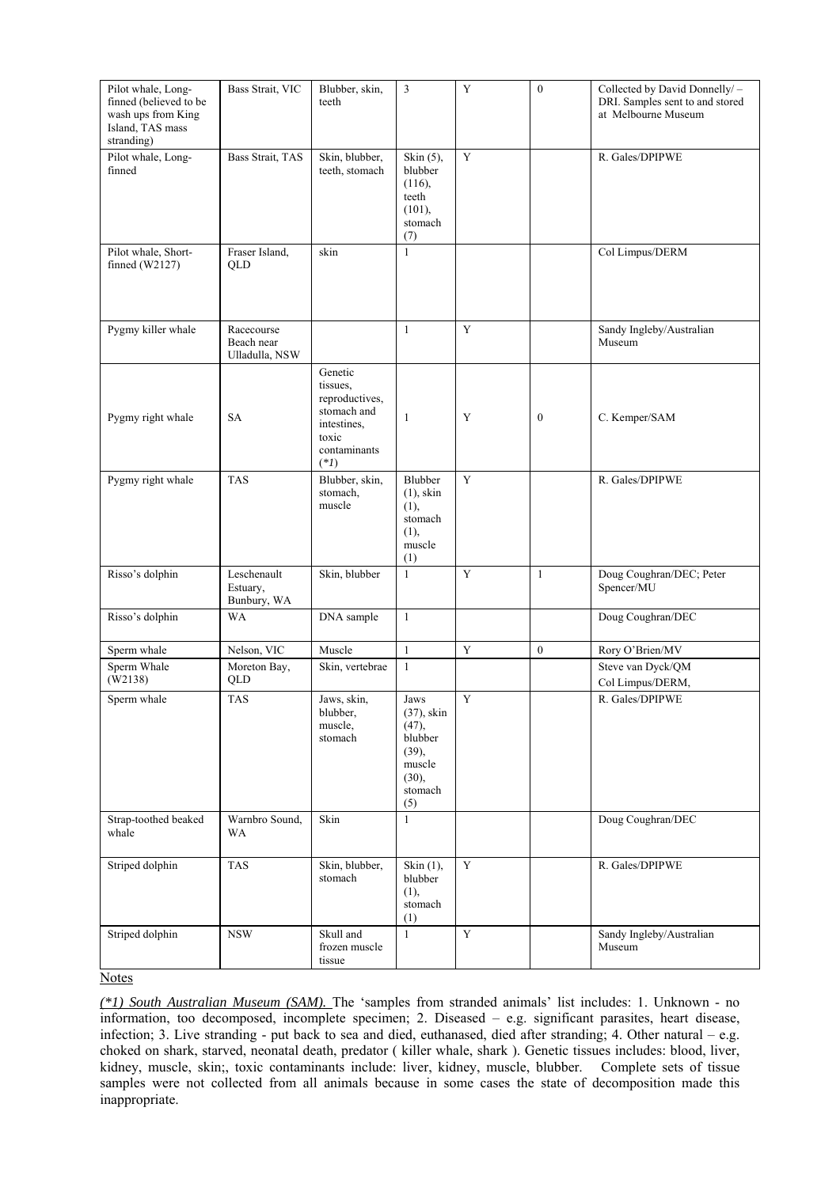| Pilot whale, Long-<br>finned (believed to be<br>wash ups from King<br>Island, TAS mass<br>stranding) | Bass Strait, VIC                           | Blubber, skin,<br>teeth                                                                                | 3                                                                                          | Y           | $\mathbf{0}$     | Collected by David Donnelly/ -<br>DRI. Samples sent to and stored<br>at Melbourne Museum |
|------------------------------------------------------------------------------------------------------|--------------------------------------------|--------------------------------------------------------------------------------------------------------|--------------------------------------------------------------------------------------------|-------------|------------------|------------------------------------------------------------------------------------------|
| Pilot whale, Long-<br>finned                                                                         | Bass Strait, TAS                           | Skin, blubber,<br>teeth, stomach                                                                       | Skin $(5)$ ,<br>blubber<br>(116),<br>teeth<br>(101),<br>stomach<br>(7)                     | Y           |                  | R. Gales/DPIPWE                                                                          |
| Pilot whale, Short-<br>finned $(W2127)$                                                              | Fraser Island,<br>QLD                      | skin                                                                                                   | $\mathbf{1}$                                                                               |             |                  | Col Limpus/DERM                                                                          |
| Pygmy killer whale                                                                                   | Racecourse<br>Beach near<br>Ulladulla, NSW |                                                                                                        | $\mathbf{1}$                                                                               | Y           |                  | Sandy Ingleby/Australian<br>Museum                                                       |
| Pygmy right whale                                                                                    | SA                                         | Genetic<br>tissues,<br>reproductives,<br>stomach and<br>intestines.<br>toxic<br>contaminants<br>$(*1)$ | 1                                                                                          | Y           | $\bf{0}$         | C. Kemper/SAM                                                                            |
| Pygmy right whale                                                                                    | <b>TAS</b>                                 | Blubber, skin,<br>stomach,<br>muscle                                                                   | Blubber<br>$(1)$ , skin<br>(1),<br>stomach<br>(1),<br>muscle<br>(1)                        | Y           |                  | R. Gales/DPIPWE                                                                          |
| Risso's dolphin                                                                                      | Leschenault<br>Estuary,<br>Bunbury, WA     | Skin, blubber                                                                                          | $\mathbf{1}$                                                                               | $\mathbf Y$ | $\mathbf{1}$     | Doug Coughran/DEC; Peter<br>Spencer/MU                                                   |
| Risso's dolphin                                                                                      | <b>WA</b>                                  | DNA sample                                                                                             | $\mathbf{1}$                                                                               |             |                  | Doug Coughran/DEC                                                                        |
| Sperm whale                                                                                          | Nelson, VIC                                | Muscle                                                                                                 | $\mathbf{1}$                                                                               | $\mathbf Y$ | $\boldsymbol{0}$ | Rory O'Brien/MV                                                                          |
| Sperm Whale<br>(W2138)                                                                               | Moreton Bay,<br>QLD                        | Skin, vertebrae                                                                                        | $\mathbf{1}$                                                                               |             |                  | Steve van Dyck/QM<br>Col Limpus/DERM,                                                    |
| Sperm whale                                                                                          | <b>TAS</b>                                 | Jaws, skin,<br>blubber,<br>muscle,<br>stomach                                                          | Jaws<br>$(37)$ , skin<br>$(47)$ ,<br>blubber<br>(39),<br>muscle<br>(30),<br>stomach<br>(5) | Y           |                  | R. Gales/DPIPWE                                                                          |
| Strap-toothed beaked<br>whale                                                                        | Warnbro Sound,<br><b>WA</b>                | Skin                                                                                                   | $\mathbf{1}$                                                                               |             |                  | Doug Coughran/DEC                                                                        |
| Striped dolphin                                                                                      | <b>TAS</b>                                 | Skin, blubber,<br>stomach                                                                              | Skin (1),<br>blubber<br>(1),<br>stomach<br>(1)                                             | $\mathbf Y$ |                  | R. Gales/DPIPWE                                                                          |
| Striped dolphin                                                                                      | <b>NSW</b>                                 | Skull and<br>frozen muscle<br>tissue                                                                   | $\mathbf{1}$                                                                               | $\mathbf Y$ |                  | Sandy Ingleby/Australian<br>Museum                                                       |

**Notes** 

*(\*1) South Australian Museum (SAM).* The 'samples from stranded animals' list includes: 1. Unknown - no information, too decomposed, incomplete specimen; 2. Diseased – e.g. significant parasites, heart disease, infection; 3. Live stranding - put back to sea and died, euthanased, died after stranding; 4. Other natural – e.g. choked on shark, starved, neonatal death, predator ( killer whale, shark ). Genetic tissues includes: blood, liver, kidney, muscle, skin;, toxic contaminants include: liver, kidney, muscle, blubber. Complete sets of tissue samples were not collected from all animals because in some cases the state of decomposition made this inappropriate.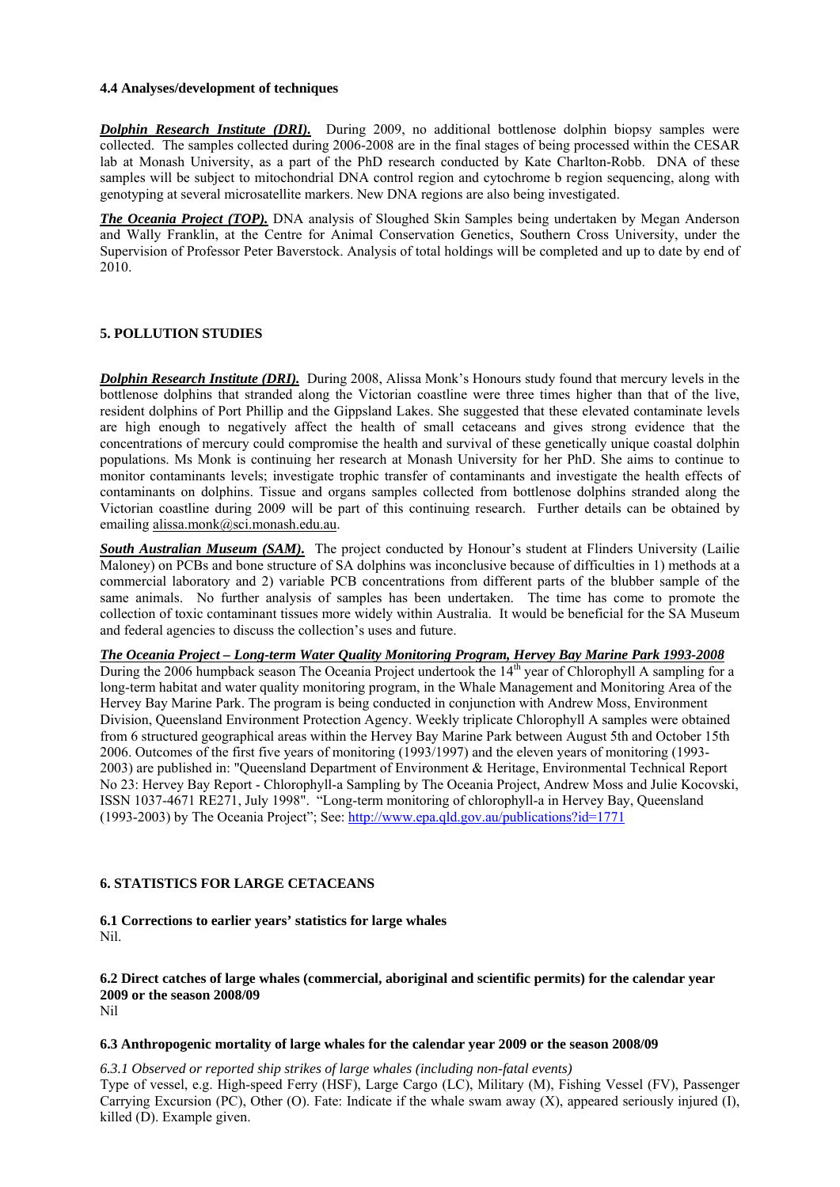#### **4.4 Analyses/development of techniques**

*Dolphin Research Institute (DRI).* During 2009, no additional bottlenose dolphin biopsy samples were collected. The samples collected during 2006-2008 are in the final stages of being processed within the CESAR lab at Monash University, as a part of the PhD research conducted by Kate Charlton-Robb. DNA of these samples will be subject to mitochondrial DNA control region and cytochrome b region sequencing, along with genotyping at several microsatellite markers. New DNA regions are also being investigated.

*The Oceania Project (TOP).* DNA analysis of Sloughed Skin Samples being undertaken by Megan Anderson and Wally Franklin, at the Centre for Animal Conservation Genetics, Southern Cross University, under the Supervision of Professor Peter Baverstock. Analysis of total holdings will be completed and up to date by end of 2010.

### **5. POLLUTION STUDIES**

*Dolphin Research Institute (DRI).* During 2008, Alissa Monk's Honours study found that mercury levels in the bottlenose dolphins that stranded along the Victorian coastline were three times higher than that of the live, resident dolphins of Port Phillip and the Gippsland Lakes. She suggested that these elevated contaminate levels are high enough to negatively affect the health of small cetaceans and gives strong evidence that the concentrations of mercury could compromise the health and survival of these genetically unique coastal dolphin populations. Ms Monk is continuing her research at Monash University for her PhD. She aims to continue to monitor contaminants levels; investigate trophic transfer of contaminants and investigate the health effects of contaminants on dolphins. Tissue and organs samples collected from bottlenose dolphins stranded along the Victorian coastline during 2009 will be part of this continuing research. Further details can be obtained by emailing [alissa.monk@sci.monash.edu.au.](mailto:alissa.monk@sci.monash.edu.au)

**South Australian Museum (SAM).** The project conducted by Honour's student at Flinders University (Lailie) Maloney) on PCBs and bone structure of SA dolphins was inconclusive because of difficulties in 1) methods at a commercial laboratory and 2) variable PCB concentrations from different parts of the blubber sample of the same animals. No further analysis of samples has been undertaken. The time has come to promote the collection of toxic contaminant tissues more widely within Australia. It would be beneficial for the SA Museum and federal agencies to discuss the collection's uses and future.

# *The Oceania Project – Long-term Water Quality Monitoring Program, Hervey Bay Marine Park 1993-2008*

During the 2006 humpback season The Oceania Project undertook the  $14<sup>th</sup>$  year of Chlorophyll A sampling for a long-term habitat and water quality monitoring program, in the Whale Management and Monitoring Area of the Hervey Bay Marine Park. The program is being conducted in conjunction with Andrew Moss, Environment Division, Queensland Environment Protection Agency. Weekly triplicate Chlorophyll A samples were obtained from 6 structured geographical areas within the Hervey Bay Marine Park between August 5th and October 15th 2006. Outcomes of the first five years of monitoring (1993/1997) and the eleven years of monitoring (1993- 2003) are published in: "Queensland Department of Environment & Heritage, Environmental Technical Report No 23: Hervey Bay Report - Chlorophyll-a Sampling by The Oceania Project, Andrew Moss and Julie Kocovski, ISSN 1037-4671 RE271, July 1998". "Long-term monitoring of chlorophyll-a in Hervey Bay, Queensland (1993-2003) by The Oceania Project"; See:<http://www.epa.qld.gov.au/publications?id=1771>

### **6. STATISTICS FOR LARGE CETACEANS**

**6.1 Corrections to earlier years' statistics for large whales**  Nil.

**6.2 Direct catches of large whales (commercial, aboriginal and scientific permits) for the calendar year 2009 or the season 2008/09**  Nil

#### **6.3 Anthropogenic mortality of large whales for the calendar year 2009 or the season 2008/09**

*6.3.1 Observed or reported ship strikes of large whales (including non-fatal events)*  Type of vessel, e.g. High-speed Ferry (HSF), Large Cargo (LC), Military (M), Fishing Vessel (FV), Passenger Carrying Excursion (PC), Other (O). Fate: Indicate if the whale swam away (X), appeared seriously injured (I), killed (D). Example given.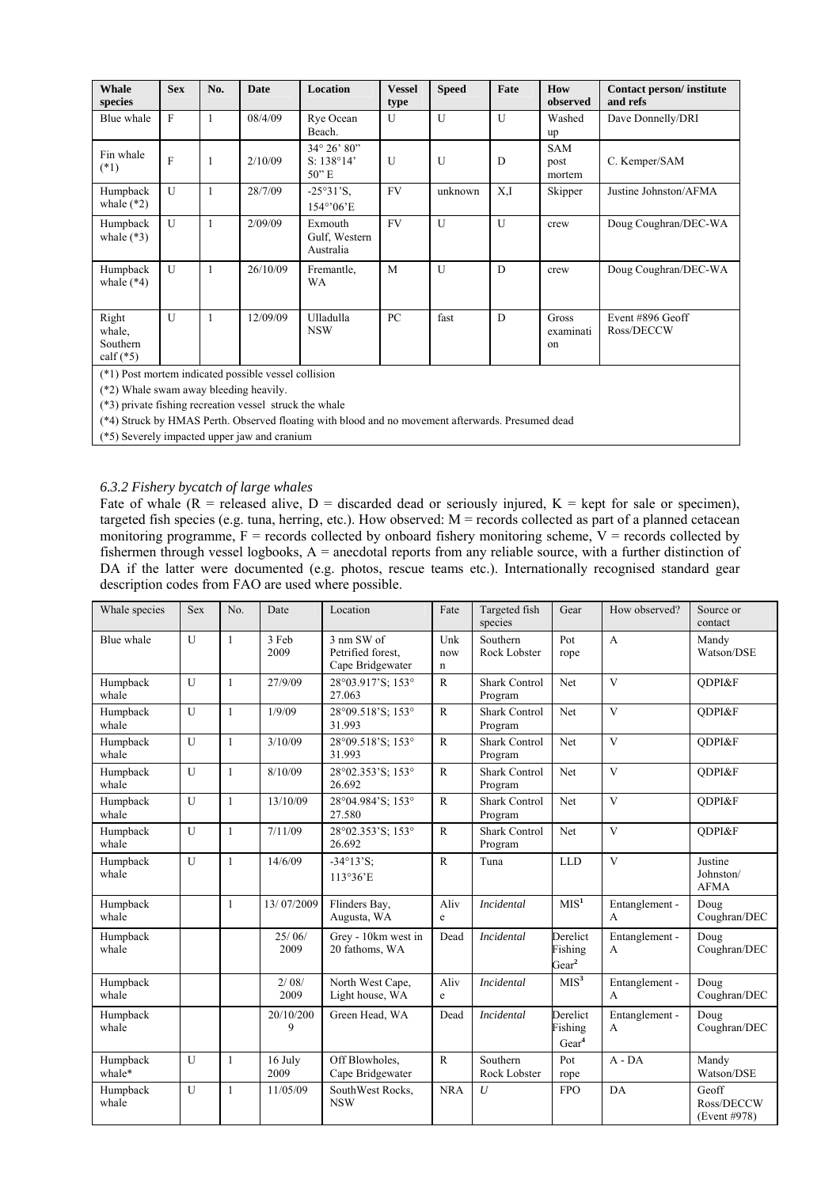| <b>Whale</b><br>species                    | <b>Sex</b>     | No. | <b>Date</b>                                          | <b>Location</b>                            | <b>Vessel</b><br>type | <b>Speed</b> | Fate         | How<br>observed              | Contact person/institute<br>and refs |
|--------------------------------------------|----------------|-----|------------------------------------------------------|--------------------------------------------|-----------------------|--------------|--------------|------------------------------|--------------------------------------|
| Blue whale                                 | F              |     | 08/4/09                                              | Rye Ocean<br>Beach.                        | $\mathbf{U}$          | U            | $\mathbf{U}$ | Washed<br>up                 | Dave Donnelly/DRI                    |
| Fin whale<br>$(*1)$                        | F              |     | 2/10/09                                              | 34° 26' 80"<br>$S: 138^{\circ}14'$<br>50"E | U                     | U            | D            | <b>SAM</b><br>post<br>mortem | C. Kemper/SAM                        |
| Humpback<br>whale $(*2)$                   | $\overline{U}$ |     | 28/7/09                                              | $-25^{\circ}31^{\circ}S$ .<br>154°'06'E    | <b>FV</b>             | unknown      | X.I          | Skipper                      | Justine Johnston/AFMA                |
| Humpback<br>whale $(*3)$                   | U              |     | 2/09/09                                              | Exmouth<br>Gulf, Western<br>Australia      | <b>FV</b>             | U            | $\mathbf{U}$ | crew                         | Doug Coughran/DEC-WA                 |
| Humpback<br>whale $(*4)$                   | U              |     | 26/10/09                                             | Fremantle,<br>WA                           | M                     | U            | D            | crew                         | Doug Coughran/DEC-WA                 |
| Right<br>whale,<br>Southern<br>calf $(*5)$ | U              |     | 12/09/09                                             | Ulladulla<br><b>NSW</b>                    | PC                    | fast         | D            | Gross<br>examinati<br>on     | Event #896 Geoff<br>Ross/DECCW       |
|                                            |                |     | (*1) Post mortem indicated possible vessel collision |                                            |                       |              |              |                              |                                      |

(\*2) Whale swam away bleeding heavily.

(\*3) private fishing recreation vessel struck the whale

(\*4) Struck by HMAS Perth. Observed floating with blood and no movement afterwards. Presumed dead

(\*5) Severely impacted upper jaw and cranium

#### *6.3.2 Fishery bycatch of large whales*

Fate of whale  $(R =$  released alive,  $D =$  discarded dead or seriously injured,  $K =$  kept for sale or specimen), targeted fish species (e.g. tuna, herring, etc.). How observed: M = records collected as part of a planned cetacean monitoring programme,  $\overline{F}$  = records collected by onboard fishery monitoring scheme,  $V$  = records collected by fishermen through vessel logbooks,  $A =$  anecdotal reports from any reliable source, with a further distinction of DA if the latter were documented (e.g. photos, rescue teams etc.). Internationally recognised standard gear description codes from FAO are used where possible.

| Whale species      | <b>Sex</b>   | No.          | Date            | Location                                            | Fate                | Targeted fish<br>species        | Gear                                     | How observed?                  | Source or<br>contact                |
|--------------------|--------------|--------------|-----------------|-----------------------------------------------------|---------------------|---------------------------------|------------------------------------------|--------------------------------|-------------------------------------|
| Blue whale         | $\mathbf{U}$ | $\mathbf{1}$ | 3 Feb<br>2009   | 3 nm SW of<br>Petrified forest.<br>Cape Bridgewater | Unk<br>now<br>n     | Southern<br><b>Rock Lobster</b> | Pot<br>rope                              | A                              | Mandy<br>Watson/DSE                 |
| Humpback<br>whale  | $\mathbf{U}$ | 1            | 27/9/09         | 28°03.917'S; 153°<br>27.063                         | $\mathbb{R}$        | <b>Shark Control</b><br>Program | Net                                      | $\mathbf{V}$                   | ODPI&F                              |
| Humpback<br>whale  | U            | 1            | 1/9/09          | 28°09.518'S; 153°<br>31.993                         | $\mathbb{R}$        | <b>Shark Control</b><br>Program | Net                                      | $\mathbf{V}$                   | ODPI&F                              |
| Humpback<br>whale  | U            | 1            | 3/10/09         | 28°09.518'S; 153°<br>31.993                         | $\mathbb{R}$        | <b>Shark Control</b><br>Program | Net                                      | $\overline{\mathbf{V}}$        | ODPI&F                              |
| Humpback<br>whale  | $\mathbf{U}$ | $\mathbf{1}$ | 8/10/09         | 28°02.353'S; 153°<br>26.692                         | $\mathbb{R}$        | <b>Shark Control</b><br>Program | Net                                      | V                              | ODPI&F                              |
| Humpback<br>whale  | $\mathbf{U}$ | $\mathbf{1}$ | 13/10/09        | 28°04.984'S; 153°<br>27.580                         | $\mathbb{R}$        | <b>Shark Control</b><br>Program | Net                                      | $\mathbf{V}$                   | ODPI&F                              |
| Humpback<br>whale  | $\mathbf{U}$ | 1            | 7/11/09         | 28°02.353'S; 153°<br>26.692                         | $\mathbb{R}$        | <b>Shark Control</b><br>Program | <b>Net</b>                               | $\mathbf{V}$                   | ODPI&F                              |
| Humpback<br>whale  | $\mathbf{U}$ | 1            | 14/6/09         | $-34^{\circ}13^{\circ}S$ ;<br>113°36'E              | $\mathbb{R}$        | Tuna                            | <b>LLD</b>                               | $\mathbf{V}$                   | Justine<br>Johnston/<br><b>AFMA</b> |
| Humpback<br>whale  |              | 1            | 13/07/2009      | Flinders Bay,<br>Augusta, WA                        | Aliv<br>e           | <b>Incidental</b>               | MIS <sup>1</sup>                         | Entanglement -<br>A            | Doug<br>Coughran/DEC                |
| Humpback<br>whale  |              |              | 25/06/<br>2009  | Grey - 10km west in<br>20 fathoms, WA               | Dead                | <b>Incidental</b>               | Derelict<br>Fishing<br>Gear <sup>2</sup> | Entanglement -<br>A            | Doug<br>Coughran/DEC                |
| Humpback<br>whale  |              |              | 2/08/<br>2009   | North West Cape,<br>Light house, WA                 | Aliv<br>$\mathbf e$ | <b>Incidental</b>               | MIS <sup>3</sup>                         | Entanglement -<br>$\mathsf{A}$ | Doug<br>Coughran/DEC                |
| Humpback<br>whale  |              |              | 20/10/200<br>9  | Green Head, WA                                      | Dead                | <b>Incidental</b>               | Derelict<br>Fishing<br>Gear <sup>4</sup> | Entanglement -<br>A            | Doug<br>Coughran/DEC                |
| Humpback<br>whale* | $\mathbf{U}$ | 1            | 16 July<br>2009 | Off Blowholes,<br>Cape Bridgewater                  | $\mathsf{R}$        | Southern<br>Rock Lobster        | Pot<br>rope                              | $A$ - $DA$                     | Mandy<br>Watson/DSE                 |
| Humpback<br>whale  | $\mathbf{U}$ | $\mathbf{1}$ | 11/05/09        | SouthWest Rocks,<br><b>NSW</b>                      | <b>NRA</b>          | U                               | <b>FPO</b>                               | <b>DA</b>                      | Geoff<br>Ross/DECCW<br>(Event #978) |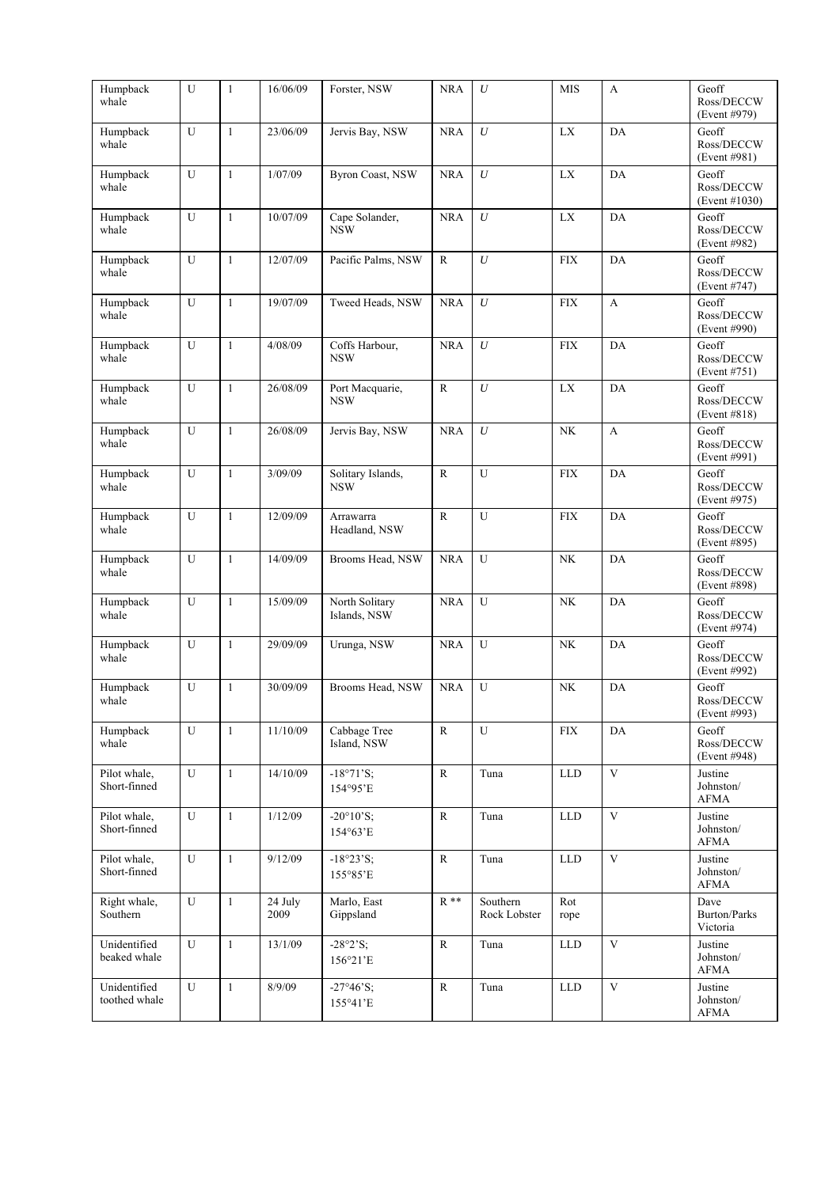| Humpback<br>whale             | U           | $\mathbf{1}$ | 16/06/09        | Forster, NSW                           | <b>NRA</b>   | U                        | <b>MIS</b>                  | $\mathbf{A}$  | Geoff<br>Ross/DECCW<br>(Event #979)  |
|-------------------------------|-------------|--------------|-----------------|----------------------------------------|--------------|--------------------------|-----------------------------|---------------|--------------------------------------|
| Humpback<br>whale             | U           | $\mathbf{1}$ | 23/06/09        | Jervis Bay, NSW                        | <b>NRA</b>   | U                        | LX                          | DA            | Geoff<br>Ross/DECCW<br>(Event #981)  |
| Humpback<br>whale             | U           | $\mathbf{1}$ | 1/07/09         | <b>Byron Coast, NSW</b>                | <b>NRA</b>   | U                        | ${\rm L}{\rm X}$            | DA            | Geoff<br>Ross/DECCW<br>(Event #1030) |
| Humpback<br>whale             | U           | $\mathbf{1}$ | 10/07/09        | Cape Solander,<br><b>NSW</b>           | <b>NRA</b>   | $\cal U$                 | ${\rm LX}$                  | $\mathbf{DA}$ | Geoff<br>Ross/DECCW<br>(Event #982)  |
| Humpback<br>whale             | U           | $\mathbf{1}$ | 12/07/09        | Pacific Palms, NSW                     | R            | U                        | <b>FIX</b>                  | DA            | Geoff<br>Ross/DECCW<br>(Event #747)  |
| Humpback<br>whale             | U           | $\mathbf{1}$ | 19/07/09        | Tweed Heads, NSW                       | <b>NRA</b>   | U                        | <b>FIX</b>                  | $\mathbf{A}$  | Geoff<br>Ross/DECCW<br>(Event #990)  |
| Humpback<br>whale             | U           | $\mathbf{1}$ | 4/08/09         | Coffs Harbour,<br><b>NSW</b>           | <b>NRA</b>   | U                        | <b>FIX</b>                  | DA            | Geoff<br>Ross/DECCW<br>(Event #751)  |
| Humpback<br>whale             | U           | $\mathbf{1}$ | 26/08/09        | Port Macquarie,<br><b>NSW</b>          | $\mathbb{R}$ | U                        | ${\rm L}{\rm X}$            | DA            | Geoff<br>Ross/DECCW<br>(Event #818)  |
| Humpback<br>whale             | U           | $\mathbf{1}$ | 26/08/09        | Jervis Bay, NSW                        | <b>NRA</b>   | U                        | NK                          | A             | Geoff<br>Ross/DECCW<br>(Event #991)  |
| Humpback<br>whale             | U           | $\mathbf{1}$ | 3/09/09         | Solitary Islands,<br><b>NSW</b>        | R            | U                        | ${\rm FIX}$                 | DA            | Geoff<br>Ross/DECCW<br>(Event #975)  |
| Humpback<br>whale             | U           | $\mathbf{1}$ | 12/09/09        | Arrawarra<br>Headland, NSW             | R            | U                        | <b>FIX</b>                  | DA            | Geoff<br>Ross/DECCW<br>(Event #895)  |
| Humpback<br>whale             | $\mathbf U$ | $\mathbf{1}$ | 14/09/09        | Brooms Head, NSW                       | <b>NRA</b>   | $\mathbf U$              | $\rm N K$                   | DA            | Geoff<br>Ross/DECCW<br>(Event #898)  |
| Humpback<br>whale             | U           | $\mathbf{1}$ | 15/09/09        | North Solitary<br>Islands, NSW         | <b>NRA</b>   | $\mathbf U$              | NK                          | DA            | Geoff<br>Ross/DECCW<br>(Event #974)  |
| Humpback<br>whale             | U           | $\mathbf{1}$ | 29/09/09        | Urunga, NSW                            | <b>NRA</b>   | U                        | NK                          | DA            | Geoff<br>Ross/DECCW<br>(Event #992)  |
| Humpback<br>whale             | U           | 1            | 30/09/09        | Brooms Head, NSW                       | <b>NRA</b>   | U                        | <b>NK</b>                   | DA            | Geoff<br>Ross/DECCW<br>(Event #993)  |
| Humpback<br>whale             | U           | 1            | 11/10/09        | Cabbage Tree<br>Island, NSW            | ${\bf R}$    | U                        | <b>FIX</b>                  | DA            | Geoff<br>Ross/DECCW<br>(Event #948)  |
| Pilot whale,<br>Short-finned  | U           | $\mathbf{1}$ | 14/10/09        | $-18°71'$ S;<br>154°95'E               | $\mathbb{R}$ | Tuna                     | <b>LLD</b>                  | $\mathbf V$   | Justine<br>Johnston/<br><b>AFMA</b>  |
| Pilot whale,<br>Short-finned  | U           | $\mathbf{1}$ | 1/12/09         | $-20^{\circ}10^{\circ}S$ ;<br>154°63'E | $\mathbb{R}$ | Tuna                     | <b>LLD</b>                  | V             | Justine<br>Johnston/<br><b>AFMA</b>  |
| Pilot whale,<br>Short-finned  | U           | $\mathbf{1}$ | 9/12/09         | $-18°23'$ S;<br>155°85'E               | $\mathbb{R}$ | Tuna                     | $\ensuremath{\mathrm{LLD}}$ | $\mathbf V$   | Justine<br>Johnston/<br><b>AFMA</b>  |
| Right whale,<br>Southern      | U           | $\mathbf{1}$ | 24 July<br>2009 | Marlo, East<br>Gippsland               | $R**$        | Southern<br>Rock Lobster | Rot<br>rope                 |               | Dave<br>Burton/Parks<br>Victoria     |
| Unidentified<br>beaked whale  | U           | $\mathbf{1}$ | 13/1/09         | $-28°2°S;$<br>156°21'E                 | ${\bf R}$    | Tuna                     | $\ensuremath{\mathrm{LLD}}$ | $\mathbf V$   | Justine<br>Johnston/<br><b>AFMA</b>  |
| Unidentified<br>toothed whale | U           | $\mathbf{1}$ | 8/9/09          | $-27^{\circ}46^{\circ}S$ ;<br>155°41'E | R            | Tuna                     | $\ensuremath{\mathrm{LLD}}$ | $\mathbf{V}$  | Justine<br>Johnston/<br><b>AFMA</b>  |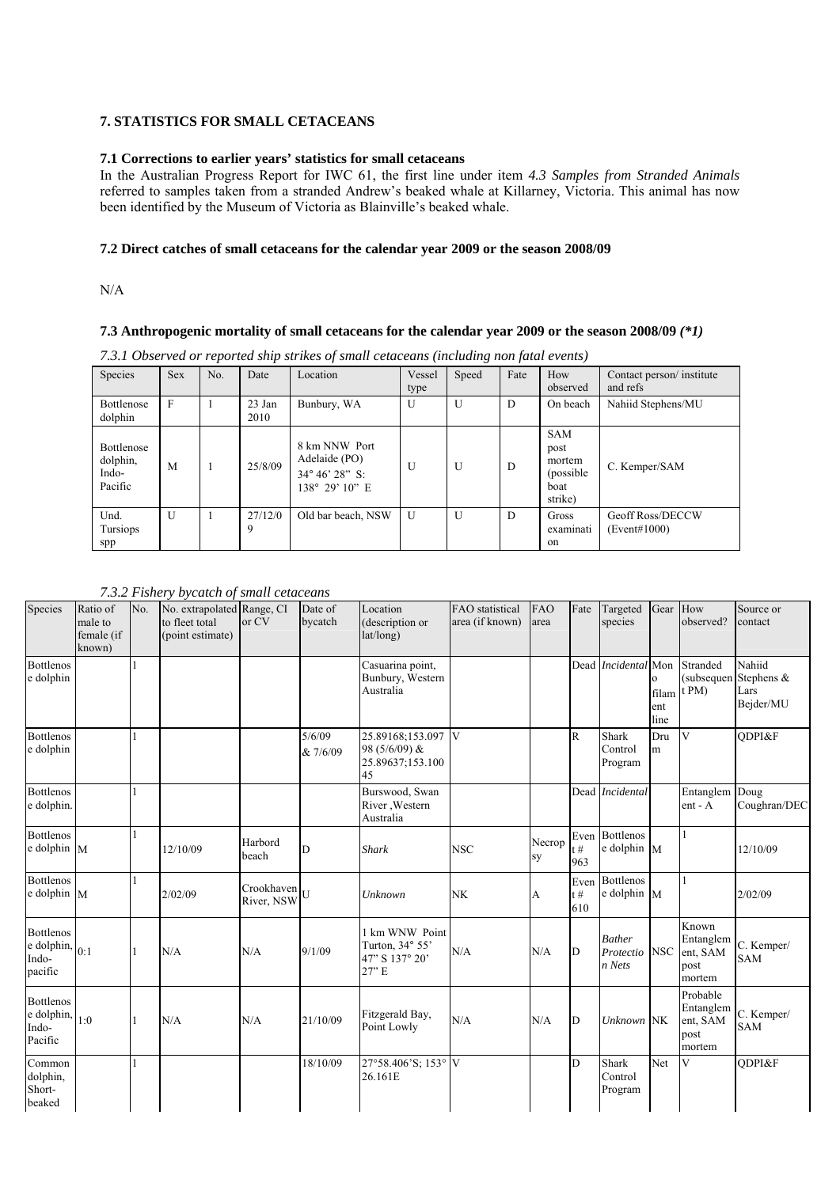# **7. STATISTICS FOR SMALL CETACEANS**

### **7.1 Corrections to earlier years' statistics for small cetaceans**

In the Australian Progress Report for IWC 61, the first line under item *4.3 Samples from Stranded Animals* referred to samples taken from a stranded Andrew's beaked whale at Killarney, Victoria. This animal has now been identified by the Museum of Victoria as Blainville's beaked whale.

### **7.2 Direct catches of small cetaceans for the calendar year 2009 or the season 2008/09**

 $N/A$ 

# **7.3 Anthropogenic mortality of small cetaceans for the calendar year 2009 or the season 2008/09** *(\*1)*

| Species                                           | <b>Sex</b>   | No. | Date           | Location                                                                     | Vessel<br>type | Speed        | Fate | How<br>observed                                               | Contact person/ institute<br>and refs   |
|---------------------------------------------------|--------------|-----|----------------|------------------------------------------------------------------------------|----------------|--------------|------|---------------------------------------------------------------|-----------------------------------------|
| Bottlenose<br>dolphin                             | F            |     | 23 Jan<br>2010 | Bunbury, WA                                                                  | U              | U            | D    | On beach                                                      | Nahiid Stephens/MU                      |
| <b>Bottlenose</b><br>dolphin,<br>Indo-<br>Pacific | M            |     | 25/8/09        | 8 km NNW Port<br>Adelaide (PO)<br>$34^{\circ} 46' 28''$ S:<br>138° 29' 10" E | U              | U            | D    | <b>SAM</b><br>post<br>mortem<br>(possible)<br>boat<br>strike) | C. Kemper/SAM                           |
| Und.<br>Tursiops<br>spp                           | $\mathbf{U}$ |     | 27/12/0<br>9   | Old bar beach, NSW                                                           | $\mathbf{U}$   | $\mathbf{U}$ | D    | Gross<br>examinati<br>on                                      | <b>Geoff Ross/DECCW</b><br>(Event#1000) |

*7.3.1 Observed or reported ship strikes of small cetaceans (including non fatal events)* 

*7.3.2 Fishery bycatch of small cetaceans* 

| Species                                                          | Ratio of<br>male to<br>female (if<br>known) | No. | No. extrapolated Range, CI<br>to fleet total<br>(point estimate) | or CV                    | Date of<br>bycatch | Location<br>(description or<br>lat/long)                    | FAO statistical<br>area (if known) | <b>FAO</b><br>area | Fate                  | Targeted<br>species                       | Gear                             | How<br>observed?                                    | Source or<br>contact                      |
|------------------------------------------------------------------|---------------------------------------------|-----|------------------------------------------------------------------|--------------------------|--------------------|-------------------------------------------------------------|------------------------------------|--------------------|-----------------------|-------------------------------------------|----------------------------------|-----------------------------------------------------|-------------------------------------------|
| <b>Bottlenos</b><br>e dolphin                                    |                                             |     |                                                                  |                          |                    | Casuarina point,<br>Bunbury, Western<br>Australia           |                                    |                    |                       | Dead <i>Incidental</i> Mon                | $\Omega$<br>filam<br>ent<br>line | Stranded<br>(subsequen<br>t PM                      | Nahiid<br>Stephens &<br>Lars<br>Bejder/MU |
| <b>Bottlenos</b><br>e dolphin                                    |                                             |     |                                                                  |                          | 5/6/09<br>& 7/6/09 | 25.89168;153.097<br>98 (5/6/09) &<br>25.89637;153.100<br>45 | V                                  |                    | R                     | Shark<br>Control<br>Program               | Dru<br>m                         | $\overline{\mathbf{V}}$                             | ODPI&F                                    |
| <b>Bottlenos</b><br>e dolphin.                                   |                                             |     |                                                                  |                          |                    | Burswood, Swan<br>River , Western<br>Australia              |                                    |                    | Dead                  | <b>Incidental</b>                         |                                  | Entanglem Doug<br>ent - A                           | Coughran/DEC                              |
| <b>Bottlenos</b><br>e dolphin M                                  |                                             |     | 12/10/09                                                         | Harbord<br>beach         | D                  | <b>Shark</b>                                                | <b>NSC</b>                         | Necrop<br>sy       | Even<br>$t \#$<br>963 | <b>Bottlenos</b><br>$e$ dolphin $\vert$ M |                                  |                                                     | 12/10/09                                  |
| <b>Bottlenos</b><br>$e$ dolphin $\vert$ M                        |                                             |     | 2/02/09                                                          | Crookhaven<br>River, NSW | U                  | Unknown                                                     | <b>NK</b>                          | А                  | Even<br>$t \#$<br>610 | <b>Bottlenos</b><br>$e$ dolphin $\vert$ M |                                  |                                                     | 2/02/09                                   |
| <b>Bottlenos</b><br>e dolphin, $_{0:1}$<br>Indo-<br>pacific      |                                             |     | N/A                                                              | N/A                      | 9/1/09             | 1 km WNW Point<br>Turton, 34° 55'<br>47" S 137° 20'<br>27"E | N/A                                | N/A                | D                     | <b>Bather</b><br>Protectio<br>n Nets      | <b>NSC</b>                       | Known<br>Entanglem<br>ent, SAM<br>post<br>mortem    | C. Kemper/<br><b>SAM</b>                  |
| <b>Bottlenos</b><br>e dolphin, $\vert_{1:0}$<br>Indo-<br>Pacific |                                             |     | N/A                                                              | N/A                      | 21/10/09           | Fitzgerald Bay,<br>Point Lowly                              | N/A                                | N/A                | D                     | Unknown NK                                |                                  | Probable<br>Entanglem<br>ent, SAM<br>post<br>mortem | C. Kemper/<br><b>SAM</b>                  |
| Common<br>dolphin,<br>Short-<br>beaked                           |                                             |     |                                                                  |                          | 18/10/09           | 27°58.406'S; 153° V<br>26.161E                              |                                    |                    | D                     | Shark<br>Control<br>Program               | Net                              | V                                                   | ODPI&F                                    |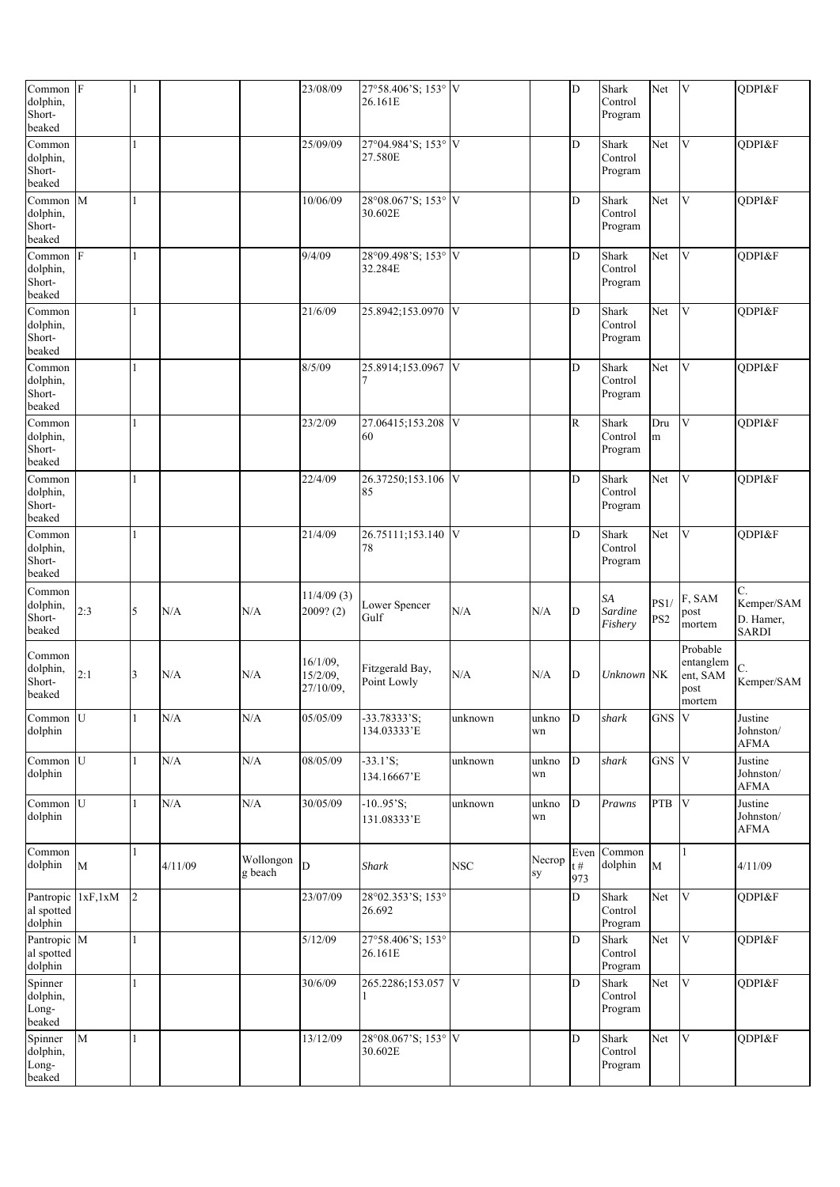| Common F<br>dolphin,<br>Short-<br>beaked   |             | 1                    |         |                      | 23/08/09                          | 27°58.406'S; 153° V<br>26.161E    |            |              | D                     | Shark<br>Control<br>Program | Net             | $\mathbf{V}$                                        | QDPI&F                              |
|--------------------------------------------|-------------|----------------------|---------|----------------------|-----------------------------------|-----------------------------------|------------|--------------|-----------------------|-----------------------------|-----------------|-----------------------------------------------------|-------------------------------------|
| Common<br>dolphin,<br>Short-<br>beaked     |             | $\mathbf{1}$         |         |                      | 25/09/09                          | 27°04.984'S; 153° V<br>27.580E    |            |              | $\mathbf D$           | Shark<br>Control<br>Program | Net             | V                                                   | QDPI&F                              |
| Common<br>dolphin,<br>Short-<br>beaked     | M           | 1                    |         |                      | 10/06/09                          | 28°08.067'S; 153° V<br>30.602E    |            |              | D                     | Shark<br>Control<br>Program | Net             | V                                                   | QDPI&F                              |
| Common<br>dolphin,<br>Short-<br>beaked     | F           | $\mathbf{1}$         |         |                      | 9/4/09                            | 28°09.498'S; 153° V<br>32.284E    |            |              | D                     | Shark<br>Control<br>Program | Net             | V                                                   | QDPI&F                              |
| Common<br>dolphin,<br>Short-<br>beaked     |             | $\mathbf{1}$         |         |                      | 21/6/09                           | 25.8942;153.0970 V                |            |              | D                     | Shark<br>Control<br>Program | Net             | V                                                   | ODPI&F                              |
| Common<br>dolphin,<br>Short-<br>beaked     |             | $\mathbf{1}$         |         |                      | 8/5/09                            | 25.8914;153.0967                  | V          |              | D                     | Shark<br>Control<br>Program | Net             | V                                                   | QDPI&F                              |
| Common<br>dolphin,<br>Short-<br>beaked     |             | 1                    |         |                      | 23/2/09                           | 27.06415;153.208<br>60            | V          |              | $\mathbb{R}$          | Shark<br>Control<br>Program | Dru<br>m        | V                                                   | QDPI&F                              |
| Common<br>dolphin,<br>Short-<br>beaked     |             | 1                    |         |                      | 22/4/09                           | 26.37250;153.106<br>85            | V          |              | D                     | Shark<br>Control<br>Program | Net             | V                                                   | QDPI&F                              |
| Common<br>dolphin,<br>Short-<br>beaked     |             | $\mathbf{1}$         |         |                      | 21/4/09                           | 26.75111;153.140<br>78            | V          |              | D                     | Shark<br>Control<br>Program | Net             | V                                                   | QDPI&F                              |
| Common                                     |             |                      |         |                      | 11/4/09(3)                        |                                   |            |              |                       | SA                          | PS1/            | F, SAM                                              | C.<br>Kemper/SAM                    |
| dolphin,<br>Short-<br>beaked               | 2:3         | 5                    | N/A     | N/A                  | 2009? (2)                         | Lower Spencer<br>Gulf             | N/A        | N/A          | D                     | Sardine<br>Fishery          | PS <sub>2</sub> | post<br>mortem                                      | D. Hamer,<br><b>SARDI</b>           |
| Common<br>dolphin,<br>Short-<br>beaked     | 2:1         | 3                    | N/A     | N/A                  | 16/1/09.<br>15/2/09.<br>27/10/09, | Fitzgerald Bay,<br>Point Lowly    | N/A        | N/A          | D                     | Unknown NK                  |                 | Probable<br>entanglem<br>ent, SAM<br>post<br>mortem | Kemper/SAM                          |
| Common U<br>dolphin                        |             | 1                    | N/A     | N/A                  | 05/05/09                          | -33.78333'S;<br>134.03333'E       | unknown    | unkno<br>wn  | D                     | shark                       | GNS V           |                                                     | Justine<br>Johnston/<br><b>AFMA</b> |
| Common U<br>dolphin                        |             | $\mathbf{1}$         | N/A     | N/A                  | 08/05/09                          | $-33.1^{\circ}$ S;<br>134.16667'E | unknown    | unkno<br>wn  | $\mathbf D$           | shark                       | GNS V           |                                                     | Justine<br>Johnston/<br><b>AFMA</b> |
| $Common$ $U$<br>dolphin                    |             | $\mathbf{1}$         | N/A     | N/A                  | 30/05/09                          | $-10.95$ 'S;<br>131.08333'E       | unknown    | unkno<br>wn  | $\mathbf D$           | Prawns                      | <b>PTB</b>      | $\mathbf V$                                         | Justine<br>Johnston/<br><b>AFMA</b> |
| Common<br>dolphin                          | $\mathbf M$ | 1                    | 4/11/09 | Wollongon<br>g beach | D                                 | Shark                             | <b>NSC</b> | Necrop<br>sy | Even<br>t $\#$<br>973 | Common<br>dolphin           | M               | $\mathbf{1}$                                        | 4/11/09                             |
| Pantropic 1xF,1xM<br>al spotted<br>dolphin |             | $\vert$ <sub>2</sub> |         |                      | 23/07/09                          | 28°02.353'S; 153°<br>26.692       |            |              | ${\bf D}$             | Shark<br>Control<br>Program | Net             | V                                                   | QDPI&F                              |
| Pantropic M<br>al spotted<br>dolphin       |             | $\mathbf{1}$         |         |                      | 5/12/09                           | 27°58.406'S; 153°<br>26.161E      |            |              | $\mathbf D$           | Shark<br>Control<br>Program | Net             | V                                                   | QDPI&F                              |
| Spinner<br>dolphin,<br>Long-<br>beaked     |             | $\mathbf{1}$         |         |                      | 30/6/09                           | 265.2286;153.057 V                |            |              | $\mathbf D$           | Shark<br>Control<br>Program | Net             | $\overline{\mathbf{V}}$                             | QDPI&F                              |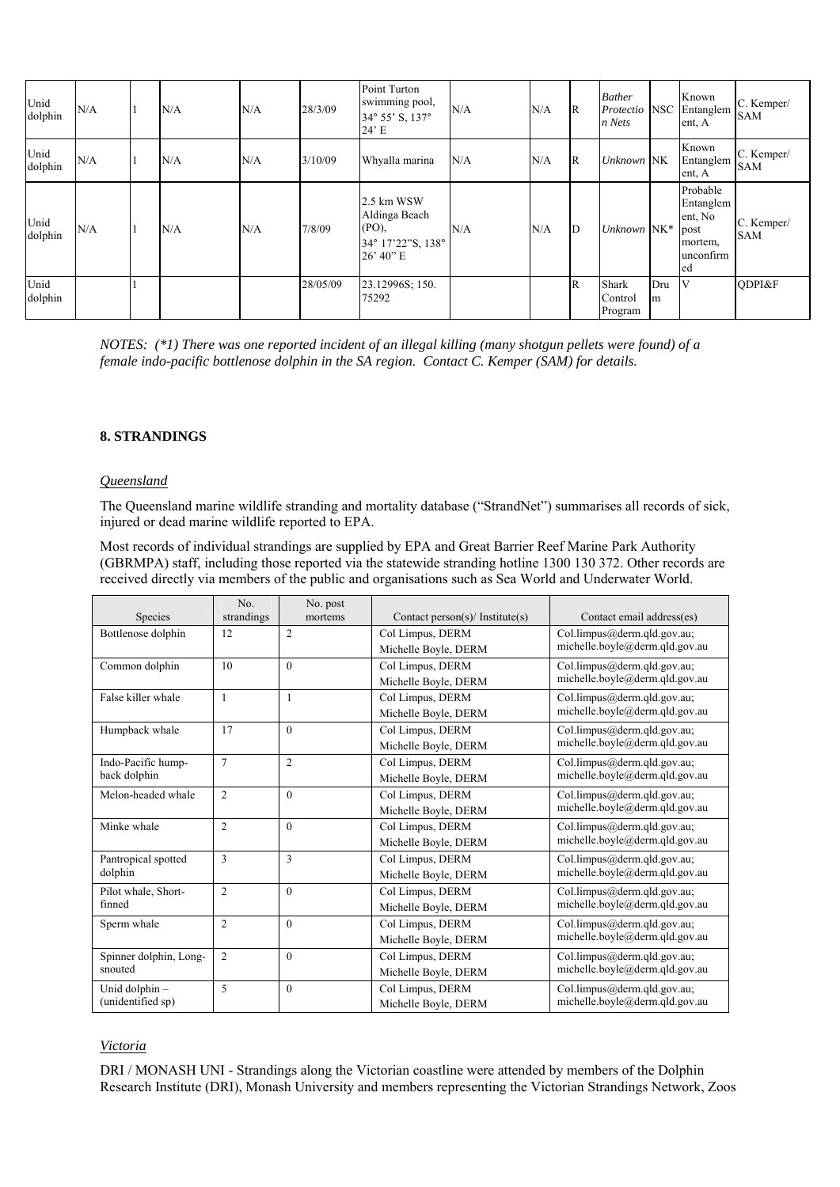| Unid<br>dolphin | N/A | N/A | N/A | 28/3/09  | Point Turton<br>swimming pool,<br>34° 55' S, 137°<br>24' E                 | N/A | N/A | $\mathbf R$    | <b>Bather</b><br>Protectio NSC<br>n Nets |          | Known<br>Entanglem<br>ent, A                                           | C. Kemper/<br><b>SAM</b> |
|-----------------|-----|-----|-----|----------|----------------------------------------------------------------------------|-----|-----|----------------|------------------------------------------|----------|------------------------------------------------------------------------|--------------------------|
| Unid<br>dolphin | N/A | N/A | N/A | 3/10/09  | Whyalla marina                                                             | N/A | N/A | $\overline{R}$ | Unknown NK                               |          | Known<br>Entanglem<br>ent, A                                           | C. Kemper/<br><b>SAM</b> |
| Unid<br>dolphin | N/A | N/A | N/A | 7/8/09   | 2.5 km WSW<br>Aldinga Beach<br>$(PO)$ ,<br>34° 17'22"S, 138°<br>26' 40'' E | N/A | N/A | D              | Unknown $NK^*$                           |          | Probable<br>Entanglem<br>ent, No<br>post<br>mortem,<br>unconfirm<br>ed | C. Kemper/<br><b>SAM</b> |
| Unid<br>dolphin |     |     |     | 28/05/09 | 23.12996S; 150.<br>75292                                                   |     |     | R              | Shark<br>Control<br>Program              | Dru<br>m | <sup>V</sup>                                                           | ODPI&F                   |

*NOTES: (\*1) There was one reported incident of an illegal killing (many shotgun pellets were found) of a female indo-pacific bottlenose dolphin in the SA region. Contact C. Kemper (SAM) for details.* 

#### **8. STRANDINGS**

#### *Queensland*

The Queensland marine wildlife stranding and mortality database ("StrandNet") summarises all records of sick, injured or dead marine wildlife reported to EPA.

Most records of individual strandings are supplied by EPA and Great Barrier Reef Marine Park Authority (GBRMPA) staff, including those reported via the statewide stranding hotline 1300 130 372. Other records are received directly via members of the public and organisations such as Sea World and Underwater World.

|                        | No.                      | No. post       |                                 |                                |
|------------------------|--------------------------|----------------|---------------------------------|--------------------------------|
| Species                | strandings               | mortems        | Contact person(s)/ Institute(s) | Contact email address(es)      |
| Bottlenose dolphin     | 12                       | $\overline{c}$ | Col Limpus, DERM                | Col.limpus@derm.qld.gov.au;    |
|                        |                          |                | Michelle Boyle, DERM            | michelle.boyle@derm.qld.gov.au |
| Common dolphin         | 10                       | $\theta$       | Col Limpus, DERM                | Col.limpus@derm.qld.gov.au;    |
|                        |                          |                | Michelle Boyle, DERM            | michelle.boyle@derm.qld.gov.au |
| False killer whale     | $\mathbf{1}$             | 1              | Col Limpus, DERM                | Col.limpus@derm.qld.gov.au;    |
|                        |                          |                | Michelle Boyle, DERM            | michelle.boyle@derm.qld.gov.au |
| Humpback whale         | 17                       | $\mathbf{0}$   | Col Limpus, DERM                | Col.limpus@derm.qld.gov.au;    |
|                        |                          |                | Michelle Boyle, DERM            | michelle.boyle@derm.qld.gov.au |
| Indo-Pacific hump-     | $\overline{7}$           | $\overline{2}$ | Col Limpus, DERM                | Col.limpus@derm.qld.gov.au;    |
| back dolphin           |                          |                | Michelle Boyle, DERM            | michelle.boyle@derm.qld.gov.au |
| Melon-headed whale     | $\mathfrak{D}$           | $\mathbf{0}$   | Col Limpus, DERM                | Col.limpus@derm.qld.gov.au;    |
|                        |                          |                | Michelle Boyle, DERM            | michelle.boyle@derm.qld.gov.au |
| Minke whale            | $\overline{2}$           | $\mathbf{0}$   | Col Limpus, DERM                | Col.limpus@derm.qld.gov.au;    |
|                        |                          |                | Michelle Boyle, DERM            | michelle.boyle@derm.qld.gov.au |
| Pantropical spotted    | 3                        | 3              | Col Limpus, DERM                | Col.limpus@derm.qld.gov.au;    |
| dolphin                |                          |                | Michelle Boyle, DERM            | michelle.boyle@derm.qld.gov.au |
| Pilot whale, Short-    | $\overline{2}$           | $\theta$       | Col Limpus, DERM                | Col.limpus@derm.qld.gov.au;    |
| finned                 |                          |                | Michelle Boyle, DERM            | michelle.boyle@derm.qld.gov.au |
| Sperm whale            | $\overline{2}$           | $\theta$       | Col Limpus, DERM                | Col.limpus@derm.qld.gov.au;    |
|                        |                          |                | Michelle Boyle, DERM            | michelle.boyle@derm.qld.gov.au |
| Spinner dolphin, Long- | $\overline{2}$           | $\theta$       | Col Limpus, DERM                | Col.limpus@derm.qld.gov.au;    |
| snouted                |                          |                | Michelle Boyle, DERM            | michelle.boyle@derm.qld.gov.au |
| Unid dolphin-          | $\overline{\phantom{0}}$ | $\theta$       | Col Limpus, DERM                | Col.limpus@derm.qld.gov.au;    |
| (unidentified sp)      |                          |                | Michelle Boyle, DERM            | michelle.boyle@derm.qld.gov.au |

### *Victoria*

DRI / MONASH UNI - Strandings along the Victorian coastline were attended by members of the Dolphin Research Institute (DRI), Monash University and members representing the Victorian Strandings Network, Zoos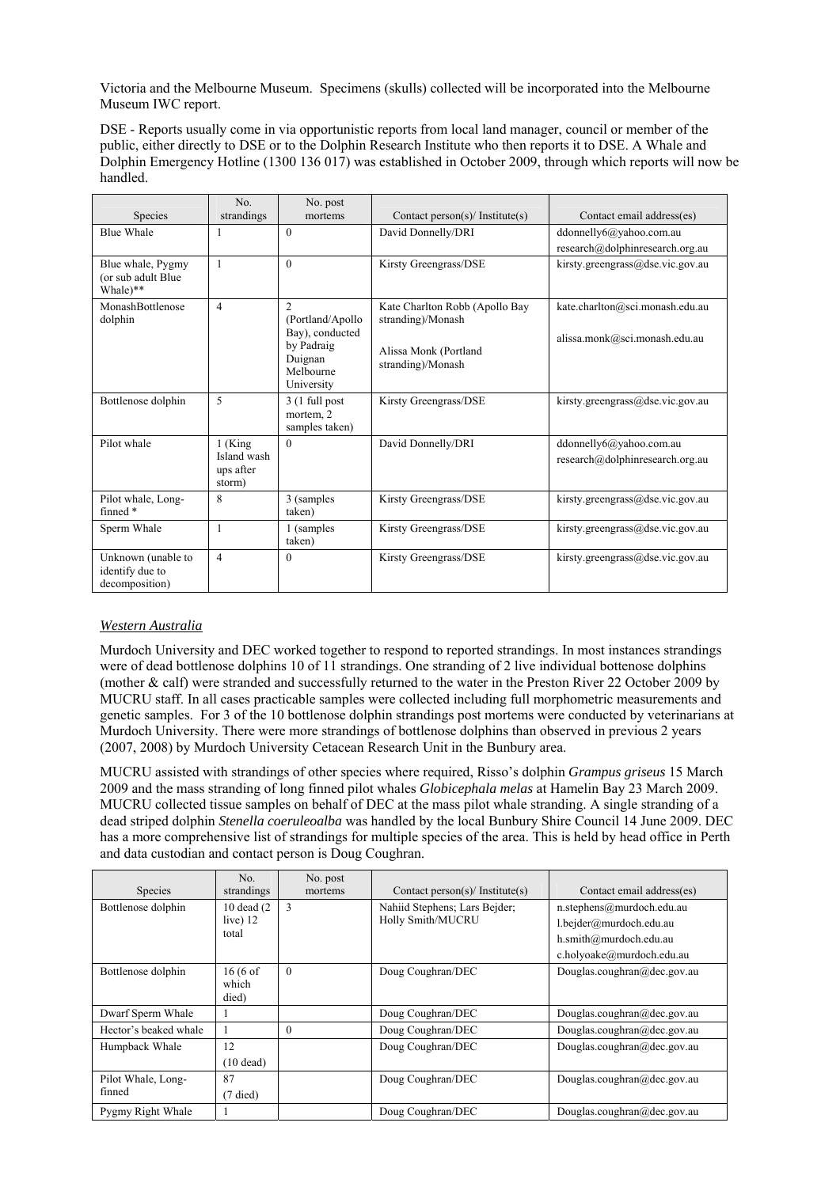Victoria and the Melbourne Museum. Specimens (skulls) collected will be incorporated into the Melbourne Museum IWC report.

DSE - Reports usually come in via opportunistic reports from local land manager, council or member of the public, either directly to DSE or to the Dolphin Research Institute who then reports it to DSE. A Whale and Dolphin Emergency Hotline (1300 136 017) was established in October 2009, through which reports will now be handled.

|                                                         | No.                                           | No. post                                                                                                  |                                                                                                   |                                                                  |
|---------------------------------------------------------|-----------------------------------------------|-----------------------------------------------------------------------------------------------------------|---------------------------------------------------------------------------------------------------|------------------------------------------------------------------|
| Species                                                 | strandings                                    | mortems                                                                                                   | Contact person(s)/ Institute(s)                                                                   | Contact email address(es)                                        |
| <b>Blue Whale</b>                                       |                                               | $\Omega$                                                                                                  | David Donnelly/DRI                                                                                | ddonnelly6@yahoo.com.au                                          |
|                                                         |                                               |                                                                                                           |                                                                                                   | research@dolphinresearch.org.au                                  |
| Blue whale, Pygmy<br>(or sub adult Blue<br>Whale)**     | 1                                             | $\theta$                                                                                                  | Kirsty Greengrass/DSE                                                                             | kirsty.greengrass@dse.vic.gov.au                                 |
| MonashBottlenose<br>dolphin                             | $\overline{4}$                                | $\overline{2}$<br>(Portland/Apollo<br>Bay), conducted<br>by Padraig<br>Duignan<br>Melbourne<br>University | Kate Charlton Robb (Apollo Bay<br>stranding)/Monash<br>Alissa Monk (Portland<br>stranding)/Monash | kate.charlton@sci.monash.edu.au<br>alissa.monk@sci.monash.edu.au |
| Bottlenose dolphin                                      | 5                                             | $3(1)$ full post<br>mortem. 2<br>samples taken)                                                           | Kirsty Greengrass/DSE                                                                             | kirsty.greengrass@dse.vic.gov.au                                 |
| Pilot whale                                             | 1 (King<br>Island wash<br>ups after<br>storm) | $\Omega$                                                                                                  | David Donnelly/DRI                                                                                | ddonnelly6@yahoo.com.au<br>research@dolphinresearch.org.au       |
| Pilot whale, Long-<br>finned *                          | 8                                             | 3 (samples<br>taken)                                                                                      | Kirsty Greengrass/DSE                                                                             | kirsty.greengrass@dse.vic.gov.au                                 |
| Sperm Whale                                             |                                               | 1 (samples<br>taken)                                                                                      | Kirsty Greengrass/DSE                                                                             | kirsty.greengrass@dse.vic.gov.au                                 |
| Unknown (unable to<br>identify due to<br>decomposition) | $\overline{4}$                                | $\theta$                                                                                                  | Kirsty Greengrass/DSE                                                                             | kirsty.greengrass@dse.vic.gov.au                                 |

# *Western Australia*

Murdoch University and DEC worked together to respond to reported strandings. In most instances strandings were of dead bottlenose dolphins 10 of 11 strandings. One stranding of 2 live individual bottenose dolphins (mother & calf) were stranded and successfully returned to the water in the Preston River 22 October 2009 by MUCRU staff. In all cases practicable samples were collected including full morphometric measurements and genetic samples. For 3 of the 10 bottlenose dolphin strandings post mortems were conducted by veterinarians at Murdoch University. There were more strandings of bottlenose dolphins than observed in previous 2 years (2007, 2008) by Murdoch University Cetacean Research Unit in the Bunbury area.

MUCRU assisted with strandings of other species where required, Risso's dolphin *Grampus griseus* 15 March 2009 and the mass stranding of long finned pilot whales *Globicephala melas* at Hamelin Bay 23 March 2009. MUCRU collected tissue samples on behalf of DEC at the mass pilot whale stranding. A single stranding of a dead striped dolphin *Stenella coeruleoalba* was handled by the local Bunbury Shire Council 14 June 2009. DEC has a more comprehensive list of strandings for multiple species of the area. This is held by head office in Perth and data custodian and contact person is Doug Coughran.

|                       | No.                                  | No. post     |                                 |                             |
|-----------------------|--------------------------------------|--------------|---------------------------------|-----------------------------|
| Species               | strandings                           | mortems      | Contact person(s)/ Institute(s) | Contact email address(es)   |
| Bottlenose dolphin    | 10 dead $(2)$                        | 3            | Nahiid Stephens; Lars Bejder;   | n.stephens@murdoch.edu.au   |
|                       | live $)$ 12                          |              | Holly Smith/MUCRU               | l.bejder@murdoch.edu.au     |
|                       | total                                |              |                                 | h.smith@murdoch.edu.au      |
|                       |                                      |              |                                 | c.holyoake@murdoch.edu.au   |
| Bottlenose dolphin    | $16(6 \text{ of }$<br>which<br>died) | $\mathbf{0}$ | Doug Coughran/DEC               | Douglas.coughran@dec.gov.au |
| Dwarf Sperm Whale     |                                      |              | Doug Coughran/DEC               | Douglas.coughran@dec.gov.au |
| Hector's beaked whale | 1                                    | $\theta$     | Doug Coughran/DEC               | Douglas.coughran@dec.gov.au |
| Humpback Whale        | 12                                   |              | Doug Coughran/DEC               | Douglas.coughran@dec.gov.au |
|                       | $(10 \text{ dead})$                  |              |                                 |                             |
| Pilot Whale, Long-    | 87                                   |              | Doug Coughran/DEC               | Douglas.coughran@dec.gov.au |
| finned                | $(7$ died)                           |              |                                 |                             |
| Pygmy Right Whale     |                                      |              | Doug Coughran/DEC               | Douglas.coughran@dec.gov.au |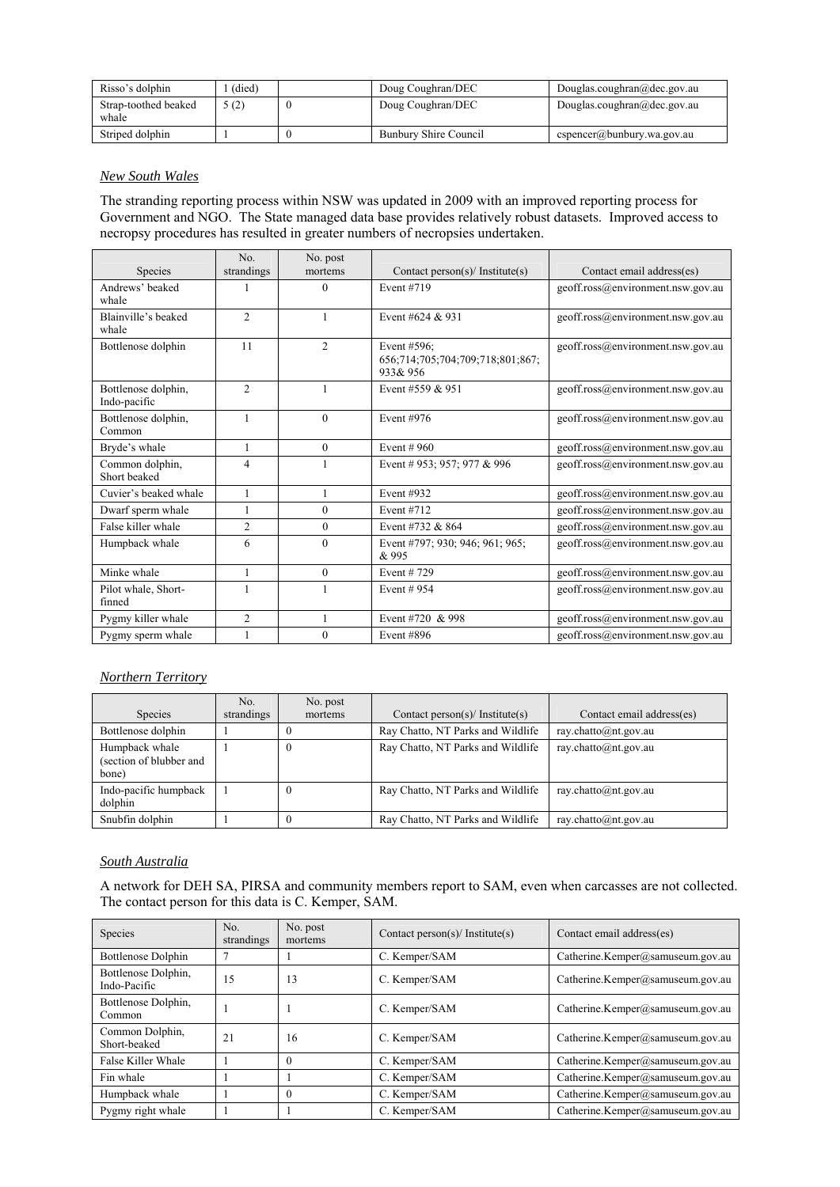| Risso's dolphin               | (died) | Doug Coughran/DEC     | Douglas.coughran@dec.gov.au   |
|-------------------------------|--------|-----------------------|-------------------------------|
| Strap-toothed beaked<br>whale | 5(2)   | Doug Coughran/DEC     | Douglas.coughran@dec.gov.au   |
| Striped dolphin               |        | Bunbury Shire Council | $c$ spencer@bunbury.wa.gov.au |

# *New South Wales*

The stranding reporting process within NSW was updated in 2009 with an improved reporting process for Government and NGO. The State managed data base provides relatively robust datasets. Improved access to necropsy procedures has resulted in greater numbers of necropsies undertaken.

| Species                             | No.<br>strandings | No. post<br>mortems | Contact person(s)/ Institute(s)                             | Contact email address(es)         |
|-------------------------------------|-------------------|---------------------|-------------------------------------------------------------|-----------------------------------|
| Andrews' beaked<br>whale            |                   | $\Omega$            | Event #719                                                  | geoff.ross@environment.nsw.gov.au |
| Blainville's beaked<br>whale        | $\overline{c}$    |                     | Event #624 & 931                                            | geoff.ross@environment.nsw.gov.au |
| Bottlenose dolphin                  | 11                | $\overline{2}$      | Event #596:<br>656;714;705;704;709;718;801;867;<br>933& 956 | geoff.ross@environment.nsw.gov.au |
| Bottlenose dolphin,<br>Indo-pacific | $\mathfrak{D}$    |                     | Event #559 & 951                                            | geoff.ross@environment.nsw.gov.au |
| Bottlenose dolphin,<br>Common       | 1                 | $\theta$            | Event #976                                                  | geoff.ross@environment.nsw.gov.au |
| Bryde's whale                       |                   | $\mathbf{0}$        | Event $#960$                                                | geoff.ross@environment.nsw.gov.au |
| Common dolphin,<br>Short beaked     | 4                 |                     | Event # 953; 957; 977 & 996                                 | geoff.ross@environment.nsw.gov.au |
| Cuvier's beaked whale               | 1                 | 1                   | Event #932                                                  | geoff.ross@environment.nsw.gov.au |
| Dwarf sperm whale                   |                   | $\theta$            | Event #712                                                  | geoff.ross@environment.nsw.gov.au |
| False killer whale                  | 2                 | $\theta$            | Event #732 & 864                                            | geoff.ross@environment.nsw.gov.au |
| Humpback whale                      | 6                 | $\theta$            | Event #797; 930; 946; 961; 965;<br>& 995                    | geoff.ross@environment.nsw.gov.au |
| Minke whale                         | 1                 | $\theta$            | Event #729                                                  | geoff.ross@environment.nsw.gov.au |
| Pilot whale, Short-<br>finned       |                   |                     | Event # $954$                                               | geoff.ross@environment.nsw.gov.au |
| Pygmy killer whale                  | 2                 |                     | Event #720 & 998                                            | geoff.ross@environment.nsw.gov.au |
| Pygmy sperm whale                   |                   | $\theta$            | Event #896                                                  | geoff.ross@environment.nsw.gov.au |

# *Northern Territory*

| <b>Species</b>                                     | No.<br>strandings | No. post<br>mortems | Contact person(s)/ Institute(s)   | Contact email address(es) |
|----------------------------------------------------|-------------------|---------------------|-----------------------------------|---------------------------|
| Bottlenose dolphin                                 |                   |                     | Ray Chatto, NT Parks and Wildlife | ray.chatto@nt.gov.au      |
| Humpback whale<br>(section of blubber and<br>bone) |                   | $\theta$            | Ray Chatto, NT Parks and Wildlife | ray.chatto@nt.gov.au      |
| Indo-pacific humpback<br>dolphin                   |                   | 0                   | Ray Chatto, NT Parks and Wildlife | ray.chatto@nt.gov.au      |
| Snubfin dolphin                                    |                   | $\theta$            | Ray Chatto, NT Parks and Wildlife | ray.chatto@nt.gov.au      |

# *South Australia*

A network for DEH SA, PIRSA and community members report to SAM, even when carcasses are not collected. The contact person for this data is C. Kemper, SAM.

| Species                             | No.<br>strandings | No. post<br>mortems | Contact person(s)/ Institute(s) | Contact email address(es)        |
|-------------------------------------|-------------------|---------------------|---------------------------------|----------------------------------|
| <b>Bottlenose Dolphin</b>           |                   |                     | C. Kemper/SAM                   | Catherine.Kemper@samuseum.gov.au |
| Bottlenose Dolphin,<br>Indo-Pacific | 15                | 13                  | C. Kemper/SAM                   | Catherine.Kemper@samuseum.gov.au |
| Bottlenose Dolphin,<br>Common       |                   |                     | C. Kemper/SAM                   | Catherine.Kemper@samuseum.gov.au |
| Common Dolphin,<br>Short-beaked     | 21                | 16                  | C. Kemper/SAM                   | Catherine.Kemper@samuseum.gov.au |
| False Killer Whale                  |                   | $\Omega$            | C. Kemper/SAM                   | Catherine.Kemper@samuseum.gov.au |
| Fin whale                           |                   |                     | C. Kemper/SAM                   | Catherine.Kemper@samuseum.gov.au |
| Humpback whale                      |                   | $\Omega$            | C. Kemper/SAM                   | Catherine.Kemper@samuseum.gov.au |
| Pygmy right whale                   |                   |                     | C. Kemper/SAM                   | Catherine.Kemper@samuseum.gov.au |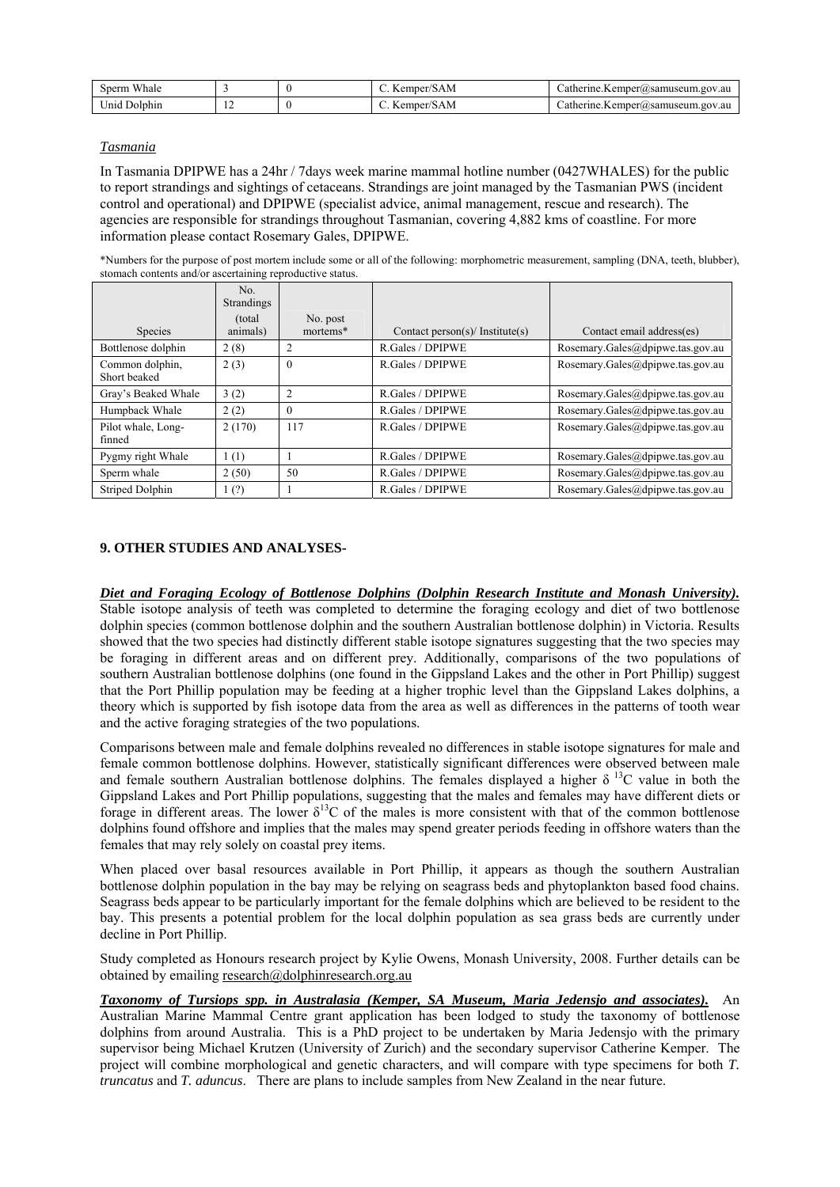| <b>WWW</b><br>'hale<br>Sperm |                | $\mathbf{v}$<br>∴emner:<br>SAM | $2$ rin $_{\rm c}$<br>:athe<br>$_{\alpha m}$<br>mper(a)<br>vsamuseum<br>.av<br>n gov. |
|------------------------------|----------------|--------------------------------|---------------------------------------------------------------------------------------|
| ∪nıd<br>Dolphin              | $\overline{ }$ | Kemper/<br>/SAM                | atherine.Kemper@samuseum.gov.au                                                       |

### *Tasmania*

In Tasmania DPIPWE has a 24hr / 7days week marine mammal hotline number (0427WHALES) for the public to report strandings and sightings of cetaceans. Strandings are joint managed by the Tasmanian PWS (incident control and operational) and DPIPWE (specialist advice, animal management, rescue and research). The agencies are responsible for strandings throughout Tasmanian, covering 4,882 kms of coastline. For more information please contact Rosemary Gales, DPIPWE.

\*Numbers for the purpose of post mortem include some or all of the following: morphometric measurement, sampling (DNA, teeth, blubber), stomach contents and/or ascertaining reproductive status.

|                                 | No.<br><b>Strandings</b><br>(total) | No. post |                                 |                                  |
|---------------------------------|-------------------------------------|----------|---------------------------------|----------------------------------|
| Species                         | animals)                            | mortems* | Contact person(s)/ Institute(s) | Contact email address(es)        |
| Bottlenose dolphin              | 2(8)                                |          | R.Gales / DPIPWE                | Rosemary.Gales@dpipwe.tas.gov.au |
| Common dolphin,<br>Short beaked | 2(3)                                | $\theta$ | R.Gales / DPIPWE                | Rosemary.Gales@dpipwe.tas.gov.au |
| Gray's Beaked Whale             | 3(2)                                | ∍        | R.Gales / DPIPWE                | Rosemary.Gales@dpipwe.tas.gov.au |
| Humpback Whale                  | 2(2)                                | $\theta$ | R.Gales / DPIPWE                | Rosemary.Gales@dpipwe.tas.gov.au |
| Pilot whale, Long-<br>finned    | 2(170)                              | 117      | R. Gales / DPIPWE               | Rosemary.Gales@dpipwe.tas.gov.au |
| Pygmy right Whale               | 1(1)                                |          | R.Gales / DPIPWE                | Rosemary.Gales@dpipwe.tas.gov.au |
| Sperm whale                     | 2(50)                               | 50       | R.Gales / DPIPWE                | Rosemary.Gales@dpipwe.tas.gov.au |
| <b>Striped Dolphin</b>          | (?)                                 |          | R.Gales / DPIPWE                | Rosemary.Gales@dpipwe.tas.gov.au |

### **9. OTHER STUDIES AND ANALYSES-**

*Diet and Foraging Ecology of Bottlenose Dolphins (Dolphin Research Institute and Monash University).* Stable isotope analysis of teeth was completed to determine the foraging ecology and diet of two bottlenose dolphin species (common bottlenose dolphin and the southern Australian bottlenose dolphin) in Victoria. Results showed that the two species had distinctly different stable isotope signatures suggesting that the two species may be foraging in different areas and on different prey. Additionally, comparisons of the two populations of southern Australian bottlenose dolphins (one found in the Gippsland Lakes and the other in Port Phillip) suggest that the Port Phillip population may be feeding at a higher trophic level than the Gippsland Lakes dolphins, a theory which is supported by fish isotope data from the area as well as differences in the patterns of tooth wear and the active foraging strategies of the two populations.

Comparisons between male and female dolphins revealed no differences in stable isotope signatures for male and female common bottlenose dolphins. However, statistically significant differences were observed between male and female southern Australian bottlenose dolphins. The females displayed a higher  $\delta^{13}$ C value in both the Gippsland Lakes and Port Phillip populations, suggesting that the males and females may have different diets or forage in different areas. The lower  $\delta^{13}$ C of the males is more consistent with that of the common bottlenose dolphins found offshore and implies that the males may spend greater periods feeding in offshore waters than the females that may rely solely on coastal prey items.

When placed over basal resources available in Port Phillip, it appears as though the southern Australian bottlenose dolphin population in the bay may be relying on seagrass beds and phytoplankton based food chains. Seagrass beds appear to be particularly important for the female dolphins which are believed to be resident to the bay. This presents a potential problem for the local dolphin population as sea grass beds are currently under decline in Port Phillip.

Study completed as Honours research project by Kylie Owens, Monash University, 2008. Further details can be obtained by emailing [research@dolphinresearch.org.au](mailto:research@dolphinresearch.org.au)

*Taxonomy of Tursiops spp. in Australasia (Kemper, SA Museum, Maria Jedensjo and associates).*An Australian Marine Mammal Centre grant application has been lodged to study the taxonomy of bottlenose dolphins from around Australia. This is a PhD project to be undertaken by Maria Jedensjo with the primary supervisor being Michael Krutzen (University of Zurich) and the secondary supervisor Catherine Kemper. The project will combine morphological and genetic characters, and will compare with type specimens for both *T. truncatus* and *T. aduncus*. There are plans to include samples from New Zealand in the near future.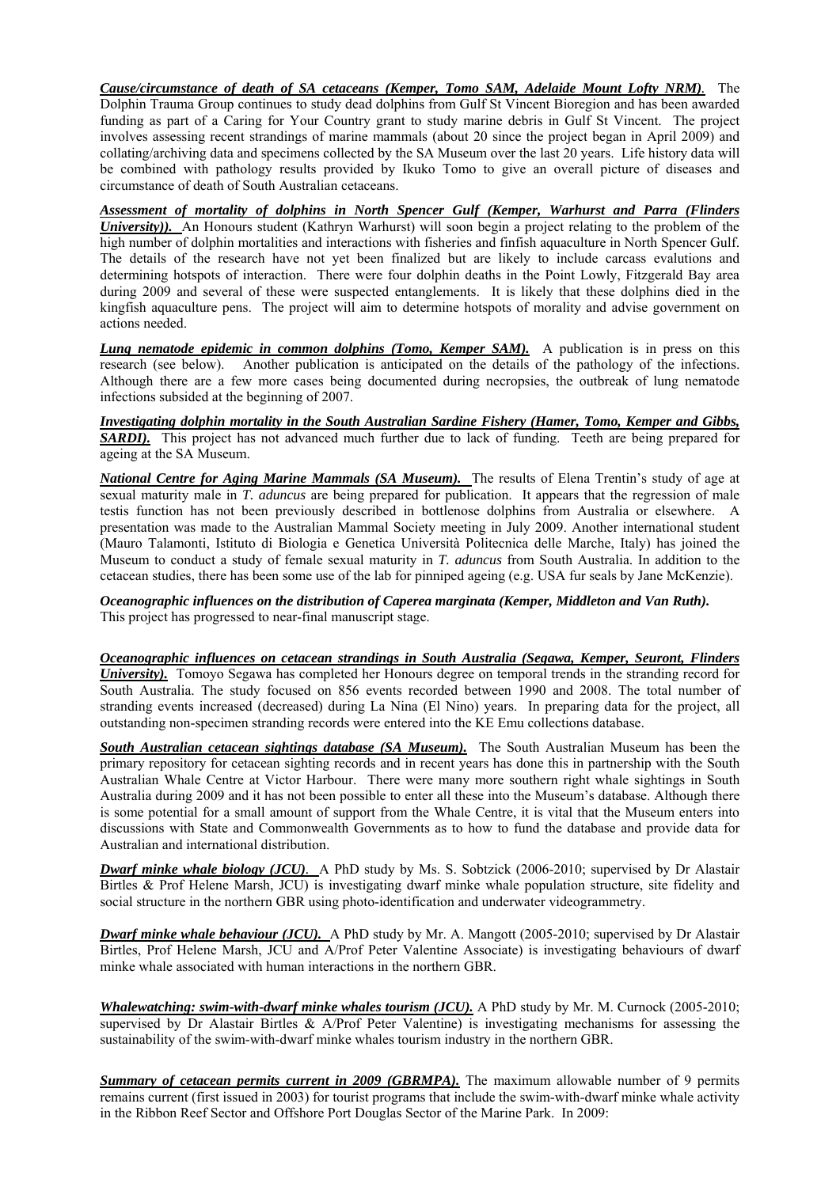*Cause/circumstance of death of SA cetaceans (Kemper, Tomo SAM, Adelaide Mount Lofty NRM).* The Dolphin Trauma Group continues to study dead dolphins from Gulf St Vincent Bioregion and has been awarded funding as part of a Caring for Your Country grant to study marine debris in Gulf St Vincent. The project involves assessing recent strandings of marine mammals (about 20 since the project began in April 2009) and collating/archiving data and specimens collected by the SA Museum over the last 20 years. Life history data will be combined with pathology results provided by Ikuko Tomo to give an overall picture of diseases and circumstance of death of South Australian cetaceans.

*Assessment of mortality of dolphins in North Spencer Gulf (Kemper, Warhurst and Parra (Flinders University*)). An Honours student (Kathryn Warhurst) will soon begin a project relating to the problem of the high number of dolphin mortalities and interactions with fisheries and finfish aquaculture in North Spencer Gulf. The details of the research have not yet been finalized but are likely to include carcass evalutions and determining hotspots of interaction. There were four dolphin deaths in the Point Lowly, Fitzgerald Bay area during 2009 and several of these were suspected entanglements. It is likely that these dolphins died in the kingfish aquaculture pens. The project will aim to determine hotspots of morality and advise government on actions needed.

*Lung nematode epidemic in common dolphins (Tomo, Kemper SAM).* A publication is in press on this research (see below). Another publication is anticipated on the details of the pathology of the infections. Although there are a few more cases being documented during necropsies, the outbreak of lung nematode infections subsided at the beginning of 2007.

*Investigating dolphin mortality in the South Australian Sardine Fishery (Hamer, Tomo, Kemper and Gibbs, SARDI*). This project has not advanced much further due to lack of funding. Teeth are being prepared for ageing at the SA Museum.

*National Centre for Aging Marine Mammals (SA Museum).* The results of Elena Trentin's study of age at sexual maturity male in *T. aduncus* are being prepared for publication. It appears that the regression of male testis function has not been previously described in bottlenose dolphins from Australia or elsewhere. A presentation was made to the Australian Mammal Society meeting in July 2009. Another international student (Mauro Talamonti, Istituto di Biologia e Genetica Università Politecnica delle Marche, Italy) has joined the Museum to conduct a study of female sexual maturity in *T. aduncus* from South Australia. In addition to the cetacean studies, there has been some use of the lab for pinniped ageing (e.g. USA fur seals by Jane McKenzie).

*Oceanographic influences on the distribution of Caperea marginata (Kemper, Middleton and Van Ruth).*  This project has progressed to near-final manuscript stage.

*Oceanographic influences on cetacean strandings in South Australia (Segawa, Kemper, Seuront, Flinders University*). Tomoyo Segawa has completed her Honours degree on temporal trends in the stranding record for South Australia. The study focused on 856 events recorded between 1990 and 2008. The total number of stranding events increased (decreased) during La Nina (El Nino) years. In preparing data for the project, all outstanding non-specimen stranding records were entered into the KE Emu collections database.

**South Australian cetacean sightings database (SA Museum).** The South Australian Museum has been the primary repository for cetacean sighting records and in recent years has done this in partnership with the South Australian Whale Centre at Victor Harbour. There were many more southern right whale sightings in South Australia during 2009 and it has not been possible to enter all these into the Museum's database. Although there is some potential for a small amount of support from the Whale Centre, it is vital that the Museum enters into discussions with State and Commonwealth Governments as to how to fund the database and provide data for Australian and international distribution.

*Dwarf minke whale biology (JCU).* A PhD study by Ms. S. Sobtzick (2006-2010; supervised by Dr Alastair Birtles & Prof Helene Marsh, JCU) is investigating dwarf minke whale population structure, site fidelity and social structure in the northern GBR using photo-identification and underwater videogrammetry.

*Dwarf minke whale behaviour (JCU).* A PhD study by Mr. A. Mangott (2005-2010; supervised by Dr Alastair Birtles, Prof Helene Marsh, JCU and A/Prof Peter Valentine Associate) is investigating behaviours of dwarf minke whale associated with human interactions in the northern GBR.

*Whalewatching: swim-with-dwarf minke whales tourism (JCU).* A PhD study by Mr. M. Curnock (2005-2010; supervised by Dr Alastair Birtles & A/Prof Peter Valentine) is investigating mechanisms for assessing the sustainability of the swim-with-dwarf minke whales tourism industry in the northern GBR.

*Summary of cetacean permits current in 2009 (GBRMPA).* The maximum allowable number of 9 permits remains current (first issued in 2003) for tourist programs that include the swim-with-dwarf minke whale activity in the Ribbon Reef Sector and Offshore Port Douglas Sector of the Marine Park. In 2009: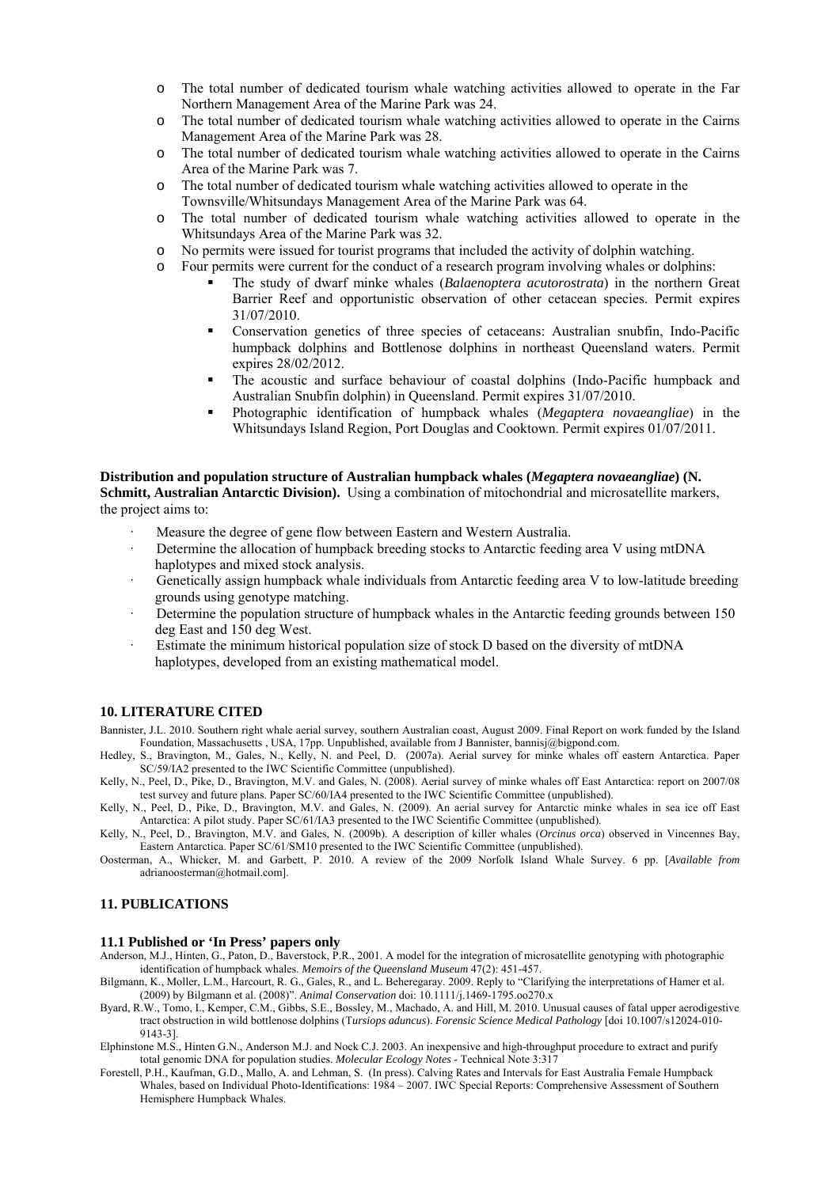- o The total number of dedicated tourism whale watching activities allowed to operate in the Far Northern Management Area of the Marine Park was 24.
- o The total number of dedicated tourism whale watching activities allowed to operate in the Cairns Management Area of the Marine Park was 28.
- o The total number of dedicated tourism whale watching activities allowed to operate in the Cairns Area of the Marine Park was 7.
- o The total number of dedicated tourism whale watching activities allowed to operate in the Townsville/Whitsundays Management Area of the Marine Park was 64.
- o The total number of dedicated tourism whale watching activities allowed to operate in the Whitsundays Area of the Marine Park was 32.
- o No permits were issued for tourist programs that included the activity of dolphin watching.
- o Four permits were current for the conduct of a research program involving whales or dolphins:
	- The study of dwarf minke whales (*Balaenoptera acutorostrata*) in the northern Great Barrier Reef and opportunistic observation of other cetacean species. Permit expires 31/07/2010.
	- Conservation genetics of three species of cetaceans: Australian snubfin, Indo-Pacific humpback dolphins and Bottlenose dolphins in northeast Queensland waters. Permit expires 28/02/2012.
	- The acoustic and surface behaviour of coastal dolphins (Indo-Pacific humpback and Australian Snubfin dolphin) in Queensland. Permit expires 31/07/2010.
	- Photographic identification of humpback whales (*Megaptera novaeangliae*) in the Whitsundays Island Region, Port Douglas and Cooktown. Permit expires 01/07/2011.

#### **Distribution and population structure of Australian humpback whales (***Megaptera novaeangliae***) (N. Schmitt, Australian Antarctic Division).** Using a combination of mitochondrial and microsatellite markers, the project aims to:

- Measure the degree of gene flow between Eastern and Western Australia.
- Determine the allocation of humpback breeding stocks to Antarctic feeding area V using mtDNA haplotypes and mixed stock analysis.
- Genetically assign humpback whale individuals from Antarctic feeding area V to low-latitude breeding grounds using genotype matching.
- Determine the population structure of humpback whales in the Antarctic feeding grounds between 150 deg East and 150 deg West.
- Estimate the minimum historical population size of stock D based on the diversity of mtDNA haplotypes, developed from an existing mathematical model.

#### **10. LITERATURE CITED**

Bannister, J.L. 2010. Southern right whale aerial survey, southern Australian coast, August 2009. Final Report on work funded by the Island Foundation, Massachusetts , USA, 17pp. Unpublished, available from J Bannister, [bannisj@bigpond.com.](mailto:bannisj@bigpond.com)

Hedley, S., Bravington, M., Gales, N., Kelly, N. and Peel, D. (2007a). Aerial survey for minke whales off eastern Antarctica. Paper SC/59/IA2 presented to the IWC Scientific Committee (unpublished).

Kelly, N., Peel, D., Pike, D., Bravington, M.V. and Gales, N. (2008). Aerial survey of minke whales off East Antarctica: report on 2007/08 test survey and future plans. Paper SC/60/IA4 presented to the IWC Scientific Committee (unpublished).

Kelly, N., Peel, D., Pike, D., Bravington, M.V. and Gales, N. (2009). An aerial survey for Antarctic minke whales in sea ice off East Antarctica: A pilot study. Paper SC/61/IA3 presented to the IWC Scientific Committee (unpublished).

Kelly, N., Peel, D., Bravington, M.V. and Gales, N. (2009b). A description of killer whales (*Orcinus orca*) observed in Vincennes Bay, Eastern Antarctica. Paper SC/61/SM10 presented to the IWC Scientific Committee (unpublished).

Oosterman, A., Whicker, M. and Garbett, P. 2010. A review of the 2009 Norfolk Island Whale Survey. 6 pp. [*Available from* [adrianoosterman@hotmail.com](mailto:adrianoosterman@hotmail.com)].

### **11. PUBLICATIONS**

#### **11.1 Published or 'In Press' papers only**

Anderson, M.J., Hinten, G., Paton, D., Baverstock, P.R., 2001. A model for the integration of microsatellite genotyping with photographic identification of humpback whales. *Memoirs of the Queensland Museum* 47(2): 451-457.

Bilgmann, K., Moller, L.M., Harcourt, R. G., Gales, R., and L. Beheregaray. 2009. Reply to "Clarifying the interpretations of Hamer et al. (2009) by Bilgmann et al. (2008)". *Animal Conservation* doi: 10.1111/j.1469-1795.oo270.x

- Byard, R.W., Tomo, I., Kemper, C.M., Gibbs, S.E., Bossley, M., Machado, A. and Hill, M. 2010. Unusual causes of fatal upper aerodigestive tract obstruction in wild bottlenose dolphins (T*ursiops aduncus*). *Forensic Science Medical Pathology* [doi 10.1007/s12024-010- 9143-3].
- Elphinstone M.S., Hinten G.N., Anderson M.J. and Nock C.J. 2003. An inexpensive and high-throughput procedure to extract and purify total genomic DNA for population studies. *Molecular Ecology Notes* - Technical Note 3:317
- Forestell, P.H., Kaufman, G.D., Mallo, A. and Lehman, S. (In press). Calving Rates and Intervals for East Australia Female Humpback Whales, based on Individual Photo-Identifications: 1984 – 2007. IWC Special Reports: Comprehensive Assessment of Southern Hemisphere Humpback Whales.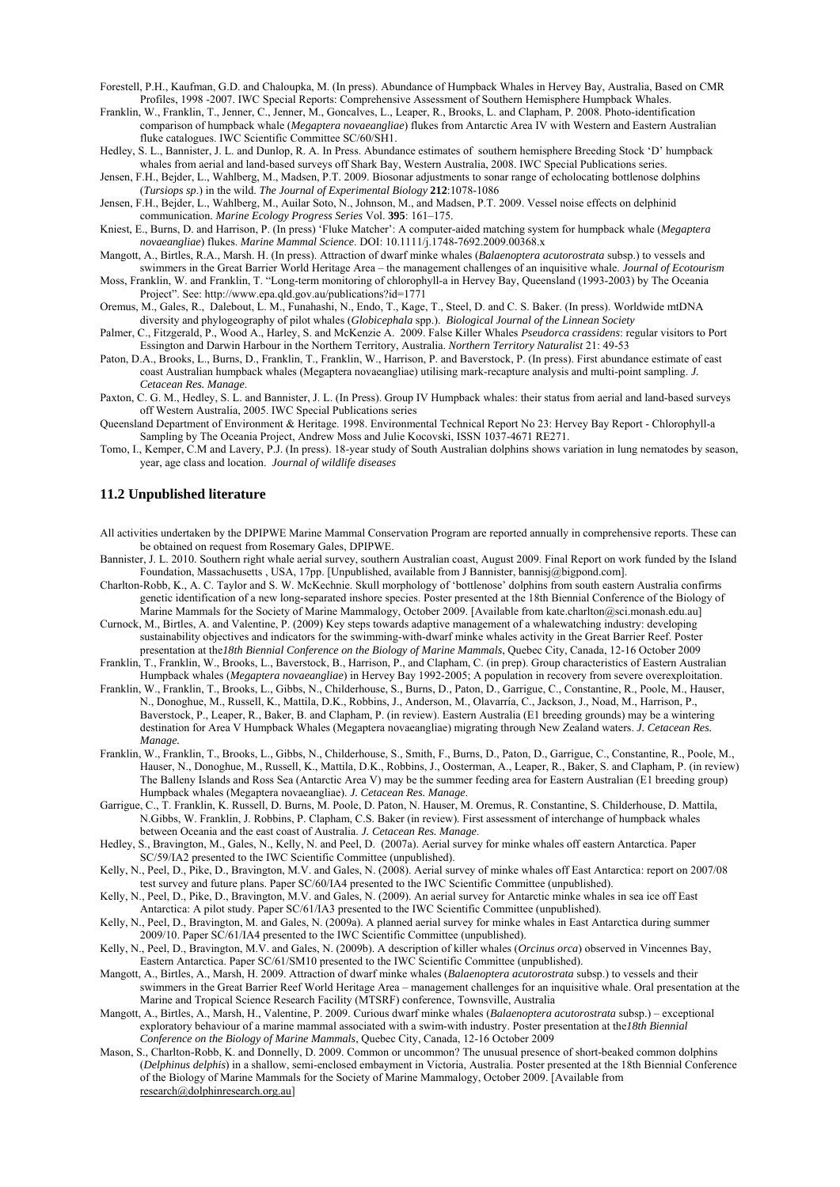Forestell, P.H., Kaufman, G.D. and Chaloupka, M. (In press). Abundance of Humpback Whales in Hervey Bay, Australia, Based on CMR Profiles, 1998 -2007. IWC Special Reports: Comprehensive Assessment of Southern Hemisphere Humpback Whales.

- Franklin, W., Franklin, T., Jenner, C., Jenner, M., Goncalves, L., Leaper, R., Brooks, L. and Clapham, P. 2008. Photo-identification comparison of humpback whale (*Megaptera novaeangliae*) flukes from Antarctic Area IV with Western and Eastern Australian fluke catalogues. IWC Scientific Committee SC/60/SH1.
- Hedley, S. L., Bannister, J. L. and Dunlop, R. A. In Press. Abundance estimates of southern hemisphere Breeding Stock 'D' humpback whales from aerial and land-based surveys off Shark Bay, Western Australia, 2008. IWC Special Publications series.
- Jensen, F.H., Bejder, L., Wahlberg, M., Madsen, P.T. 2009. Biosonar adjustments to sonar range of echolocating bottlenose dolphins (*Tursiops sp*.) in the wild. *The Journal of Experimental Biology* **212**:1078-1086
- Jensen, F.H., Bejder, L., Wahlberg, M., Auilar Soto, N., Johnson, M., and Madsen, P.T. 2009. Vessel noise effects on delphinid communication*. Marine Ecology Progress Series* Vol. **395**: 161–175.
- Kniest, E., Burns, D. and Harrison, P. (In press) 'Fluke Matcher': A computer-aided matching system for humpback whale (*Megaptera novaeangliae*) flukes. *Marine Mammal Science*. DOI: 10.1111/j.1748-7692.2009.00368.x
- Mangott, A., Birtles, R.A., Marsh. H. (In press). Attraction of dwarf minke whales (*Balaenoptera acutorostrata* subsp.) to vessels and swimmers in the Great Barrier World Heritage Area – the management challenges of an inquisitive whale. *Journal of Ecotourism*
- Moss, Franklin, W. and Franklin, T. "Long-term monitoring of chlorophyll-a in Hervey Bay, Queensland (1993-2003) by The Oceania Project". See:<http://www.epa.qld.gov.au/publications?id=1771>
- Oremus, M., Gales, R., Dalebout, L. M., Funahashi, N., Endo, T., Kage, T., Steel, D. and C. S. Baker. (In press). Worldwide mtDNA diversity and phylogeography of pilot whales (*Globicephala* spp.). *Biological Journal of the Linnean Society*
- Palmer, C., Fitzgerald, P., Wood A., Harley, S. and McKenzie A. 2009. False Killer Whales *Pseudorca crassidens*: regular visitors to Port Essington and Darwin Harbour in the Northern Territory, Australia. *Northern Territory Naturalist* 21: 49-53
- Paton, D.A., Brooks, L., Burns, D., Franklin, T., Franklin, W., Harrison, P. and Baverstock, P. (In press). First abundance estimate of east coast Australian humpback whales (Megaptera novaeangliae) utilising mark-recapture analysis and multi-point sampling. *J. Cetacean Res. Manage*.
- Paxton, C. G. M., Hedley, S. L. and Bannister, J. L. (In Press). Group IV Humpback whales: their status from aerial and land-based surveys off Western Australia, 2005. IWC Special Publications series
- Queensland Department of Environment & Heritage. 1998. Environmental Technical Report No 23: Hervey Bay Report Chlorophyll-a Sampling by The Oceania Project, Andrew Moss and Julie Kocovski, ISSN 1037-4671 RE271.
- Tomo, I., Kemper, C.M and Lavery, P.J. (In press). 18-year study of South Australian dolphins shows variation in lung nematodes by season, year, age class and location. *Journal of wildlife diseases*

#### **11.2 Unpublished literature**

- All activities undertaken by the DPIPWE Marine Mammal Conservation Program are reported annually in comprehensive reports. These can be obtained on request from Rosemary Gales, DPIPWE.
- Bannister, J. L. 2010. Southern right whale aerial survey, southern Australian coast, August 2009. Final Report on work funded by the Island Foundation, Massachusetts , USA, 17pp. [Unpublished, available from J Bannister, [bannisj@bigpond.com](mailto:bannisj@bigpond.com)].
- Charlton-Robb, K., A. C. Taylor and S. W. McKechnie. Skull morphology of 'bottlenose' dolphins from south eastern Australia confirms genetic identification of a new long-separated inshore species. Poster presented at the 18th Biennial Conference of the Biology of Marine Mammals for the Society of Marine Mammalogy, October 2009. [Available from [kate.charlton@sci.monash.edu.au](mailto:kate.charlton@sci.monash.edu.au)]
- Curnock, M., Birtles, A. and Valentine, P. (2009) Key steps towards adaptive management of a whalewatching industry: developing sustainability objectives and indicators for the swimming-with-dwarf minke whales activity in the Great Barrier Reef. Poster presentation at the*18th Biennial Conference on the Biology of Marine Mammals*, Quebec City, Canada, 12-16 October 2009
- Franklin, T., Franklin, W., Brooks, L., Baverstock, B., Harrison, P., and Clapham, C. (in prep). Group characteristics of Eastern Australian Humpback whales (*Megaptera novaeangliae*) in Hervey Bay 1992-2005; A population in recovery from severe overexploitation.
- Franklin, W., Franklin, T., Brooks, L., Gibbs, N., Childerhouse, S., Burns, D., Paton, D., Garrigue, C., Constantine, R., Poole, M., Hauser, N., Donoghue, M., Russell, K., Mattila, D.K., Robbins, J., Anderson, M., Olavarría, C., Jackson, J., Noad, M., Harrison, P., Baverstock, P., Leaper, R., Baker, B. and Clapham, P. (in review). Eastern Australia (E1 breeding grounds) may be a wintering destination for Area V Humpback Whales (Megaptera novaeangliae) migrating through New Zealand waters. *J. Cetacean Res. Manage.*
- Franklin, W., Franklin, T., Brooks, L., Gibbs, N., Childerhouse, S., Smith, F., Burns, D., Paton, D., Garrigue, C., Constantine, R., Poole, M., Hauser, N., Donoghue, M., Russell, K., Mattila, D.K., Robbins, J., Oosterman, A., Leaper, R., Baker, S. and Clapham, P. (in review) The Balleny Islands and Ross Sea (Antarctic Area V) may be the summer feeding area for Eastern Australian (E1 breeding group) Humpback whales (Megaptera novaeangliae). *J. Cetacean Res. Manage*.
- Garrigue, C., T. Franklin, K. Russell, D. Burns, M. Poole, D. Paton, N. Hauser, M. Oremus, R. Constantine, S. Childerhouse, D. Mattila, N.Gibbs, W. Franklin, J. Robbins, P. Clapham, C.S. Baker (in review). First assessment of interchange of humpback whales between Oceania and the east coast of Australia. *J. Cetacean Res. Manage*.
- Hedley, S., Bravington, M., Gales, N., Kelly, N. and Peel, D. (2007a). Aerial survey for minke whales off eastern Antarctica. Paper SC/59/IA2 presented to the IWC Scientific Committee (unpublished).
- Kelly, N., Peel, D., Pike, D., Bravington, M.V. and Gales, N. (2008). Aerial survey of minke whales off East Antarctica: report on 2007/08 test survey and future plans. Paper SC/60/IA4 presented to the IWC Scientific Committee (unpublished).
- Kelly, N., Peel, D., Pike, D., Bravington, M.V. and Gales, N. (2009). An aerial survey for Antarctic minke whales in sea ice off East Antarctica: A pilot study. Paper SC/61/IA3 presented to the IWC Scientific Committee (unpublished).
- Kelly, N., Peel, D., Bravington, M. and Gales, N. (2009a). A planned aerial survey for minke whales in East Antarctica during summer 2009/10. Paper SC/61/IA4 presented to the IWC Scientific Committee (unpublished).
- Kelly, N., Peel, D., Bravington, M.V. and Gales, N. (2009b). A description of killer whales (*Orcinus orca*) observed in Vincennes Bay, Eastern Antarctica. Paper SC/61/SM10 presented to the IWC Scientific Committee (unpublished).
- Mangott, A., Birtles, A., Marsh, H. 2009. Attraction of dwarf minke whales (*Balaenoptera acutorostrata* subsp.) to vessels and their swimmers in the Great Barrier Reef World Heritage Area – management challenges for an inquisitive whale. Oral presentation at the Marine and Tropical Science Research Facility (MTSRF) conference, Townsville, Australia
- Mangott, A., Birtles, A., Marsh, H., Valentine, P. 2009. Curious dwarf minke whales (*Balaenoptera acutorostrata* subsp.) exceptional exploratory behaviour of a marine mammal associated with a swim-with industry. Poster presentation at the*18th Biennial Conference on the Biology of Marine Mammals*, Quebec City, Canada, 12-16 October 2009
- Mason, S., Charlton-Robb, K. and Donnelly, D. 2009. Common or uncommon? The unusual presence of short-beaked common dolphins (*Delphinus delphis*) in a shallow, semi-enclosed embayment in Victoria, Australia. Poster presented at the 18th Biennial Conference of the Biology of Marine Mammals for the Society of Marine Mammalogy, October 2009. [Available from [research@dolphinresearch.org.au\]](mailto:research@dolphinresearch.org.au)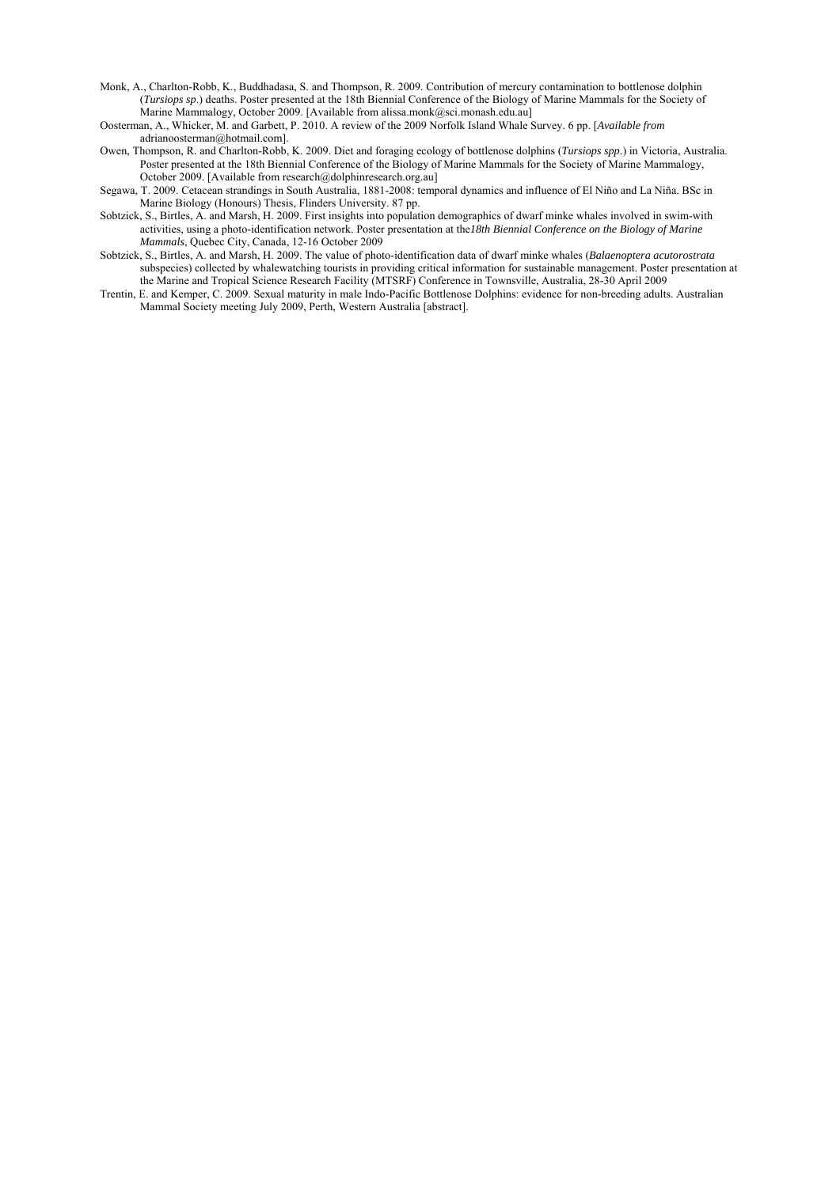- Monk, A., Charlton-Robb, K., Buddhadasa, S. and Thompson, R. 2009. Contribution of mercury contamination to bottlenose dolphin (*Tursiops sp*.) deaths. Poster presented at the 18th Biennial Conference of the Biology of Marine Mammals for the Society of Marine Mammalogy, October 2009. [Available from [alissa.monk@sci.monash.edu.au\]](mailto:alissa.monk@sci.monash.edu.au)
- Oosterman, A., Whicker, M. and Garbett, P. 2010. A review of the 2009 Norfolk Island Whale Survey. 6 pp. [*Available from* [adrianoosterman@hotmail.com](mailto:adrianoosterman@hotmail.com)].
- Owen, Thompson, R. and Charlton-Robb, K. 2009. Diet and foraging ecology of bottlenose dolphins (*Tursiops spp*.) in Victoria, Australia. Poster presented at the 18th Biennial Conference of the Biology of Marine Mammals for the Society of Marine Mammalogy, October 2009. [Available from [research@dolphinresearch.org.au\]](mailto:research@dolphinresearch.org.au)
- Segawa, T. 2009. Cetacean strandings in South Australia, 1881-2008: temporal dynamics and influence of El Niño and La Niña. BSc in Marine Biology (Honours) Thesis, Flinders University. 87 pp.
- Sobtzick, S., Birtles, A. and Marsh, H. 2009. First insights into population demographics of dwarf minke whales involved in swim-with activities, using a photo-identification network. Poster presentation at the*18th Biennial Conference on the Biology of Marine Mammals*, Quebec City, Canada, 12-16 October 2009
- Sobtzick, S., Birtles, A. and Marsh, H. 2009. The value of photo-identification data of dwarf minke whales (*Balaenoptera acutorostrata* subspecies) collected by whalewatching tourists in providing critical information for sustainable management. Poster presentation at the Marine and Tropical Science Research Facility (MTSRF) Conference in Townsville, Australia, 28-30 April 2009
- Trentin, E. and Kemper, C. 2009. Sexual maturity in male Indo-Pacific Bottlenose Dolphins: evidence for non-breeding adults. Australian Mammal Society meeting July 2009, Perth, Western Australia [abstract].